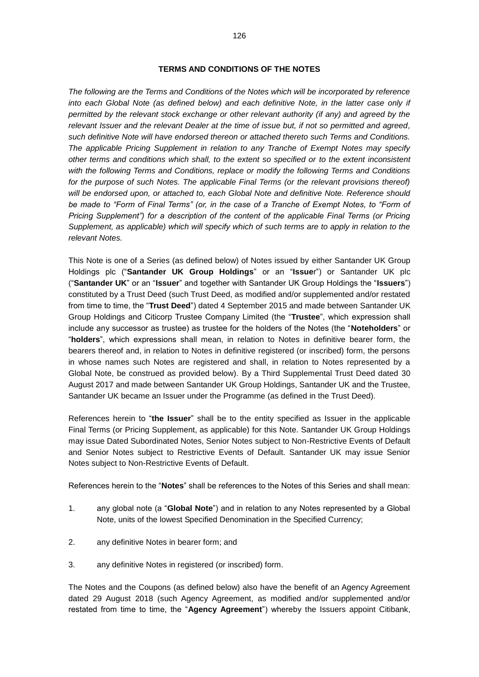#### **TERMS AND CONDITIONS OF THE NOTES**

*The following are the Terms and Conditions of the Notes which will be incorporated by reference*  into each Global Note (as defined below) and each definitive Note, in the latter case only if *permitted by the relevant stock exchange or other relevant authority (if any) and agreed by the relevant Issuer and the relevant Dealer at the time of issue but, if not so permitted and agreed, such definitive Note will have endorsed thereon or attached thereto such Terms and Conditions. The applicable Pricing Supplement in relation to any Tranche of Exempt Notes may specify other terms and conditions which shall, to the extent so specified or to the extent inconsistent with the following Terms and Conditions, replace or modify the following Terms and Conditions*  for the purpose of such Notes. The applicable Final Terms (or the relevant provisions thereof) *will be endorsed upon, or attached to, each Global Note and definitive Note. Reference should*  be made to "Form of Final Terms" (or, in the case of a Tranche of Exempt Notes, to "Form of *Pricing Supplement") for a description of the content of the applicable Final Terms (or Pricing Supplement, as applicable) which will specify which of such terms are to apply in relation to the relevant Notes.*

This Note is one of a Series (as defined below) of Notes issued by either Santander UK Group Holdings plc ("**Santander UK Group Holdings**" or an "**Issue**r") or Santander UK plc ("**Santander UK**" or an "**Issuer**" and together with Santander UK Group Holdings the "**Issuers**") constituted by a Trust Deed (such Trust Deed, as modified and/or supplemented and/or restated from time to time, the "**Trust Deed**") dated 4 September 2015 and made between Santander UK Group Holdings and Citicorp Trustee Company Limited (the "**Trustee**", which expression shall include any successor as trustee) as trustee for the holders of the Notes (the "**Noteholders**" or "**holders**", which expressions shall mean, in relation to Notes in definitive bearer form, the bearers thereof and, in relation to Notes in definitive registered (or inscribed) form, the persons in whose names such Notes are registered and shall, in relation to Notes represented by a Global Note, be construed as provided below). By a Third Supplemental Trust Deed dated 30 August 2017 and made between Santander UK Group Holdings, Santander UK and the Trustee, Santander UK became an Issuer under the Programme (as defined in the Trust Deed).

References herein to "**the Issuer**" shall be to the entity specified as Issuer in the applicable Final Terms (or Pricing Supplement, as applicable) for this Note. Santander UK Group Holdings may issue Dated Subordinated Notes, Senior Notes subject to Non-Restrictive Events of Default and Senior Notes subject to Restrictive Events of Default. Santander UK may issue Senior Notes subject to Non-Restrictive Events of Default.

References herein to the "**Notes**" shall be references to the Notes of this Series and shall mean:

- 1. any global note (a "**Global Note**") and in relation to any Notes represented by a Global Note, units of the lowest Specified Denomination in the Specified Currency;
- 2. any definitive Notes in bearer form; and
- 3. any definitive Notes in registered (or inscribed) form.

The Notes and the Coupons (as defined below) also have the benefit of an Agency Agreement dated 29 August 2018 (such Agency Agreement, as modified and/or supplemented and/or restated from time to time, the "**Agency Agreement**") whereby the Issuers appoint Citibank,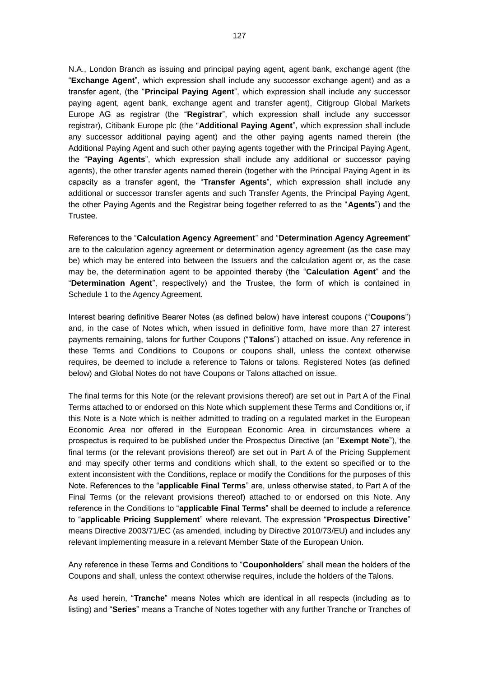N.A., London Branch as issuing and principal paying agent, agent bank, exchange agent (the "**Exchange Agent**", which expression shall include any successor exchange agent) and as a transfer agent, (the "**Principal Paying Agent**", which expression shall include any successor paying agent, agent bank, exchange agent and transfer agent), Citigroup Global Markets Europe AG as registrar (the "**Registrar**", which expression shall include any successor registrar), Citibank Europe plc (the "**Additional Paying Agent**", which expression shall include any successor additional paying agent) and the other paying agents named therein (the Additional Paying Agent and such other paying agents together with the Principal Paying Agent, the "**Paying Agents**", which expression shall include any additional or successor paying agents), the other transfer agents named therein (together with the Principal Paying Agent in its capacity as a transfer agent, the "**Transfer Agents**", which expression shall include any additional or successor transfer agents and such Transfer Agents, the Principal Paying Agent, the other Paying Agents and the Registrar being together referred to as the "**Agents**") and the Trustee.

References to the "**Calculation Agency Agreement**" and "**Determination Agency Agreement**" are to the calculation agency agreement or determination agency agreement (as the case may be) which may be entered into between the Issuers and the calculation agent or, as the case may be, the determination agent to be appointed thereby (the "**Calculation Agent**" and the "**Determination Agent**", respectively) and the Trustee, the form of which is contained in Schedule 1 to the Agency Agreement.

Interest bearing definitive Bearer Notes (as defined below) have interest coupons ("**Coupons**") and, in the case of Notes which, when issued in definitive form, have more than 27 interest payments remaining, talons for further Coupons ("**Talons**") attached on issue. Any reference in these Terms and Conditions to Coupons or coupons shall, unless the context otherwise requires, be deemed to include a reference to Talons or talons. Registered Notes (as defined below) and Global Notes do not have Coupons or Talons attached on issue.

The final terms for this Note (or the relevant provisions thereof) are set out in Part A of the Final Terms attached to or endorsed on this Note which supplement these Terms and Conditions or, if this Note is a Note which is neither admitted to trading on a regulated market in the European Economic Area nor offered in the European Economic Area in circumstances where a prospectus is required to be published under the Prospectus Directive (an "**Exempt Note**"), the final terms (or the relevant provisions thereof) are set out in Part A of the Pricing Supplement and may specify other terms and conditions which shall, to the extent so specified or to the extent inconsistent with the Conditions, replace or modify the Conditions for the purposes of this Note. References to the "**applicable Final Terms**" are, unless otherwise stated, to Part A of the Final Terms (or the relevant provisions thereof) attached to or endorsed on this Note. Any reference in the Conditions to "**applicable Final Terms**" shall be deemed to include a reference to "**applicable Pricing Supplement**" where relevant. The expression "**Prospectus Directive**" means Directive 2003/71/EC (as amended, including by Directive 2010/73/EU) and includes any relevant implementing measure in a relevant Member State of the European Union.

Any reference in these Terms and Conditions to "**Couponholders**" shall mean the holders of the Coupons and shall, unless the context otherwise requires, include the holders of the Talons.

As used herein, "**Tranche**" means Notes which are identical in all respects (including as to listing) and "**Series**" means a Tranche of Notes together with any further Tranche or Tranches of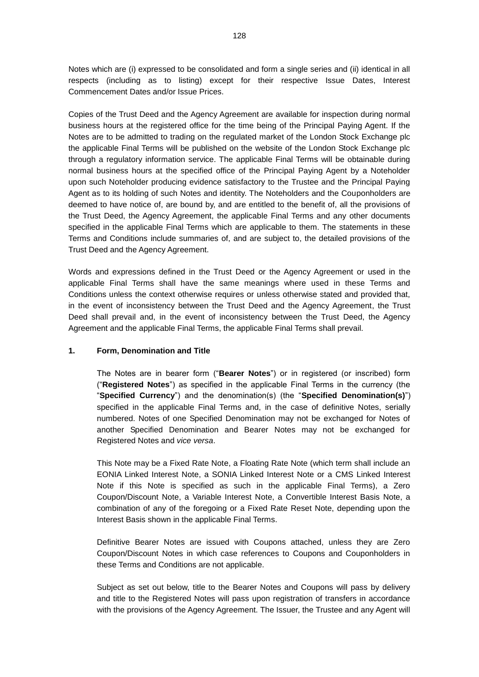Notes which are (i) expressed to be consolidated and form a single series and (ii) identical in all respects (including as to listing) except for their respective Issue Dates, Interest Commencement Dates and/or Issue Prices.

Copies of the Trust Deed and the Agency Agreement are available for inspection during normal business hours at the registered office for the time being of the Principal Paying Agent. If the Notes are to be admitted to trading on the regulated market of the London Stock Exchange plc the applicable Final Terms will be published on the website of the London Stock Exchange plc through a regulatory information service. The applicable Final Terms will be obtainable during normal business hours at the specified office of the Principal Paying Agent by a Noteholder upon such Noteholder producing evidence satisfactory to the Trustee and the Principal Paying Agent as to its holding of such Notes and identity. The Noteholders and the Couponholders are deemed to have notice of, are bound by, and are entitled to the benefit of, all the provisions of the Trust Deed, the Agency Agreement, the applicable Final Terms and any other documents specified in the applicable Final Terms which are applicable to them. The statements in these Terms and Conditions include summaries of, and are subject to, the detailed provisions of the Trust Deed and the Agency Agreement.

Words and expressions defined in the Trust Deed or the Agency Agreement or used in the applicable Final Terms shall have the same meanings where used in these Terms and Conditions unless the context otherwise requires or unless otherwise stated and provided that, in the event of inconsistency between the Trust Deed and the Agency Agreement, the Trust Deed shall prevail and, in the event of inconsistency between the Trust Deed, the Agency Agreement and the applicable Final Terms, the applicable Final Terms shall prevail.

## **1. Form, Denomination and Title**

The Notes are in bearer form ("**Bearer Notes**") or in registered (or inscribed) form ("**Registered Notes**") as specified in the applicable Final Terms in the currency (the "**Specified Currency**") and the denomination(s) (the "**Specified Denomination(s)**") specified in the applicable Final Terms and, in the case of definitive Notes, serially numbered. Notes of one Specified Denomination may not be exchanged for Notes of another Specified Denomination and Bearer Notes may not be exchanged for Registered Notes and *vice versa*.

This Note may be a Fixed Rate Note, a Floating Rate Note (which term shall include an EONIA Linked Interest Note, a SONIA Linked Interest Note or a CMS Linked Interest Note if this Note is specified as such in the applicable Final Terms), a Zero Coupon/Discount Note, a Variable Interest Note, a Convertible Interest Basis Note, a combination of any of the foregoing or a Fixed Rate Reset Note, depending upon the Interest Basis shown in the applicable Final Terms.

Definitive Bearer Notes are issued with Coupons attached, unless they are Zero Coupon/Discount Notes in which case references to Coupons and Couponholders in these Terms and Conditions are not applicable.

Subject as set out below, title to the Bearer Notes and Coupons will pass by delivery and title to the Registered Notes will pass upon registration of transfers in accordance with the provisions of the Agency Agreement. The Issuer, the Trustee and any Agent will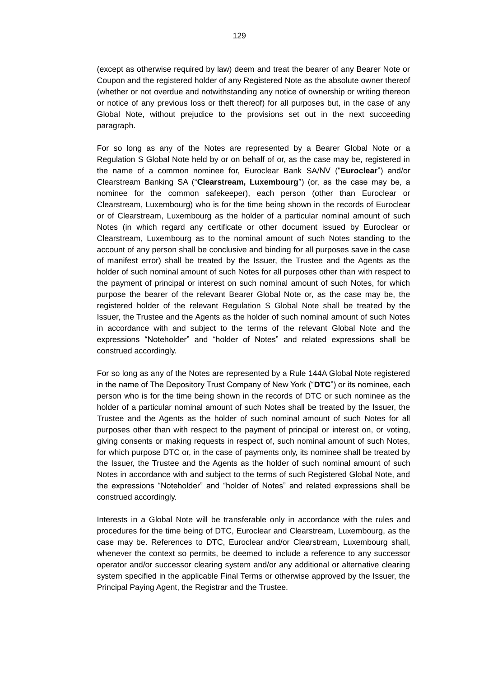(except as otherwise required by law) deem and treat the bearer of any Bearer Note or Coupon and the registered holder of any Registered Note as the absolute owner thereof (whether or not overdue and notwithstanding any notice of ownership or writing thereon or notice of any previous loss or theft thereof) for all purposes but, in the case of any Global Note, without prejudice to the provisions set out in the next succeeding paragraph.

For so long as any of the Notes are represented by a Bearer Global Note or a Regulation S Global Note held by or on behalf of or, as the case may be, registered in the name of a common nominee for, Euroclear Bank SA/NV ("**Euroclear**") and/or Clearstream Banking SA ("**Clearstream, Luxembourg**") (or, as the case may be, a nominee for the common safekeeper), each person (other than Euroclear or Clearstream, Luxembourg) who is for the time being shown in the records of Euroclear or of Clearstream, Luxembourg as the holder of a particular nominal amount of such Notes (in which regard any certificate or other document issued by Euroclear or Clearstream, Luxembourg as to the nominal amount of such Notes standing to the account of any person shall be conclusive and binding for all purposes save in the case of manifest error) shall be treated by the Issuer, the Trustee and the Agents as the holder of such nominal amount of such Notes for all purposes other than with respect to the payment of principal or interest on such nominal amount of such Notes, for which purpose the bearer of the relevant Bearer Global Note or, as the case may be, the registered holder of the relevant Regulation S Global Note shall be treated by the Issuer, the Trustee and the Agents as the holder of such nominal amount of such Notes in accordance with and subject to the terms of the relevant Global Note and the expressions "Noteholder" and "holder of Notes" and related expressions shall be construed accordingly.

For so long as any of the Notes are represented by a Rule 144A Global Note registered in the name of The Depository Trust Company of New York ("**DTC**") or its nominee, each person who is for the time being shown in the records of DTC or such nominee as the holder of a particular nominal amount of such Notes shall be treated by the Issuer, the Trustee and the Agents as the holder of such nominal amount of such Notes for all purposes other than with respect to the payment of principal or interest on, or voting, giving consents or making requests in respect of, such nominal amount of such Notes, for which purpose DTC or, in the case of payments only, its nominee shall be treated by the Issuer, the Trustee and the Agents as the holder of such nominal amount of such Notes in accordance with and subject to the terms of such Registered Global Note, and the expressions "Noteholder" and "holder of Notes" and related expressions shall be construed accordingly.

Interests in a Global Note will be transferable only in accordance with the rules and procedures for the time being of DTC, Euroclear and Clearstream, Luxembourg, as the case may be. References to DTC, Euroclear and/or Clearstream, Luxembourg shall, whenever the context so permits, be deemed to include a reference to any successor operator and/or successor clearing system and/or any additional or alternative clearing system specified in the applicable Final Terms or otherwise approved by the Issuer, the Principal Paying Agent, the Registrar and the Trustee.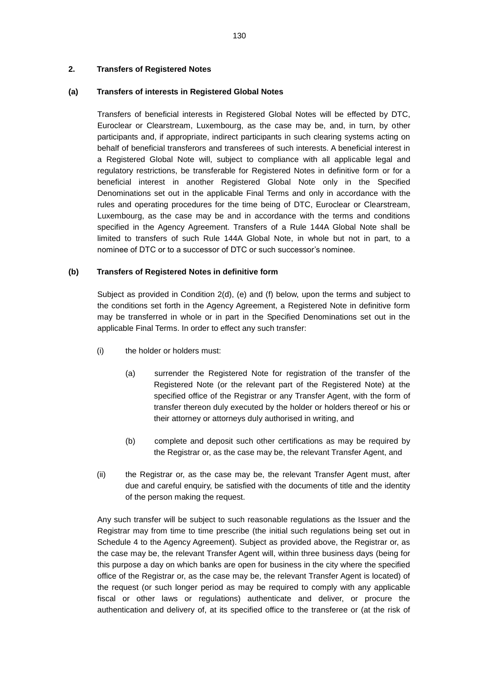## **2. Transfers of Registered Notes**

### **(a) Transfers of interests in Registered Global Notes**

Transfers of beneficial interests in Registered Global Notes will be effected by DTC, Euroclear or Clearstream, Luxembourg, as the case may be, and, in turn, by other participants and, if appropriate, indirect participants in such clearing systems acting on behalf of beneficial transferors and transferees of such interests. A beneficial interest in a Registered Global Note will, subject to compliance with all applicable legal and regulatory restrictions, be transferable for Registered Notes in definitive form or for a beneficial interest in another Registered Global Note only in the Specified Denominations set out in the applicable Final Terms and only in accordance with the rules and operating procedures for the time being of DTC, Euroclear or Clearstream, Luxembourg, as the case may be and in accordance with the terms and conditions specified in the Agency Agreement. Transfers of a Rule 144A Global Note shall be limited to transfers of such Rule 144A Global Note, in whole but not in part, to a nominee of DTC or to a successor of DTC or such successor's nominee.

### **(b) Transfers of Registered Notes in definitive form**

Subject as provided in Condition 2(d), (e) and (f) below, upon the terms and subject to the conditions set forth in the Agency Agreement, a Registered Note in definitive form may be transferred in whole or in part in the Specified Denominations set out in the applicable Final Terms. In order to effect any such transfer:

- (i) the holder or holders must:
	- (a) surrender the Registered Note for registration of the transfer of the Registered Note (or the relevant part of the Registered Note) at the specified office of the Registrar or any Transfer Agent, with the form of transfer thereon duly executed by the holder or holders thereof or his or their attorney or attorneys duly authorised in writing, and
	- (b) complete and deposit such other certifications as may be required by the Registrar or, as the case may be, the relevant Transfer Agent, and
- (ii) the Registrar or, as the case may be, the relevant Transfer Agent must, after due and careful enquiry, be satisfied with the documents of title and the identity of the person making the request.

Any such transfer will be subject to such reasonable regulations as the Issuer and the Registrar may from time to time prescribe (the initial such regulations being set out in Schedule 4 to the Agency Agreement). Subject as provided above, the Registrar or, as the case may be, the relevant Transfer Agent will, within three business days (being for this purpose a day on which banks are open for business in the city where the specified office of the Registrar or, as the case may be, the relevant Transfer Agent is located) of the request (or such longer period as may be required to comply with any applicable fiscal or other laws or regulations) authenticate and deliver, or procure the authentication and delivery of, at its specified office to the transferee or (at the risk of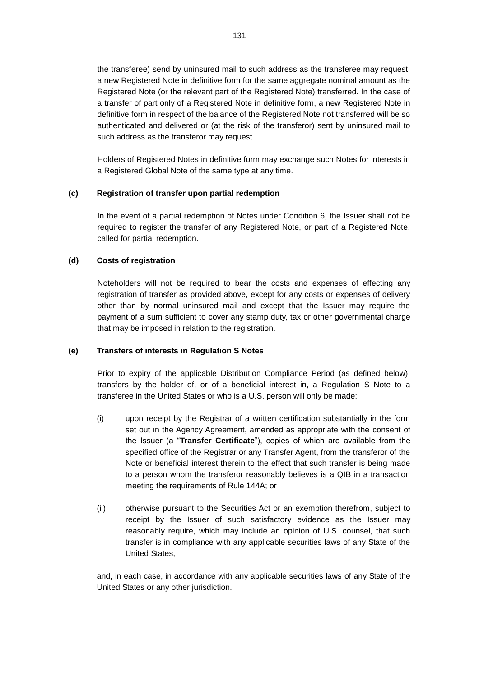the transferee) send by uninsured mail to such address as the transferee may request, a new Registered Note in definitive form for the same aggregate nominal amount as the Registered Note (or the relevant part of the Registered Note) transferred. In the case of a transfer of part only of a Registered Note in definitive form, a new Registered Note in definitive form in respect of the balance of the Registered Note not transferred will be so authenticated and delivered or (at the risk of the transferor) sent by uninsured mail to such address as the transferor may request.

Holders of Registered Notes in definitive form may exchange such Notes for interests in a Registered Global Note of the same type at any time.

## **(c) Registration of transfer upon partial redemption**

In the event of a partial redemption of Notes under Condition 6, the Issuer shall not be required to register the transfer of any Registered Note, or part of a Registered Note, called for partial redemption.

# **(d) Costs of registration**

Noteholders will not be required to bear the costs and expenses of effecting any registration of transfer as provided above, except for any costs or expenses of delivery other than by normal uninsured mail and except that the Issuer may require the payment of a sum sufficient to cover any stamp duty, tax or other governmental charge that may be imposed in relation to the registration.

## **(e) Transfers of interests in Regulation S Notes**

Prior to expiry of the applicable Distribution Compliance Period (as defined below), transfers by the holder of, or of a beneficial interest in, a Regulation S Note to a transferee in the United States or who is a U.S. person will only be made:

- (i) upon receipt by the Registrar of a written certification substantially in the form set out in the Agency Agreement, amended as appropriate with the consent of the Issuer (a "**Transfer Certificate**"), copies of which are available from the specified office of the Registrar or any Transfer Agent, from the transferor of the Note or beneficial interest therein to the effect that such transfer is being made to a person whom the transferor reasonably believes is a QIB in a transaction meeting the requirements of Rule 144A; or
- (ii) otherwise pursuant to the Securities Act or an exemption therefrom, subject to receipt by the Issuer of such satisfactory evidence as the Issuer may reasonably require, which may include an opinion of U.S. counsel, that such transfer is in compliance with any applicable securities laws of any State of the United States,

and, in each case, in accordance with any applicable securities laws of any State of the United States or any other jurisdiction.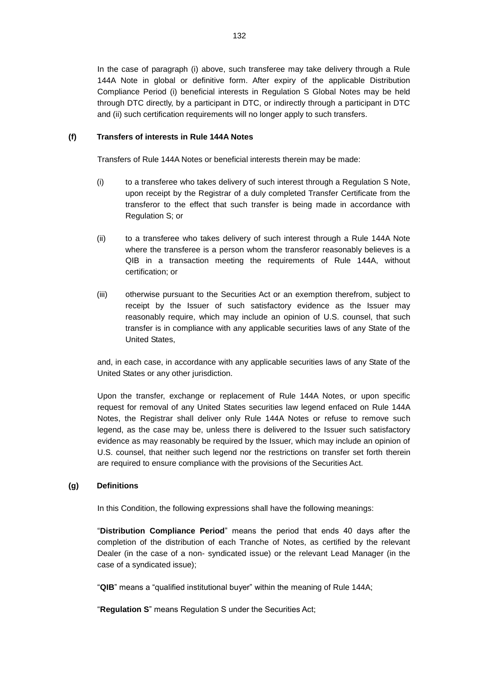In the case of paragraph (i) above, such transferee may take delivery through a Rule 144A Note in global or definitive form. After expiry of the applicable Distribution Compliance Period (i) beneficial interests in Regulation S Global Notes may be held through DTC directly, by a participant in DTC, or indirectly through a participant in DTC and (ii) such certification requirements will no longer apply to such transfers.

## **(f) Transfers of interests in Rule 144A Notes**

Transfers of Rule 144A Notes or beneficial interests therein may be made:

- (i) to a transferee who takes delivery of such interest through a Regulation S Note, upon receipt by the Registrar of a duly completed Transfer Certificate from the transferor to the effect that such transfer is being made in accordance with Regulation S; or
- (ii) to a transferee who takes delivery of such interest through a Rule 144A Note where the transferee is a person whom the transferor reasonably believes is a QIB in a transaction meeting the requirements of Rule 144A, without certification; or
- (iii) otherwise pursuant to the Securities Act or an exemption therefrom, subject to receipt by the Issuer of such satisfactory evidence as the Issuer may reasonably require, which may include an opinion of U.S. counsel, that such transfer is in compliance with any applicable securities laws of any State of the United States,

and, in each case, in accordance with any applicable securities laws of any State of the United States or any other jurisdiction.

Upon the transfer, exchange or replacement of Rule 144A Notes, or upon specific request for removal of any United States securities law legend enfaced on Rule 144A Notes, the Registrar shall deliver only Rule 144A Notes or refuse to remove such legend, as the case may be, unless there is delivered to the Issuer such satisfactory evidence as may reasonably be required by the Issuer, which may include an opinion of U.S. counsel, that neither such legend nor the restrictions on transfer set forth therein are required to ensure compliance with the provisions of the Securities Act.

## **(g) Definitions**

In this Condition, the following expressions shall have the following meanings:

"**Distribution Compliance Period**" means the period that ends 40 days after the completion of the distribution of each Tranche of Notes, as certified by the relevant Dealer (in the case of a non- syndicated issue) or the relevant Lead Manager (in the case of a syndicated issue);

"**QIB**" means a "qualified institutional buyer" within the meaning of Rule 144A;

"**Regulation S**" means Regulation S under the Securities Act;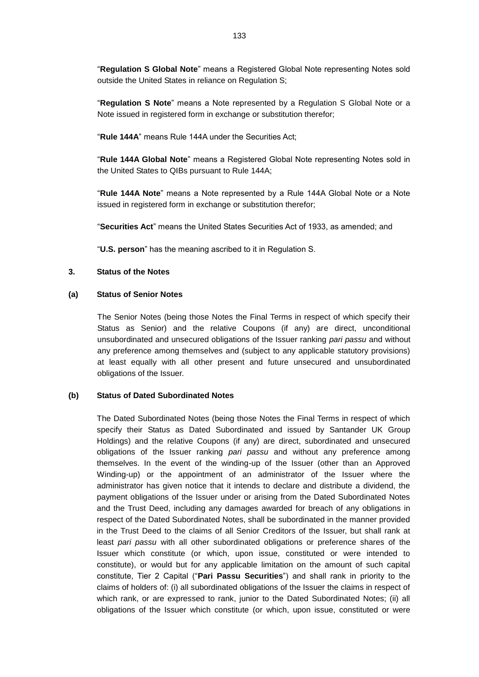"**Regulation S Global Note**" means a Registered Global Note representing Notes sold outside the United States in reliance on Regulation S;

"**Regulation S Note**" means a Note represented by a Regulation S Global Note or a Note issued in registered form in exchange or substitution therefor;

"**Rule 144A**" means Rule 144A under the Securities Act;

"**Rule 144A Global Note**" means a Registered Global Note representing Notes sold in the United States to QIBs pursuant to Rule 144A;

"**Rule 144A Note**" means a Note represented by a Rule 144A Global Note or a Note issued in registered form in exchange or substitution therefor;

"**Securities Act**" means the United States Securities Act of 1933, as amended; and

"**U.S. person**" has the meaning ascribed to it in Regulation S.

### **3. Status of the Notes**

### **(a) Status of Senior Notes**

The Senior Notes (being those Notes the Final Terms in respect of which specify their Status as Senior) and the relative Coupons (if any) are direct, unconditional unsubordinated and unsecured obligations of the Issuer ranking *pari passu* and without any preference among themselves and (subject to any applicable statutory provisions) at least equally with all other present and future unsecured and unsubordinated obligations of the Issuer.

### **(b) Status of Dated Subordinated Notes**

The Dated Subordinated Notes (being those Notes the Final Terms in respect of which specify their Status as Dated Subordinated and issued by Santander UK Group Holdings) and the relative Coupons (if any) are direct, subordinated and unsecured obligations of the Issuer ranking *pari passu* and without any preference among themselves. In the event of the winding-up of the Issuer (other than an Approved Winding-up) or the appointment of an administrator of the Issuer where the administrator has given notice that it intends to declare and distribute a dividend, the payment obligations of the Issuer under or arising from the Dated Subordinated Notes and the Trust Deed, including any damages awarded for breach of any obligations in respect of the Dated Subordinated Notes, shall be subordinated in the manner provided in the Trust Deed to the claims of all Senior Creditors of the Issuer, but shall rank at least *pari passu* with all other subordinated obligations or preference shares of the Issuer which constitute (or which, upon issue, constituted or were intended to constitute), or would but for any applicable limitation on the amount of such capital constitute, Tier 2 Capital ("**Pari Passu Securities**") and shall rank in priority to the claims of holders of: (i) all subordinated obligations of the Issuer the claims in respect of which rank, or are expressed to rank, junior to the Dated Subordinated Notes; (ii) all obligations of the Issuer which constitute (or which, upon issue, constituted or were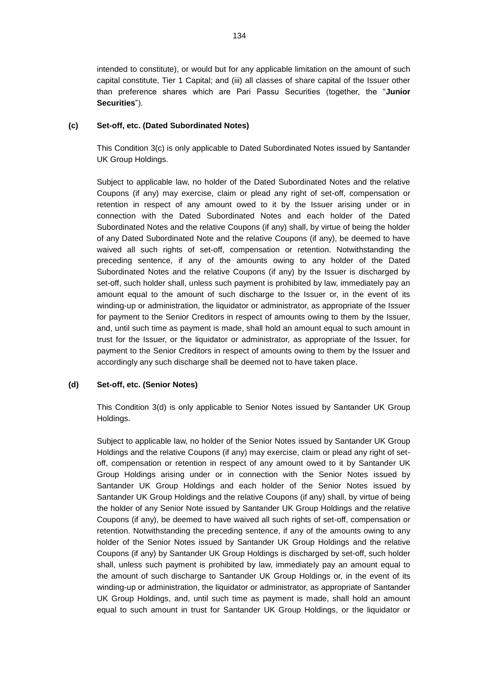intended to constitute), or would but for any applicable limitation on the amount of such capital constitute, Tier 1 Capital; and (iii) all classes of share capital of the Issuer other than preference shares which are Pari Passu Securities (together, the "**Junior Securities**").

## <span id="page-8-0"></span>**(c) Set-off, etc. (Dated Subordinated Notes)**

This Condition [3\(c\)](#page-8-0) is only applicable to Dated Subordinated Notes issued by Santander UK Group Holdings.

Subject to applicable law, no holder of the Dated Subordinated Notes and the relative Coupons (if any) may exercise, claim or plead any right of set-off, compensation or retention in respect of any amount owed to it by the Issuer arising under or in connection with the Dated Subordinated Notes and each holder of the Dated Subordinated Notes and the relative Coupons (if any) shall, by virtue of being the holder of any Dated Subordinated Note and the relative Coupons (if any), be deemed to have waived all such rights of set-off, compensation or retention. Notwithstanding the preceding sentence, if any of the amounts owing to any holder of the Dated Subordinated Notes and the relative Coupons (if any) by the Issuer is discharged by set-off, such holder shall, unless such payment is prohibited by law, immediately pay an amount equal to the amount of such discharge to the Issuer or, in the event of its winding-up or administration, the liquidator or administrator, as appropriate of the Issuer for payment to the Senior Creditors in respect of amounts owing to them by the Issuer, and, until such time as payment is made, shall hold an amount equal to such amount in trust for the Issuer, or the liquidator or administrator, as appropriate of the Issuer, for payment to the Senior Creditors in respect of amounts owing to them by the Issuer and accordingly any such discharge shall be deemed not to have taken place.

## <span id="page-8-1"></span>**(d) Set-off, etc. (Senior Notes)**

This Condition [3\(d\)](#page-8-1) is only applicable to Senior Notes issued by Santander UK Group Holdings.

Subject to applicable law, no holder of the Senior Notes issued by Santander UK Group Holdings and the relative Coupons (if any) may exercise, claim or plead any right of setoff, compensation or retention in respect of any amount owed to it by Santander UK Group Holdings arising under or in connection with the Senior Notes issued by Santander UK Group Holdings and each holder of the Senior Notes issued by Santander UK Group Holdings and the relative Coupons (if any) shall, by virtue of being the holder of any Senior Note issued by Santander UK Group Holdings and the relative Coupons (if any), be deemed to have waived all such rights of set-off, compensation or retention. Notwithstanding the preceding sentence, if any of the amounts owing to any holder of the Senior Notes issued by Santander UK Group Holdings and the relative Coupons (if any) by Santander UK Group Holdings is discharged by set-off, such holder shall, unless such payment is prohibited by law, immediately pay an amount equal to the amount of such discharge to Santander UK Group Holdings or, in the event of its winding-up or administration, the liquidator or administrator, as appropriate of Santander UK Group Holdings, and, until such time as payment is made, shall hold an amount equal to such amount in trust for Santander UK Group Holdings, or the liquidator or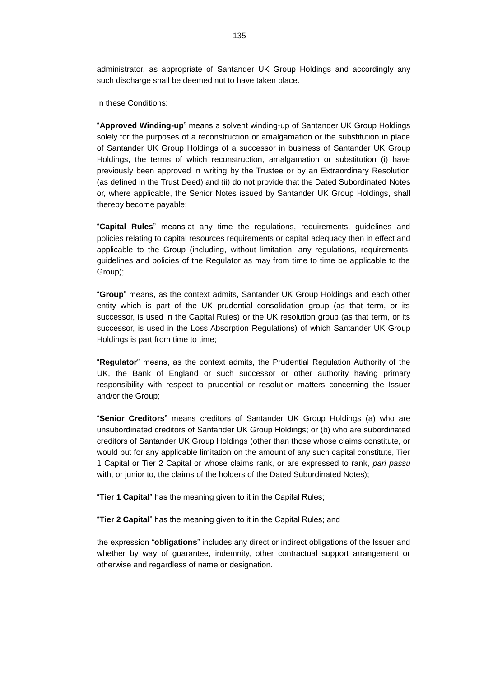administrator, as appropriate of Santander UK Group Holdings and accordingly any such discharge shall be deemed not to have taken place.

In these Conditions:

"**Approved Winding-up**" means a solvent winding-up of Santander UK Group Holdings solely for the purposes of a reconstruction or amalgamation or the substitution in place of Santander UK Group Holdings of a successor in business of Santander UK Group Holdings, the terms of which reconstruction, amalgamation or substitution (i) have previously been approved in writing by the Trustee or by an Extraordinary Resolution (as defined in the Trust Deed) and (ii) do not provide that the Dated Subordinated Notes or, where applicable, the Senior Notes issued by Santander UK Group Holdings, shall thereby become payable;

"**Capital Rules**" means at any time the regulations, requirements, guidelines and policies relating to capital resources requirements or capital adequacy then in effect and applicable to the Group (including, without limitation, any regulations, requirements, guidelines and policies of the Regulator as may from time to time be applicable to the Group);

"**Group**" means, as the context admits, Santander UK Group Holdings and each other entity which is part of the UK prudential consolidation group (as that term, or its successor, is used in the Capital Rules) or the UK resolution group (as that term, or its successor, is used in the Loss Absorption Regulations) of which Santander UK Group Holdings is part from time to time;

"**Regulator**" means, as the context admits, the Prudential Regulation Authority of the UK, the Bank of England or such successor or other authority having primary responsibility with respect to prudential or resolution matters concerning the Issuer and/or the Group;

"**Senior Creditors**" means creditors of Santander UK Group Holdings (a) who are unsubordinated creditors of Santander UK Group Holdings; or (b) who are subordinated creditors of Santander UK Group Holdings (other than those whose claims constitute, or would but for any applicable limitation on the amount of any such capital constitute, Tier 1 Capital or Tier 2 Capital or whose claims rank, or are expressed to rank, *pari passu* with, or junior to, the claims of the holders of the Dated Subordinated Notes);

"**Tier 1 Capital**" has the meaning given to it in the Capital Rules;

"**Tier 2 Capital**" has the meaning given to it in the Capital Rules; and

the expression "**obligations**" includes any direct or indirect obligations of the Issuer and whether by way of guarantee, indemnity, other contractual support arrangement or otherwise and regardless of name or designation.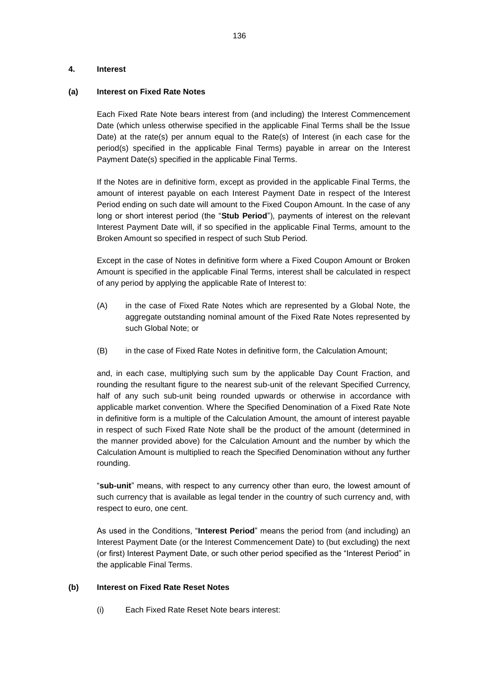### **4. Interest**

### **(a) Interest on Fixed Rate Notes**

Each Fixed Rate Note bears interest from (and including) the Interest Commencement Date (which unless otherwise specified in the applicable Final Terms shall be the Issue Date) at the rate(s) per annum equal to the Rate(s) of Interest (in each case for the period(s) specified in the applicable Final Terms) payable in arrear on the Interest Payment Date(s) specified in the applicable Final Terms.

If the Notes are in definitive form, except as provided in the applicable Final Terms, the amount of interest payable on each Interest Payment Date in respect of the Interest Period ending on such date will amount to the Fixed Coupon Amount. In the case of any long or short interest period (the "**Stub Period**"), payments of interest on the relevant Interest Payment Date will, if so specified in the applicable Final Terms, amount to the Broken Amount so specified in respect of such Stub Period.

Except in the case of Notes in definitive form where a Fixed Coupon Amount or Broken Amount is specified in the applicable Final Terms, interest shall be calculated in respect of any period by applying the applicable Rate of Interest to:

- (A) in the case of Fixed Rate Notes which are represented by a Global Note, the aggregate outstanding nominal amount of the Fixed Rate Notes represented by such Global Note; or
- (B) in the case of Fixed Rate Notes in definitive form, the Calculation Amount;

and, in each case, multiplying such sum by the applicable Day Count Fraction, and rounding the resultant figure to the nearest sub-unit of the relevant Specified Currency, half of any such sub-unit being rounded upwards or otherwise in accordance with applicable market convention. Where the Specified Denomination of a Fixed Rate Note in definitive form is a multiple of the Calculation Amount, the amount of interest payable in respect of such Fixed Rate Note shall be the product of the amount (determined in the manner provided above) for the Calculation Amount and the number by which the Calculation Amount is multiplied to reach the Specified Denomination without any further rounding.

"**sub-unit**" means, with respect to any currency other than euro, the lowest amount of such currency that is available as legal tender in the country of such currency and, with respect to euro, one cent.

As used in the Conditions, "**Interest Period**" means the period from (and including) an Interest Payment Date (or the Interest Commencement Date) to (but excluding) the next (or first) Interest Payment Date, or such other period specified as the "Interest Period" in the applicable Final Terms.

## **(b) Interest on Fixed Rate Reset Notes**

(i) Each Fixed Rate Reset Note bears interest: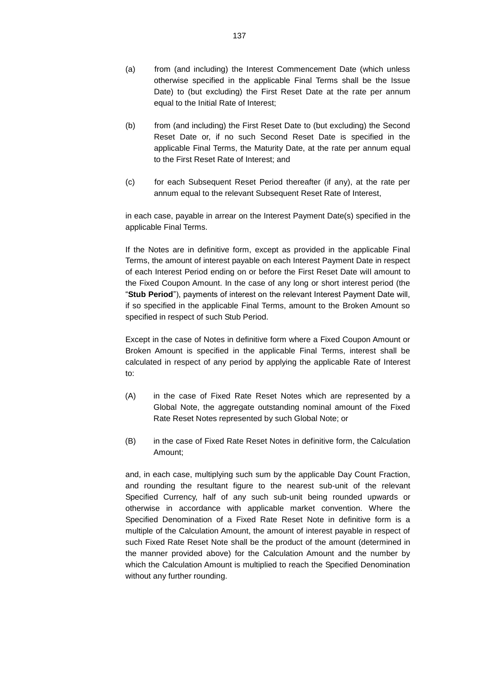- (a) from (and including) the Interest Commencement Date (which unless otherwise specified in the applicable Final Terms shall be the Issue Date) to (but excluding) the First Reset Date at the rate per annum equal to the Initial Rate of Interest;
- (b) from (and including) the First Reset Date to (but excluding) the Second Reset Date or, if no such Second Reset Date is specified in the applicable Final Terms, the Maturity Date, at the rate per annum equal to the First Reset Rate of Interest; and
- (c) for each Subsequent Reset Period thereafter (if any), at the rate per annum equal to the relevant Subsequent Reset Rate of Interest,

in each case, payable in arrear on the Interest Payment Date(s) specified in the applicable Final Terms.

If the Notes are in definitive form, except as provided in the applicable Final Terms, the amount of interest payable on each Interest Payment Date in respect of each Interest Period ending on or before the First Reset Date will amount to the Fixed Coupon Amount. In the case of any long or short interest period (the "**Stub Period**"), payments of interest on the relevant Interest Payment Date will, if so specified in the applicable Final Terms, amount to the Broken Amount so specified in respect of such Stub Period.

Except in the case of Notes in definitive form where a Fixed Coupon Amount or Broken Amount is specified in the applicable Final Terms, interest shall be calculated in respect of any period by applying the applicable Rate of Interest to:

- (A) in the case of Fixed Rate Reset Notes which are represented by a Global Note, the aggregate outstanding nominal amount of the Fixed Rate Reset Notes represented by such Global Note; or
- (B) in the case of Fixed Rate Reset Notes in definitive form, the Calculation Amount;

and, in each case, multiplying such sum by the applicable Day Count Fraction, and rounding the resultant figure to the nearest sub-unit of the relevant Specified Currency, half of any such sub-unit being rounded upwards or otherwise in accordance with applicable market convention. Where the Specified Denomination of a Fixed Rate Reset Note in definitive form is a multiple of the Calculation Amount, the amount of interest payable in respect of such Fixed Rate Reset Note shall be the product of the amount (determined in the manner provided above) for the Calculation Amount and the number by which the Calculation Amount is multiplied to reach the Specified Denomination without any further rounding.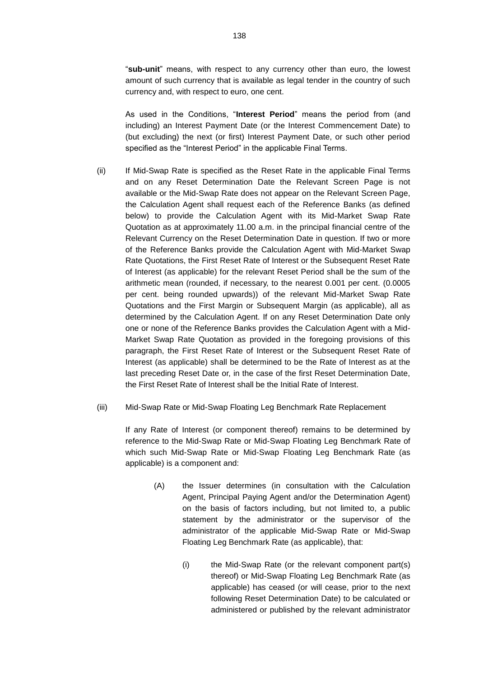"**sub-unit**" means, with respect to any currency other than euro, the lowest amount of such currency that is available as legal tender in the country of such currency and, with respect to euro, one cent.

As used in the Conditions, "**Interest Period**" means the period from (and including) an Interest Payment Date (or the Interest Commencement Date) to (but excluding) the next (or first) Interest Payment Date, or such other period specified as the "Interest Period" in the applicable Final Terms.

- <span id="page-12-1"></span>(ii) If Mid-Swap Rate is specified as the Reset Rate in the applicable Final Terms and on any Reset Determination Date the Relevant Screen Page is not available or the Mid-Swap Rate does not appear on the Relevant Screen Page, the Calculation Agent shall request each of the Reference Banks (as defined below) to provide the Calculation Agent with its Mid-Market Swap Rate Quotation as at approximately 11.00 a.m. in the principal financial centre of the Relevant Currency on the Reset Determination Date in question. If two or more of the Reference Banks provide the Calculation Agent with Mid-Market Swap Rate Quotations, the First Reset Rate of Interest or the Subsequent Reset Rate of Interest (as applicable) for the relevant Reset Period shall be the sum of the arithmetic mean (rounded, if necessary, to the nearest 0.001 per cent. (0.0005 per cent. being rounded upwards)) of the relevant Mid-Market Swap Rate Quotations and the First Margin or Subsequent Margin (as applicable), all as determined by the Calculation Agent. If on any Reset Determination Date only one or none of the Reference Banks provides the Calculation Agent with a Mid-Market Swap Rate Quotation as provided in the foregoing provisions of this paragraph, the First Reset Rate of Interest or the Subsequent Reset Rate of Interest (as applicable) shall be determined to be the Rate of Interest as at the last preceding Reset Date or, in the case of the first Reset Determination Date, the First Reset Rate of Interest shall be the Initial Rate of Interest.
- <span id="page-12-0"></span>(iii) Mid-Swap Rate or Mid-Swap Floating Leg Benchmark Rate Replacement

If any Rate of Interest (or component thereof) remains to be determined by reference to the Mid-Swap Rate or Mid-Swap Floating Leg Benchmark Rate of which such Mid-Swap Rate or Mid-Swap Floating Leg Benchmark Rate (as applicable) is a component and:

- (A) the Issuer determines (in consultation with the Calculation Agent, Principal Paying Agent and/or the Determination Agent) on the basis of factors including, but not limited to, a public statement by the administrator or the supervisor of the administrator of the applicable Mid-Swap Rate or Mid-Swap Floating Leg Benchmark Rate (as applicable), that:
	- (i) the Mid-Swap Rate (or the relevant component part(s) thereof) or Mid-Swap Floating Leg Benchmark Rate (as applicable) has ceased (or will cease, prior to the next following Reset Determination Date) to be calculated or administered or published by the relevant administrator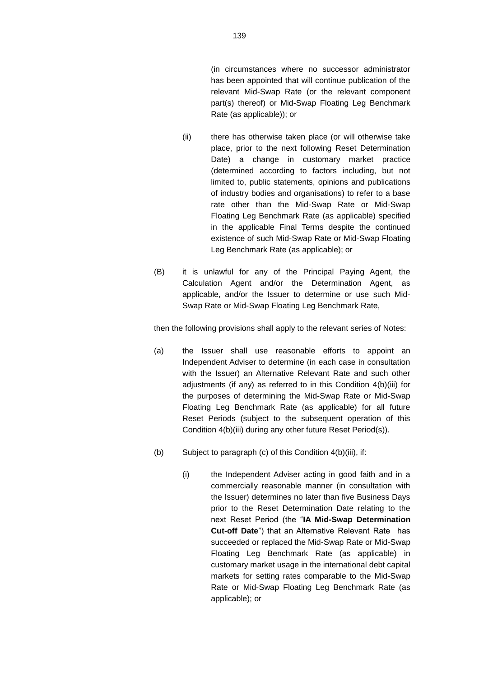(in circumstances where no successor administrator has been appointed that will continue publication of the relevant Mid-Swap Rate (or the relevant component part(s) thereof) or Mid-Swap Floating Leg Benchmark Rate (as applicable)); or

- (ii) there has otherwise taken place (or will otherwise take place, prior to the next following Reset Determination Date) a change in customary market practice (determined according to factors including, but not limited to, public statements, opinions and publications of industry bodies and organisations) to refer to a base rate other than the Mid-Swap Rate or Mid-Swap Floating Leg Benchmark Rate (as applicable) specified in the applicable Final Terms despite the continued existence of such Mid-Swap Rate or Mid-Swap Floating Leg Benchmark Rate (as applicable); or
- (B) it is unlawful for any of the Principal Paying Agent, the Calculation Agent and/or the Determination Agent, as applicable, and/or the Issuer to determine or use such Mid-Swap Rate or Mid-Swap Floating Leg Benchmark Rate,

then the following provisions shall apply to the relevant series of Notes:

- (a) the Issuer shall use reasonable efforts to appoint an Independent Adviser to determine (in each case in consultation with the Issuer) an Alternative Relevant Rate and such other adjustments (if any) as referred to in this Condition [4\(b\)\(iii\)](#page-12-0) for the purposes of determining the Mid-Swap Rate or Mid-Swap Floating Leg Benchmark Rate (as applicable) for all future Reset Periods (subject to the subsequent operation of this Condition [4\(b\)\(iii\)](#page-12-0) during any other future Reset Period(s)).
- (b) Subject to paragraph (c) of this Condition [4\(b\)\(iii\),](#page-12-0) if:
	- (i) the Independent Adviser acting in good faith and in a commercially reasonable manner (in consultation with the Issuer) determines no later than five Business Days prior to the Reset Determination Date relating to the next Reset Period (the "**IA Mid-Swap Determination Cut-off Date**") that an Alternative Relevant Rate has succeeded or replaced the Mid-Swap Rate or Mid-Swap Floating Leg Benchmark Rate (as applicable) in customary market usage in the international debt capital markets for setting rates comparable to the Mid-Swap Rate or Mid-Swap Floating Leg Benchmark Rate (as applicable); or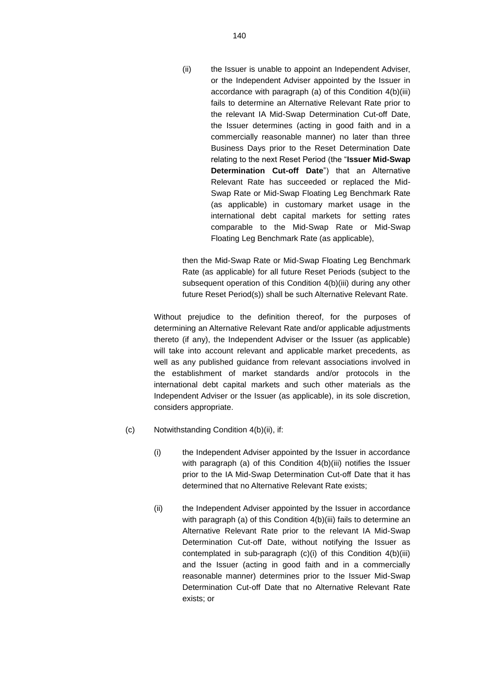(ii) the Issuer is unable to appoint an Independent Adviser, or the Independent Adviser appointed by the Issuer in accordance with paragraph (a) of this Condition [4\(b\)\(iii\)](#page-12-0) fails to determine an Alternative Relevant Rate prior to the relevant IA Mid-Swap Determination Cut-off Date, the Issuer determines (acting in good faith and in a commercially reasonable manner) no later than three Business Days prior to the Reset Determination Date relating to the next Reset Period (the "**Issuer Mid-Swap Determination Cut-off Date**") that an Alternative Relevant Rate has succeeded or replaced the Mid-Swap Rate or Mid-Swap Floating Leg Benchmark Rate (as applicable) in customary market usage in the international debt capital markets for setting rates comparable to the Mid-Swap Rate or Mid-Swap Floating Leg Benchmark Rate (as applicable),

then the Mid-Swap Rate or Mid-Swap Floating Leg Benchmark Rate (as applicable) for all future Reset Periods (subject to the subsequent operation of this Condition [4\(b\)\(iii\)](#page-12-0) during any other future Reset Period(s)) shall be such Alternative Relevant Rate.

Without prejudice to the definition thereof, for the purposes of determining an Alternative Relevant Rate and/or applicable adjustments thereto (if any), the Independent Adviser or the Issuer (as applicable) will take into account relevant and applicable market precedents, as well as any published guidance from relevant associations involved in the establishment of market standards and/or protocols in the international debt capital markets and such other materials as the Independent Adviser or the Issuer (as applicable), in its sole discretion, considers appropriate.

- (c) Notwithstanding Condition [4\(b\)\(ii\),](#page-12-1) if:
	- (i) the Independent Adviser appointed by the Issuer in accordance with paragraph (a) of this Condition [4\(b\)\(iii\)](#page-12-0) notifies the Issuer prior to the IA Mid-Swap Determination Cut-off Date that it has determined that no Alternative Relevant Rate exists;
	- (ii) the Independent Adviser appointed by the Issuer in accordance with paragraph (a) of this Condition [4\(b\)\(iii\)](#page-12-0) fails to determine an Alternative Relevant Rate prior to the relevant IA Mid-Swap Determination Cut-off Date, without notifying the Issuer as contemplated in sub-paragraph (c)(i) of this Condition 4(b)(iii) and the Issuer (acting in good faith and in a commercially reasonable manner) determines prior to the Issuer Mid-Swap Determination Cut-off Date that no Alternative Relevant Rate exists; or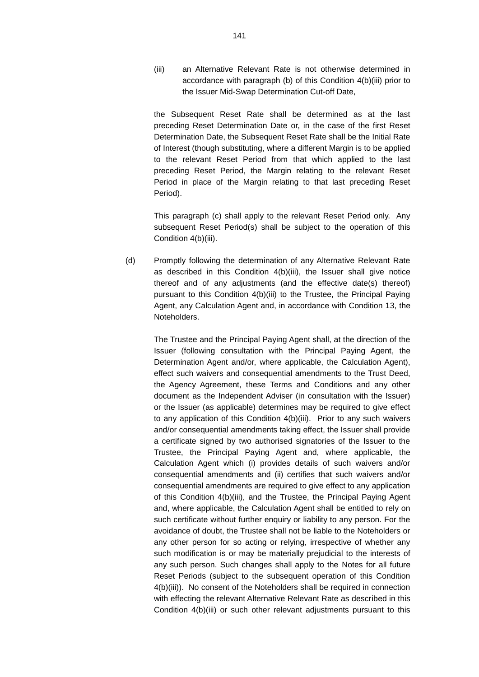(iii) an Alternative Relevant Rate is not otherwise determined in accordance with paragraph (b) of this Condition [4\(b\)\(iii\)](#page-12-0) prior to the Issuer Mid-Swap Determination Cut-off Date,

the Subsequent Reset Rate shall be determined as at the last preceding Reset Determination Date or, in the case of the first Reset Determination Date, the Subsequent Reset Rate shall be the Initial Rate of Interest (though substituting, where a different Margin is to be applied to the relevant Reset Period from that which applied to the last preceding Reset Period, the Margin relating to the relevant Reset Period in place of the Margin relating to that last preceding Reset Period).

This paragraph (c) shall apply to the relevant Reset Period only. Any subsequent Reset Period(s) shall be subject to the operation of this Condition [4\(b\)\(iii\).](#page-12-0)

(d) Promptly following the determination of any Alternative Relevant Rate as described in this Condition [4\(b\)\(iii\),](#page-12-0) the Issuer shall give notice thereof and of any adjustments (and the effective date(s) thereof) pursuant to this Condition 4(b)(iii) to the Trustee, the Principal Paying Agent, any Calculation Agent and, in accordance with Condition [13,](#page-74-0) the Noteholders.

> The Trustee and the Principal Paying Agent shall, at the direction of the Issuer (following consultation with the Principal Paying Agent, the Determination Agent and/or, where applicable, the Calculation Agent), effect such waivers and consequential amendments to the Trust Deed, the Agency Agreement, these Terms and Conditions and any other document as the Independent Adviser (in consultation with the Issuer) or the Issuer (as applicable) determines may be required to give effect to any application of this Condition [4\(b\)\(iii\).](#page-12-0) Prior to any such waivers and/or consequential amendments taking effect, the Issuer shall provide a certificate signed by two authorised signatories of the Issuer to the Trustee, the Principal Paying Agent and, where applicable, the Calculation Agent which (i) provides details of such waivers and/or consequential amendments and (ii) certifies that such waivers and/or consequential amendments are required to give effect to any application of this Condition [4\(b\)\(iii\),](#page-12-0) and the Trustee, the Principal Paying Agent and, where applicable, the Calculation Agent shall be entitled to rely on such certificate without further enquiry or liability to any person. For the avoidance of doubt, the Trustee shall not be liable to the Noteholders or any other person for so acting or relying, irrespective of whether any such modification is or may be materially prejudicial to the interests of any such person. Such changes shall apply to the Notes for all future Reset Periods (subject to the subsequent operation of this Condition [4\(b\)\(iii\)\)](#page-12-0). No consent of the Noteholders shall be required in connection with effecting the relevant Alternative Relevant Rate as described in this Condition [4\(b\)\(iii\)](#page-12-0) or such other relevant adjustments pursuant to this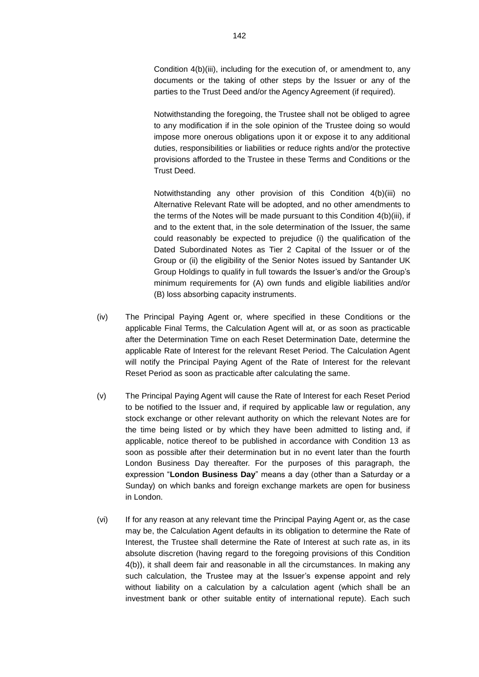Condition [4\(b\)\(iii\),](#page-12-0) including for the execution of, or amendment to, any documents or the taking of other steps by the Issuer or any of the parties to the Trust Deed and/or the Agency Agreement (if required).

Notwithstanding the foregoing, the Trustee shall not be obliged to agree to any modification if in the sole opinion of the Trustee doing so would impose more onerous obligations upon it or expose it to any additional duties, responsibilities or liabilities or reduce rights and/or the protective provisions afforded to the Trustee in these Terms and Conditions or the Trust Deed.

Notwithstanding any other provision of this Condition [4\(b\)\(iii\)](#page-12-0) no Alternative Relevant Rate will be adopted, and no other amendments to the terms of the Notes will be made pursuant to this Condition [4\(b\)\(iii\),](#page-12-0) if and to the extent that, in the sole determination of the Issuer, the same could reasonably be expected to prejudice (i) the qualification of the Dated Subordinated Notes as Tier 2 Capital of the Issuer or of the Group or (ii) the eligibility of the Senior Notes issued by Santander UK Group Holdings to qualify in full towards the Issuer's and/or the Group's minimum requirements for (A) own funds and eligible liabilities and/or (B) loss absorbing capacity instruments.

- (iv) The Principal Paying Agent or, where specified in these Conditions or the applicable Final Terms, the Calculation Agent will at, or as soon as practicable after the Determination Time on each Reset Determination Date, determine the applicable Rate of Interest for the relevant Reset Period. The Calculation Agent will notify the Principal Paying Agent of the Rate of Interest for the relevant Reset Period as soon as practicable after calculating the same.
- (v) The Principal Paying Agent will cause the Rate of Interest for each Reset Period to be notified to the Issuer and, if required by applicable law or regulation, any stock exchange or other relevant authority on which the relevant Notes are for the time being listed or by which they have been admitted to listing and, if applicable, notice thereof to be published in accordance with Condition 13 as soon as possible after their determination but in no event later than the fourth London Business Day thereafter. For the purposes of this paragraph, the expression "**London Business Day**" means a day (other than a Saturday or a Sunday) on which banks and foreign exchange markets are open for business in London.
- (vi) If for any reason at any relevant time the Principal Paying Agent or, as the case may be, the Calculation Agent defaults in its obligation to determine the Rate of Interest, the Trustee shall determine the Rate of Interest at such rate as, in its absolute discretion (having regard to the foregoing provisions of this Condition 4(b)), it shall deem fair and reasonable in all the circumstances. In making any such calculation, the Trustee may at the Issuer's expense appoint and rely without liability on a calculation by a calculation agent (which shall be an investment bank or other suitable entity of international repute). Each such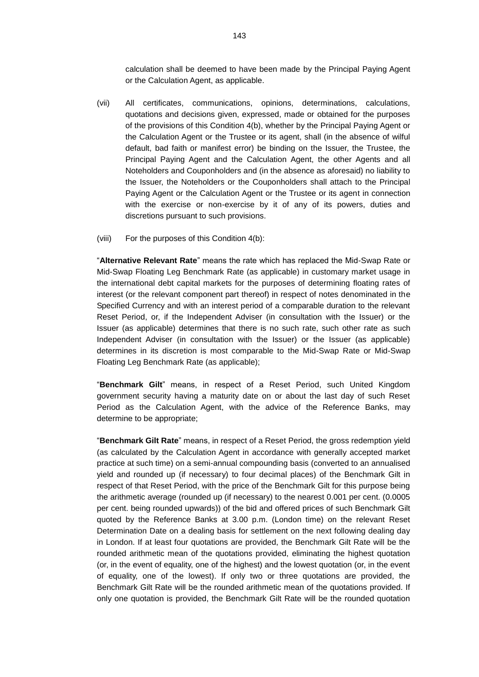calculation shall be deemed to have been made by the Principal Paying Agent or the Calculation Agent, as applicable.

- (vii) All certificates, communications, opinions, determinations, calculations, quotations and decisions given, expressed, made or obtained for the purposes of the provisions of this Condition 4(b), whether by the Principal Paying Agent or the Calculation Agent or the Trustee or its agent, shall (in the absence of wilful default, bad faith or manifest error) be binding on the Issuer, the Trustee, the Principal Paying Agent and the Calculation Agent, the other Agents and all Noteholders and Couponholders and (in the absence as aforesaid) no liability to the Issuer, the Noteholders or the Couponholders shall attach to the Principal Paying Agent or the Calculation Agent or the Trustee or its agent in connection with the exercise or non-exercise by it of any of its powers, duties and discretions pursuant to such provisions.
- (viii) For the purposes of this Condition 4(b):

"**Alternative Relevant Rate**" means the rate which has replaced the Mid-Swap Rate or Mid-Swap Floating Leg Benchmark Rate (as applicable) in customary market usage in the international debt capital markets for the purposes of determining floating rates of interest (or the relevant component part thereof) in respect of notes denominated in the Specified Currency and with an interest period of a comparable duration to the relevant Reset Period, or, if the Independent Adviser (in consultation with the Issuer) or the Issuer (as applicable) determines that there is no such rate, such other rate as such Independent Adviser (in consultation with the Issuer) or the Issuer (as applicable) determines in its discretion is most comparable to the Mid-Swap Rate or Mid-Swap Floating Leg Benchmark Rate (as applicable);

"**Benchmark Gilt**" means, in respect of a Reset Period, such United Kingdom government security having a maturity date on or about the last day of such Reset Period as the Calculation Agent, with the advice of the Reference Banks, may determine to be appropriate;

"**Benchmark Gilt Rate**" means, in respect of a Reset Period, the gross redemption yield (as calculated by the Calculation Agent in accordance with generally accepted market practice at such time) on a semi-annual compounding basis (converted to an annualised yield and rounded up (if necessary) to four decimal places) of the Benchmark Gilt in respect of that Reset Period, with the price of the Benchmark Gilt for this purpose being the arithmetic average (rounded up (if necessary) to the nearest 0.001 per cent. (0.0005 per cent. being rounded upwards)) of the bid and offered prices of such Benchmark Gilt quoted by the Reference Banks at 3.00 p.m. (London time) on the relevant Reset Determination Date on a dealing basis for settlement on the next following dealing day in London. If at least four quotations are provided, the Benchmark Gilt Rate will be the rounded arithmetic mean of the quotations provided, eliminating the highest quotation (or, in the event of equality, one of the highest) and the lowest quotation (or, in the event of equality, one of the lowest). If only two or three quotations are provided, the Benchmark Gilt Rate will be the rounded arithmetic mean of the quotations provided. If only one quotation is provided, the Benchmark Gilt Rate will be the rounded quotation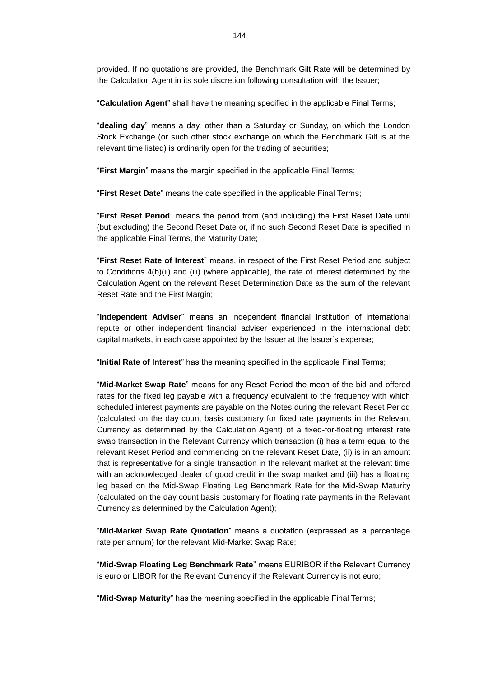provided. If no quotations are provided, the Benchmark Gilt Rate will be determined by the Calculation Agent in its sole discretion following consultation with the Issuer;

"**Calculation Agent**" shall have the meaning specified in the applicable Final Terms;

"**dealing day**" means a day, other than a Saturday or Sunday, on which the London Stock Exchange (or such other stock exchange on which the Benchmark Gilt is at the relevant time listed) is ordinarily open for the trading of securities;

"**First Margin**" means the margin specified in the applicable Final Terms;

"**First Reset Date**" means the date specified in the applicable Final Terms;

"**First Reset Period**" means the period from (and including) the First Reset Date until (but excluding) the Second Reset Date or, if no such Second Reset Date is specified in the applicable Final Terms, the Maturity Date;

"**First Reset Rate of Interest**" means, in respect of the First Reset Period and subject to Conditions 4(b)(ii) and (iii) (where applicable), the rate of interest determined by the Calculation Agent on the relevant Reset Determination Date as the sum of the relevant Reset Rate and the First Margin;

"**Independent Adviser**" means an independent financial institution of international repute or other independent financial adviser experienced in the international debt capital markets, in each case appointed by the Issuer at the Issuer's expense;

"**Initial Rate of Interest**" has the meaning specified in the applicable Final Terms;

"**Mid-Market Swap Rate**" means for any Reset Period the mean of the bid and offered rates for the fixed leg payable with a frequency equivalent to the frequency with which scheduled interest payments are payable on the Notes during the relevant Reset Period (calculated on the day count basis customary for fixed rate payments in the Relevant Currency as determined by the Calculation Agent) of a fixed-for-floating interest rate swap transaction in the Relevant Currency which transaction (i) has a term equal to the relevant Reset Period and commencing on the relevant Reset Date, (ii) is in an amount that is representative for a single transaction in the relevant market at the relevant time with an acknowledged dealer of good credit in the swap market and (iii) has a floating leg based on the Mid-Swap Floating Leg Benchmark Rate for the Mid-Swap Maturity (calculated on the day count basis customary for floating rate payments in the Relevant Currency as determined by the Calculation Agent);

"**Mid-Market Swap Rate Quotation**" means a quotation (expressed as a percentage rate per annum) for the relevant Mid-Market Swap Rate;

"**Mid-Swap Floating Leg Benchmark Rate**" means EURIBOR if the Relevant Currency is euro or LIBOR for the Relevant Currency if the Relevant Currency is not euro;

"**Mid-Swap Maturity**" has the meaning specified in the applicable Final Terms;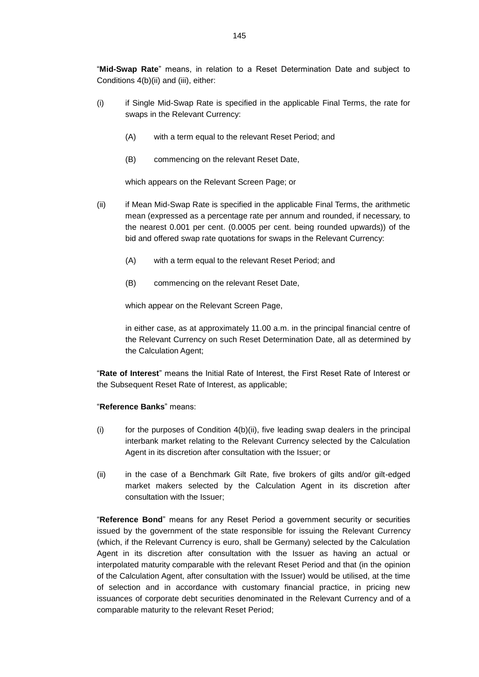"**Mid-Swap Rate**" means, in relation to a Reset Determination Date and subject to Conditions 4(b)(ii) and (iii), either:

- (i) if Single Mid-Swap Rate is specified in the applicable Final Terms, the rate for swaps in the Relevant Currency:
	- (A) with a term equal to the relevant Reset Period; and
	- (B) commencing on the relevant Reset Date,

which appears on the Relevant Screen Page; or

- (ii) if Mean Mid-Swap Rate is specified in the applicable Final Terms, the arithmetic mean (expressed as a percentage rate per annum and rounded, if necessary, to the nearest 0.001 per cent. (0.0005 per cent. being rounded upwards)) of the bid and offered swap rate quotations for swaps in the Relevant Currency:
	- (A) with a term equal to the relevant Reset Period; and
	- (B) commencing on the relevant Reset Date,

which appear on the Relevant Screen Page,

in either case, as at approximately 11.00 a.m. in the principal financial centre of the Relevant Currency on such Reset Determination Date, all as determined by the Calculation Agent;

"**Rate of Interest**" means the Initial Rate of Interest, the First Reset Rate of Interest or the Subsequent Reset Rate of Interest, as applicable;

#### "**Reference Banks**" means:

- $(i)$  for the purposes of Condition  $4(b)(ii)$ , five leading swap dealers in the principal interbank market relating to the Relevant Currency selected by the Calculation Agent in its discretion after consultation with the Issuer; or
- (ii) in the case of a Benchmark Gilt Rate, five brokers of gilts and/or gilt-edged market makers selected by the Calculation Agent in its discretion after consultation with the Issuer;

"**Reference Bond**" means for any Reset Period a government security or securities issued by the government of the state responsible for issuing the Relevant Currency (which, if the Relevant Currency is euro, shall be Germany) selected by the Calculation Agent in its discretion after consultation with the Issuer as having an actual or interpolated maturity comparable with the relevant Reset Period and that (in the opinion of the Calculation Agent, after consultation with the Issuer) would be utilised, at the time of selection and in accordance with customary financial practice, in pricing new issuances of corporate debt securities denominated in the Relevant Currency and of a comparable maturity to the relevant Reset Period;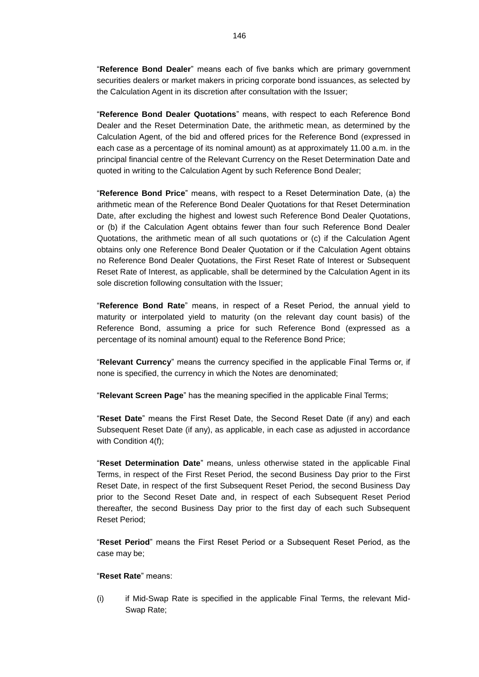"**Reference Bond Dealer**" means each of five banks which are primary government securities dealers or market makers in pricing corporate bond issuances, as selected by the Calculation Agent in its discretion after consultation with the Issuer;

"**Reference Bond Dealer Quotations**" means, with respect to each Reference Bond Dealer and the Reset Determination Date, the arithmetic mean, as determined by the Calculation Agent, of the bid and offered prices for the Reference Bond (expressed in each case as a percentage of its nominal amount) as at approximately 11.00 a.m. in the principal financial centre of the Relevant Currency on the Reset Determination Date and quoted in writing to the Calculation Agent by such Reference Bond Dealer;

"**Reference Bond Price**" means, with respect to a Reset Determination Date, (a) the arithmetic mean of the Reference Bond Dealer Quotations for that Reset Determination Date, after excluding the highest and lowest such Reference Bond Dealer Quotations, or (b) if the Calculation Agent obtains fewer than four such Reference Bond Dealer Quotations, the arithmetic mean of all such quotations or (c) if the Calculation Agent obtains only one Reference Bond Dealer Quotation or if the Calculation Agent obtains no Reference Bond Dealer Quotations, the First Reset Rate of Interest or Subsequent Reset Rate of Interest, as applicable, shall be determined by the Calculation Agent in its sole discretion following consultation with the Issuer;

"**Reference Bond Rate**" means, in respect of a Reset Period, the annual yield to maturity or interpolated yield to maturity (on the relevant day count basis) of the Reference Bond, assuming a price for such Reference Bond (expressed as a percentage of its nominal amount) equal to the Reference Bond Price;

"**Relevant Currency**" means the currency specified in the applicable Final Terms or, if none is specified, the currency in which the Notes are denominated;

"**Relevant Screen Page**" has the meaning specified in the applicable Final Terms;

"**Reset Date**" means the First Reset Date, the Second Reset Date (if any) and each Subsequent Reset Date (if any), as applicable, in each case as adjusted in accordance with Condition 4(f);

"**Reset Determination Date**" means, unless otherwise stated in the applicable Final Terms, in respect of the First Reset Period, the second Business Day prior to the First Reset Date, in respect of the first Subsequent Reset Period, the second Business Day prior to the Second Reset Date and, in respect of each Subsequent Reset Period thereafter, the second Business Day prior to the first day of each such Subsequent Reset Period;

"**Reset Period**" means the First Reset Period or a Subsequent Reset Period, as the case may be;

## "**Reset Rate**" means:

(i) if Mid-Swap Rate is specified in the applicable Final Terms, the relevant Mid-Swap Rate;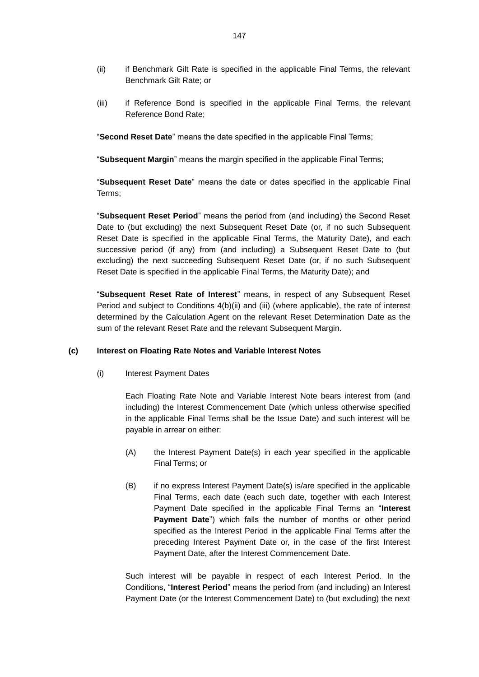- (ii) if Benchmark Gilt Rate is specified in the applicable Final Terms, the relevant Benchmark Gilt Rate; or
- (iii) if Reference Bond is specified in the applicable Final Terms, the relevant Reference Bond Rate;

"**Second Reset Date**" means the date specified in the applicable Final Terms;

"**Subsequent Margin**" means the margin specified in the applicable Final Terms;

"**Subsequent Reset Date**" means the date or dates specified in the applicable Final Terms;

"**Subsequent Reset Period**" means the period from (and including) the Second Reset Date to (but excluding) the next Subsequent Reset Date (or, if no such Subsequent Reset Date is specified in the applicable Final Terms, the Maturity Date), and each successive period (if any) from (and including) a Subsequent Reset Date to (but excluding) the next succeeding Subsequent Reset Date (or, if no such Subsequent Reset Date is specified in the applicable Final Terms, the Maturity Date); and

"**Subsequent Reset Rate of Interest**" means, in respect of any Subsequent Reset Period and subject to Conditions 4(b)(ii) and (iii) (where applicable), the rate of interest determined by the Calculation Agent on the relevant Reset Determination Date as the sum of the relevant Reset Rate and the relevant Subsequent Margin.

## **(c) Interest on Floating Rate Notes and Variable Interest Notes**

(i) Interest Payment Dates

Each Floating Rate Note and Variable Interest Note bears interest from (and including) the Interest Commencement Date (which unless otherwise specified in the applicable Final Terms shall be the Issue Date) and such interest will be payable in arrear on either:

- (A) the Interest Payment Date(s) in each year specified in the applicable Final Terms; or
- (B) if no express Interest Payment Date(s) is/are specified in the applicable Final Terms, each date (each such date, together with each Interest Payment Date specified in the applicable Final Terms an "**Interest Payment Date**") which falls the number of months or other period specified as the Interest Period in the applicable Final Terms after the preceding Interest Payment Date or, in the case of the first Interest Payment Date, after the Interest Commencement Date.

Such interest will be payable in respect of each Interest Period. In the Conditions, "**Interest Period**" means the period from (and including) an Interest Payment Date (or the Interest Commencement Date) to (but excluding) the next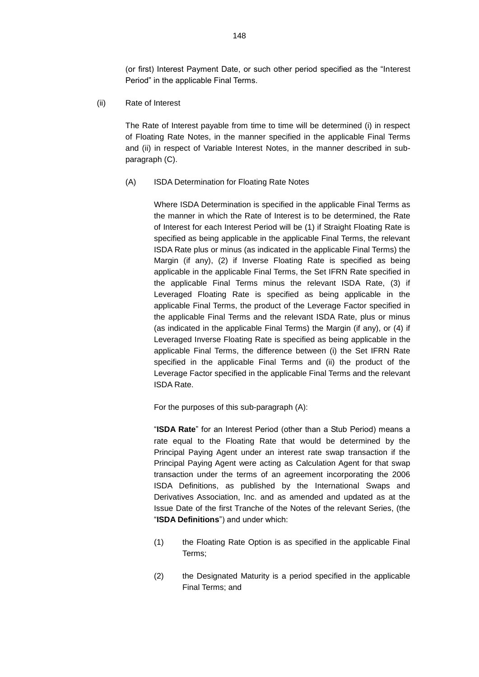(or first) Interest Payment Date, or such other period specified as the "Interest Period" in the applicable Final Terms.

(ii) Rate of Interest

The Rate of Interest payable from time to time will be determined (i) in respect of Floating Rate Notes, in the manner specified in the applicable Final Terms and (ii) in respect of Variable Interest Notes, in the manner described in subparagraph (C).

(A) ISDA Determination for Floating Rate Notes

Where ISDA Determination is specified in the applicable Final Terms as the manner in which the Rate of Interest is to be determined, the Rate of Interest for each Interest Period will be (1) if Straight Floating Rate is specified as being applicable in the applicable Final Terms, the relevant ISDA Rate plus or minus (as indicated in the applicable Final Terms) the Margin (if any), (2) if Inverse Floating Rate is specified as being applicable in the applicable Final Terms, the Set IFRN Rate specified in the applicable Final Terms minus the relevant ISDA Rate, (3) if Leveraged Floating Rate is specified as being applicable in the applicable Final Terms, the product of the Leverage Factor specified in the applicable Final Terms and the relevant ISDA Rate, plus or minus (as indicated in the applicable Final Terms) the Margin (if any), or (4) if Leveraged Inverse Floating Rate is specified as being applicable in the applicable Final Terms, the difference between (i) the Set IFRN Rate specified in the applicable Final Terms and (ii) the product of the Leverage Factor specified in the applicable Final Terms and the relevant ISDA Rate.

For the purposes of this sub-paragraph (A):

"**ISDA Rate**" for an Interest Period (other than a Stub Period) means a rate equal to the Floating Rate that would be determined by the Principal Paying Agent under an interest rate swap transaction if the Principal Paying Agent were acting as Calculation Agent for that swap transaction under the terms of an agreement incorporating the 2006 ISDA Definitions, as published by the International Swaps and Derivatives Association, Inc. and as amended and updated as at the Issue Date of the first Tranche of the Notes of the relevant Series, (the "**ISDA Definitions**") and under which:

- (1) the Floating Rate Option is as specified in the applicable Final Terms;
- (2) the Designated Maturity is a period specified in the applicable Final Terms; and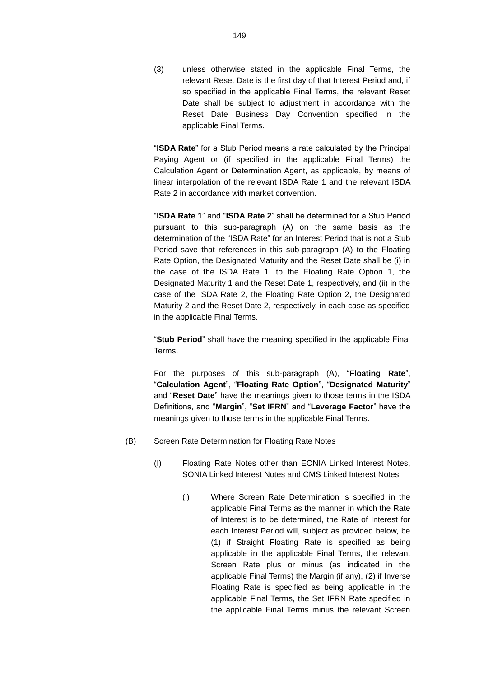(3) unless otherwise stated in the applicable Final Terms, the relevant Reset Date is the first day of that Interest Period and, if so specified in the applicable Final Terms, the relevant Reset Date shall be subject to adjustment in accordance with the Reset Date Business Day Convention specified in the applicable Final Terms.

"**ISDA Rate**" for a Stub Period means a rate calculated by the Principal Paying Agent or (if specified in the applicable Final Terms) the Calculation Agent or Determination Agent, as applicable, by means of linear interpolation of the relevant ISDA Rate 1 and the relevant ISDA Rate 2 in accordance with market convention.

"**ISDA Rate 1**" and "**ISDA Rate 2**" shall be determined for a Stub Period pursuant to this sub-paragraph (A) on the same basis as the determination of the "ISDA Rate" for an Interest Period that is not a Stub Period save that references in this sub-paragraph (A) to the Floating Rate Option, the Designated Maturity and the Reset Date shall be (i) in the case of the ISDA Rate 1, to the Floating Rate Option 1, the Designated Maturity 1 and the Reset Date 1, respectively, and (ii) in the case of the ISDA Rate 2, the Floating Rate Option 2, the Designated Maturity 2 and the Reset Date 2, respectively, in each case as specified in the applicable Final Terms.

"**Stub Period**" shall have the meaning specified in the applicable Final Terms.

For the purposes of this sub-paragraph (A), "**Floating Rate**", "**Calculation Agent**", "**Floating Rate Option**", "**Designated Maturity**" and "**Reset Date**" have the meanings given to those terms in the ISDA Definitions, and "**Margin**", "**Set IFRN**" and "**Leverage Factor**" have the meanings given to those terms in the applicable Final Terms.

- (B) Screen Rate Determination for Floating Rate Notes
	- (I) Floating Rate Notes other than EONIA Linked Interest Notes, SONIA Linked Interest Notes and CMS Linked Interest Notes
		- (i) Where Screen Rate Determination is specified in the applicable Final Terms as the manner in which the Rate of Interest is to be determined, the Rate of Interest for each Interest Period will, subject as provided below, be (1) if Straight Floating Rate is specified as being applicable in the applicable Final Terms, the relevant Screen Rate plus or minus (as indicated in the applicable Final Terms) the Margin (if any), (2) if Inverse Floating Rate is specified as being applicable in the applicable Final Terms, the Set IFRN Rate specified in the applicable Final Terms minus the relevant Screen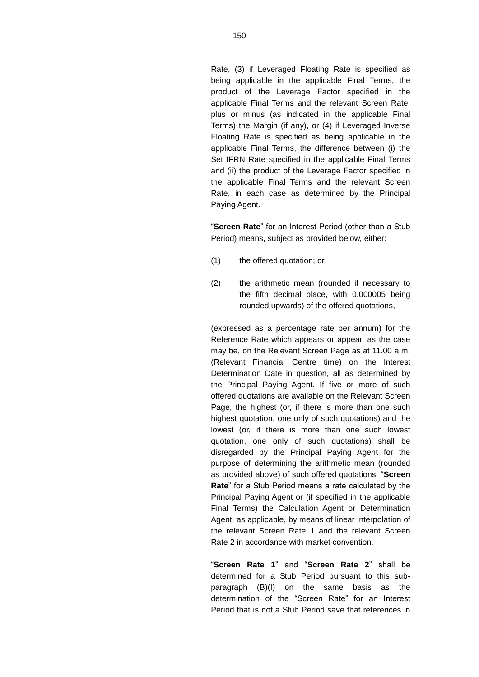Rate, (3) if Leveraged Floating Rate is specified as being applicable in the applicable Final Terms, the product of the Leverage Factor specified in the applicable Final Terms and the relevant Screen Rate, plus or minus (as indicated in the applicable Final Terms) the Margin (if any), or (4) if Leveraged Inverse Floating Rate is specified as being applicable in the applicable Final Terms, the difference between (i) the Set IFRN Rate specified in the applicable Final Terms and (ii) the product of the Leverage Factor specified in the applicable Final Terms and the relevant Screen Rate, in each case as determined by the Principal Paying Agent.

"**Screen Rate**" for an Interest Period (other than a Stub Period) means, subject as provided below, either:

- (1) the offered quotation; or
- (2) the arithmetic mean (rounded if necessary to the fifth decimal place, with 0.000005 being rounded upwards) of the offered quotations,

(expressed as a percentage rate per annum) for the Reference Rate which appears or appear, as the case may be, on the Relevant Screen Page as at 11.00 a.m. (Relevant Financial Centre time) on the Interest Determination Date in question, all as determined by the Principal Paying Agent. If five or more of such offered quotations are available on the Relevant Screen Page, the highest (or, if there is more than one such highest quotation, one only of such quotations) and the lowest (or, if there is more than one such lowest quotation, one only of such quotations) shall be disregarded by the Principal Paying Agent for the purpose of determining the arithmetic mean (rounded as provided above) of such offered quotations. "**Screen Rate**" for a Stub Period means a rate calculated by the Principal Paying Agent or (if specified in the applicable Final Terms) the Calculation Agent or Determination Agent, as applicable, by means of linear interpolation of the relevant Screen Rate 1 and the relevant Screen Rate 2 in accordance with market convention.

"**Screen Rate 1**" and "**Screen Rate 2**" shall be determined for a Stub Period pursuant to this subparagraph (B)(I) on the same basis as the determination of the "Screen Rate" for an Interest Period that is not a Stub Period save that references in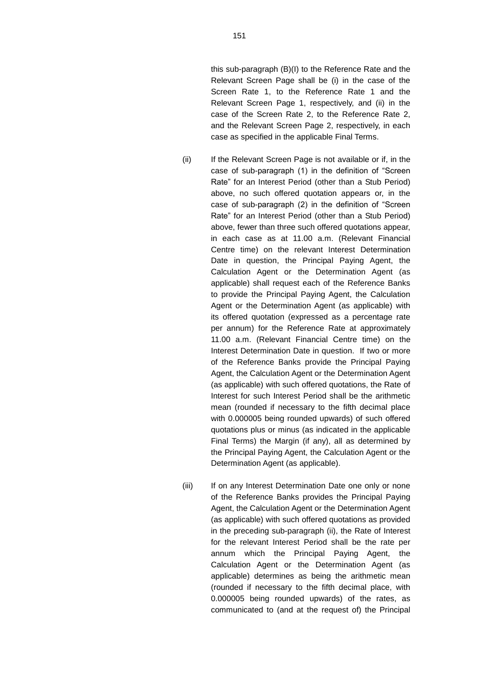this sub-paragraph (B)(I) to the Reference Rate and the Relevant Screen Page shall be (i) in the case of the Screen Rate 1, to the Reference Rate 1 and the Relevant Screen Page 1, respectively, and (ii) in the case of the Screen Rate 2, to the Reference Rate 2, and the Relevant Screen Page 2, respectively, in each case as specified in the applicable Final Terms.

- (ii) If the Relevant Screen Page is not available or if, in the case of sub-paragraph (1) in the definition of "Screen Rate" for an Interest Period (other than a Stub Period) above, no such offered quotation appears or, in the case of sub-paragraph (2) in the definition of "Screen Rate" for an Interest Period (other than a Stub Period) above, fewer than three such offered quotations appear, in each case as at 11.00 a.m. (Relevant Financial Centre time) on the relevant Interest Determination Date in question, the Principal Paying Agent, the Calculation Agent or the Determination Agent (as applicable) shall request each of the Reference Banks to provide the Principal Paying Agent, the Calculation Agent or the Determination Agent (as applicable) with its offered quotation (expressed as a percentage rate per annum) for the Reference Rate at approximately 11.00 a.m. (Relevant Financial Centre time) on the Interest Determination Date in question. If two or more of the Reference Banks provide the Principal Paying Agent, the Calculation Agent or the Determination Agent (as applicable) with such offered quotations, the Rate of Interest for such Interest Period shall be the arithmetic mean (rounded if necessary to the fifth decimal place with 0.000005 being rounded upwards) of such offered quotations plus or minus (as indicated in the applicable Final Terms) the Margin (if any), all as determined by the Principal Paying Agent, the Calculation Agent or the Determination Agent (as applicable).
- (iii) If on any Interest Determination Date one only or none of the Reference Banks provides the Principal Paying Agent, the Calculation Agent or the Determination Agent (as applicable) with such offered quotations as provided in the preceding sub-paragraph (ii), the Rate of Interest for the relevant Interest Period shall be the rate per annum which the Principal Paying Agent, the Calculation Agent or the Determination Agent (as applicable) determines as being the arithmetic mean (rounded if necessary to the fifth decimal place, with 0.000005 being rounded upwards) of the rates, as communicated to (and at the request of) the Principal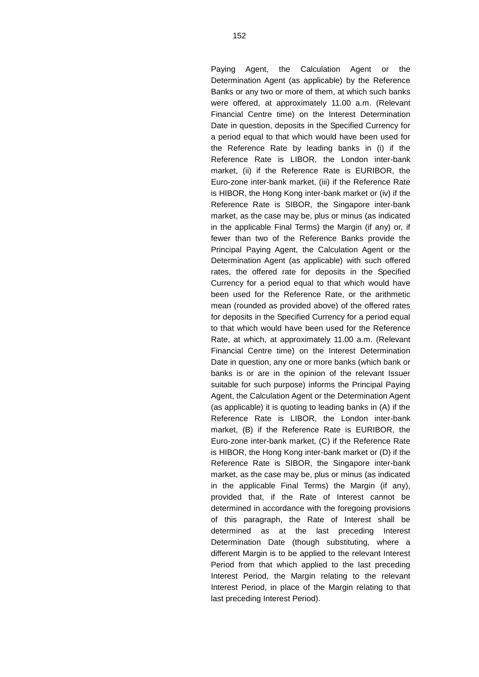Paying Agent, the Calculation Agent or the Determination Agent (as applicable) by the Reference Banks or any two or more of them, at which such banks were offered, at approximately 11.00 a.m. (Relevant Financial Centre time) on the Interest Determination Date in question, deposits in the Specified Currency for a period equal to that which would have been used for the Reference Rate by leading banks in (i) if the Reference Rate is LIBOR, the London inter-bank market, (ii) if the Reference Rate is EURIBOR, the Euro-zone inter-bank market, (iii) if the Reference Rate is HIBOR, the Hong Kong inter-bank market or (iv) if the Reference Rate is SIBOR, the Singapore inter-bank market, as the case may be, plus or minus (as indicated in the applicable Final Terms) the Margin (if any) or, if fewer than two of the Reference Banks provide the Principal Paying Agent, the Calculation Agent or the Determination Agent (as applicable) with such offered rates, the offered rate for deposits in the Specified Currency for a period equal to that which would have been used for the Reference Rate, or the arithmetic mean (rounded as provided above) of the offered rates for deposits in the Specified Currency for a period equal to that which would have been used for the Reference Rate, at which, at approximately 11.00 a.m. (Relevant Financial Centre time) on the Interest Determination Date in question, any one or more banks (which bank or banks is or are in the opinion of the relevant Issuer suitable for such purpose) informs the Principal Paying Agent, the Calculation Agent or the Determination Agent (as applicable) it is quoting to leading banks in (A) if the Reference Rate is LIBOR, the London inter-bank market, (B) if the Reference Rate is EURIBOR, the Euro-zone inter-bank market, (C) if the Reference Rate is HIBOR, the Hong Kong inter-bank market or (D) if the Reference Rate is SIBOR, the Singapore inter-bank market, as the case may be, plus or minus (as indicated in the applicable Final Terms) the Margin (if any), provided that, if the Rate of Interest cannot be determined in accordance with the foregoing provisions of this paragraph, the Rate of Interest shall be determined as at the last preceding Interest Determination Date (though substituting, where a different Margin is to be applied to the relevant Interest Period from that which applied to the last preceding Interest Period, the Margin relating to the relevant Interest Period, in place of the Margin relating to that last preceding Interest Period).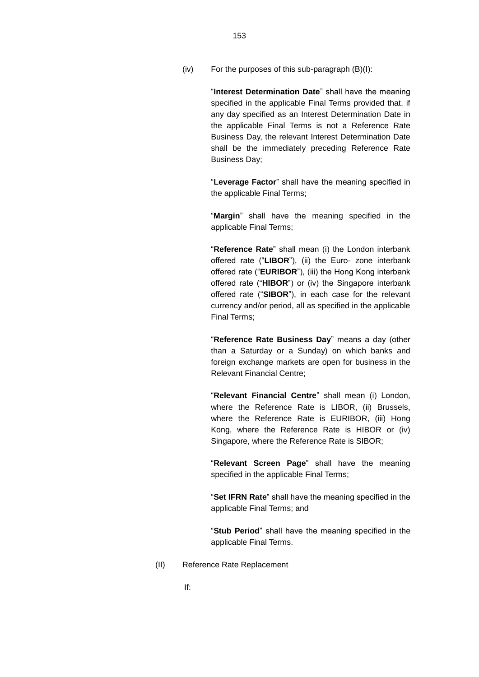(iv) For the purposes of this sub-paragraph (B)(I):

"**Interest Determination Date**" shall have the meaning specified in the applicable Final Terms provided that, if any day specified as an Interest Determination Date in the applicable Final Terms is not a Reference Rate Business Day, the relevant Interest Determination Date shall be the immediately preceding Reference Rate Business Day;

"**Leverage Factor**" shall have the meaning specified in the applicable Final Terms;

"**Margin**" shall have the meaning specified in the applicable Final Terms;

"**Reference Rate**" shall mean (i) the London interbank offered rate ("**LIBOR**"), (ii) the Euro- zone interbank offered rate ("**EURIBOR**"), (iii) the Hong Kong interbank offered rate ("**HIBOR**") or (iv) the Singapore interbank offered rate ("**SIBOR**"), in each case for the relevant currency and/or period, all as specified in the applicable Final Terms;

"**Reference Rate Business Day**" means a day (other than a Saturday or a Sunday) on which banks and foreign exchange markets are open for business in the Relevant Financial Centre;

"**Relevant Financial Centre**" shall mean (i) London, where the Reference Rate is LIBOR, (ii) Brussels, where the Reference Rate is EURIBOR, (iii) Hong Kong, where the Reference Rate is HIBOR or (iv) Singapore, where the Reference Rate is SIBOR;

"**Relevant Screen Page**" shall have the meaning specified in the applicable Final Terms;

"**Set IFRN Rate**" shall have the meaning specified in the applicable Final Terms; and

"**Stub Period**" shall have the meaning specified in the applicable Final Terms.

(II) Reference Rate Replacement

If: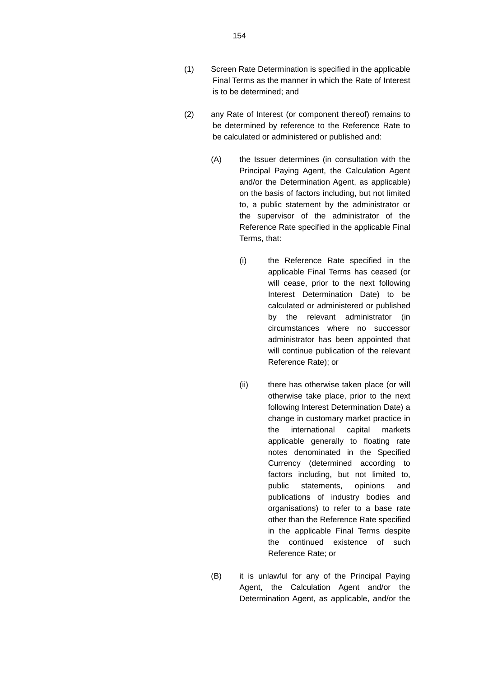- (2) any Rate of Interest (or component thereof) remains to be determined by reference to the Reference Rate to be calculated or administered or published and:
	- (A) the Issuer determines (in consultation with the Principal Paying Agent, the Calculation Agent and/or the Determination Agent, as applicable) on the basis of factors including, but not limited to, a public statement by the administrator or the supervisor of the administrator of the Reference Rate specified in the applicable Final Terms, that:
		- (i) the Reference Rate specified in the applicable Final Terms has ceased (or will cease, prior to the next following Interest Determination Date) to be calculated or administered or published by the relevant administrator (in circumstances where no successor administrator has been appointed that will continue publication of the relevant Reference Rate); or
		- (ii) there has otherwise taken place (or will otherwise take place, prior to the next following Interest Determination Date) a change in customary market practice in the international capital markets applicable generally to floating rate notes denominated in the Specified Currency (determined according to factors including, but not limited to, public statements, opinions and publications of industry bodies and organisations) to refer to a base rate other than the Reference Rate specified in the applicable Final Terms despite the continued existence of such Reference Rate; or
	- (B) it is unlawful for any of the Principal Paying Agent, the Calculation Agent and/or the Determination Agent, as applicable, and/or the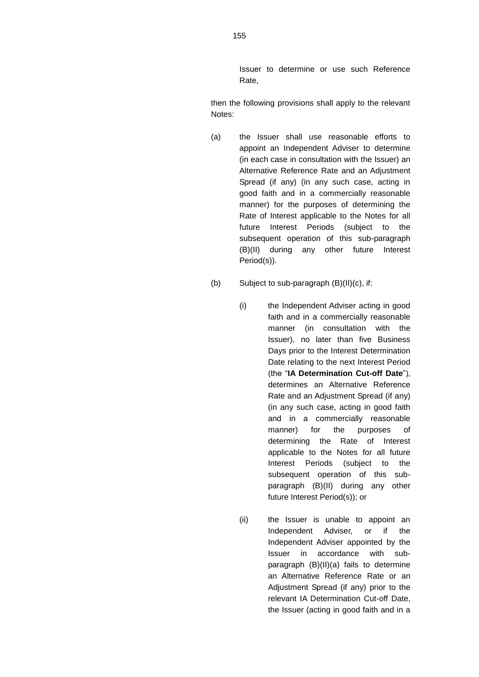Issuer to determine or use such Reference Rate,

then the following provisions shall apply to the relevant Notes:

- (a) the Issuer shall use reasonable efforts to appoint an Independent Adviser to determine (in each case in consultation with the Issuer) an Alternative Reference Rate and an Adjustment Spread (if any) (in any such case, acting in good faith and in a commercially reasonable manner) for the purposes of determining the Rate of Interest applicable to the Notes for all future Interest Periods (subject to the subsequent operation of this sub-paragraph (B)(II) during any other future Interest Period(s)).
- (b) Subject to sub-paragraph (B)(II)(c), if:
	- (i) the Independent Adviser acting in good faith and in a commercially reasonable manner (in consultation with the Issuer), no later than five Business Days prior to the Interest Determination Date relating to the next Interest Period (the "**IA Determination Cut-off Date**"), determines an Alternative Reference Rate and an Adjustment Spread (if any) (in any such case, acting in good faith and in a commercially reasonable manner) for the purposes of determining the Rate of Interest applicable to the Notes for all future Interest Periods (subject to the subsequent operation of this subparagraph (B)(II) during any other future Interest Period(s)); or
	- (ii) the Issuer is unable to appoint an Independent Adviser, or if the Independent Adviser appointed by the Issuer in accordance with subparagraph (B)(II)(a) fails to determine an Alternative Reference Rate or an Adjustment Spread (if any) prior to the relevant IA Determination Cut-off Date, the Issuer (acting in good faith and in a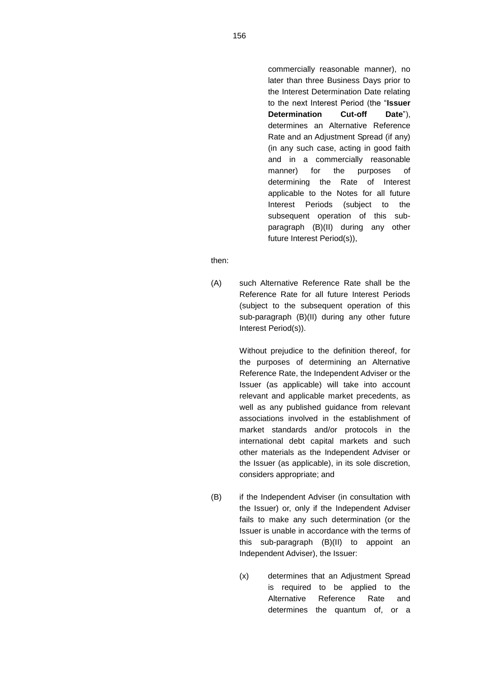commercially reasonable manner), no later than three Business Days prior to the Interest Determination Date relating to the next Interest Period (the "**Issuer Determination Cut-off Date**"), determines an Alternative Reference Rate and an Adjustment Spread (if any) (in any such case, acting in good faith and in a commercially reasonable manner) for the purposes of determining the Rate of Interest applicable to the Notes for all future Interest Periods (subject to the subsequent operation of this subparagraph (B)(II) during any other future Interest Period(s)),

then:

(A) such Alternative Reference Rate shall be the Reference Rate for all future Interest Periods (subject to the subsequent operation of this sub-paragraph (B)(II) during any other future Interest Period(s)).

> Without prejudice to the definition thereof, for the purposes of determining an Alternative Reference Rate, the Independent Adviser or the Issuer (as applicable) will take into account relevant and applicable market precedents, as well as any published guidance from relevant associations involved in the establishment of market standards and/or protocols in the international debt capital markets and such other materials as the Independent Adviser or the Issuer (as applicable), in its sole discretion, considers appropriate; and

- (B) if the Independent Adviser (in consultation with the Issuer) or, only if the Independent Adviser fails to make any such determination (or the Issuer is unable in accordance with the terms of this sub-paragraph (B)(II) to appoint an Independent Adviser), the Issuer:
	- (x) determines that an Adjustment Spread is required to be applied to the Alternative Reference Rate and determines the quantum of, or a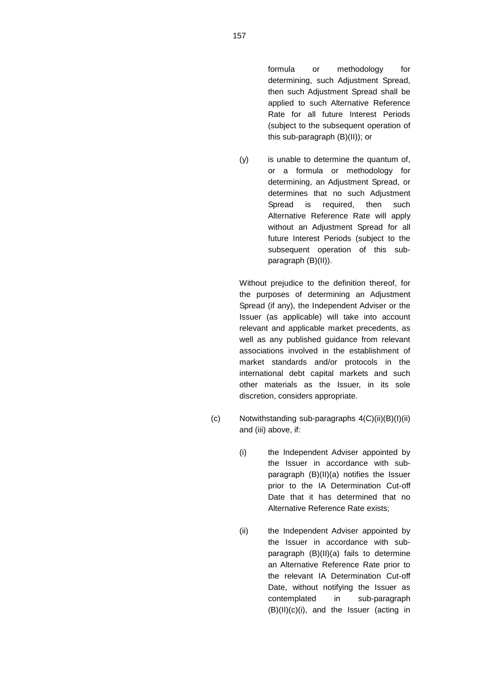formula or methodology for determining, such Adjustment Spread, then such Adjustment Spread shall be applied to such Alternative Reference Rate for all future Interest Periods (subject to the subsequent operation of this sub-paragraph (B)(II)); or

(y) is unable to determine the quantum of, or a formula or methodology for determining, an Adjustment Spread, or determines that no such Adjustment Spread is required, then such Alternative Reference Rate will apply without an Adjustment Spread for all future Interest Periods (subject to the subsequent operation of this subparagraph (B)(II)).

Without prejudice to the definition thereof, for the purposes of determining an Adjustment Spread (if any), the Independent Adviser or the Issuer (as applicable) will take into account relevant and applicable market precedents, as well as any published guidance from relevant associations involved in the establishment of market standards and/or protocols in the international debt capital markets and such other materials as the Issuer, in its sole discretion, considers appropriate.

- (c) Notwithstanding sub-paragraphs 4(C)(ii)(B)(I)(ii) and (iii) above, if:
	- (i) the Independent Adviser appointed by the Issuer in accordance with subparagraph (B)(II)(a) notifies the Issuer prior to the IA Determination Cut-off Date that it has determined that no Alternative Reference Rate exists;
	- (ii) the Independent Adviser appointed by the Issuer in accordance with subparagraph (B)(II)(a) fails to determine an Alternative Reference Rate prior to the relevant IA Determination Cut-off Date, without notifying the Issuer as contemplated in sub-paragraph (B)(II)(c)(i), and the Issuer (acting in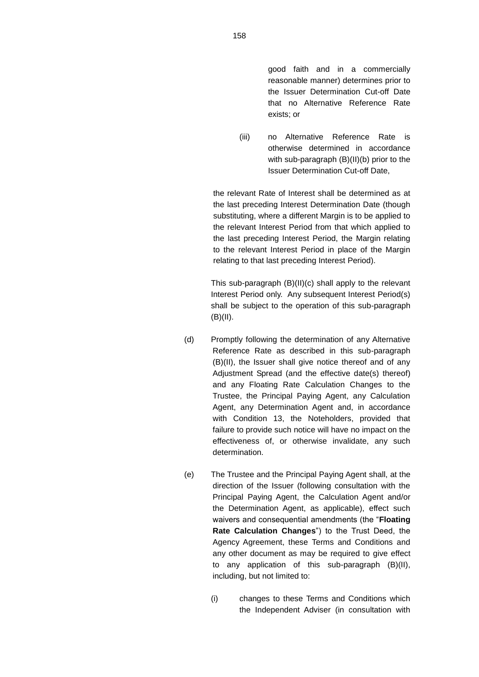good faith and in a commercially reasonable manner) determines prior to the Issuer Determination Cut-off Date that no Alternative Reference Rate exists; or

(iii) no Alternative Reference Rate is otherwise determined in accordance with sub-paragraph (B)(II)(b) prior to the Issuer Determination Cut-off Date,

the relevant Rate of Interest shall be determined as at the last preceding Interest Determination Date (though substituting, where a different Margin is to be applied to the relevant Interest Period from that which applied to the last preceding Interest Period, the Margin relating to the relevant Interest Period in place of the Margin relating to that last preceding Interest Period).

This sub-paragraph (B)(II)(c) shall apply to the relevant Interest Period only. Any subsequent Interest Period(s) shall be subject to the operation of this sub-paragraph  $(B)(II).$ 

- (d) Promptly following the determination of any Alternative Reference Rate as described in this sub-paragraph (B)(II), the Issuer shall give notice thereof and of any Adjustment Spread (and the effective date(s) thereof) and any Floating Rate Calculation Changes to the Trustee, the Principal Paying Agent, any Calculation Agent, any Determination Agent and, in accordance with Condition 13, the Noteholders, provided that failure to provide such notice will have no impact on the effectiveness of, or otherwise invalidate, any such determination.
- (e) The Trustee and the Principal Paying Agent shall, at the direction of the Issuer (following consultation with the Principal Paying Agent, the Calculation Agent and/or the Determination Agent, as applicable), effect such waivers and consequential amendments (the "**Floating Rate Calculation Changes**") to the Trust Deed, the Agency Agreement, these Terms and Conditions and any other document as may be required to give effect to any application of this sub-paragraph (B)(II), including, but not limited to:
	- (i) changes to these Terms and Conditions which the Independent Adviser (in consultation with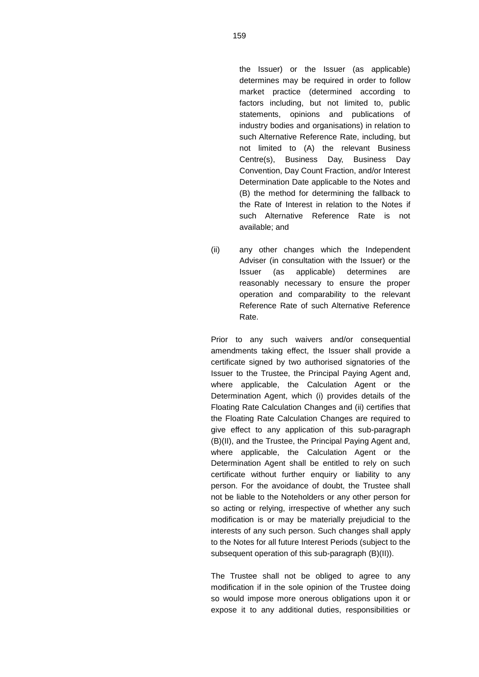the Issuer) or the Issuer (as applicable) determines may be required in order to follow market practice (determined according to factors including, but not limited to, public statements, opinions and publications of industry bodies and organisations) in relation to such Alternative Reference Rate, including, but not limited to (A) the relevant Business Centre(s), Business Day, Business Day Convention, Day Count Fraction, and/or Interest Determination Date applicable to the Notes and (B) the method for determining the fallback to the Rate of Interest in relation to the Notes if such Alternative Reference Rate is not available; and

(ii) any other changes which the Independent Adviser (in consultation with the Issuer) or the Issuer (as applicable) determines are reasonably necessary to ensure the proper operation and comparability to the relevant Reference Rate of such Alternative Reference Rate.

Prior to any such waivers and/or consequential amendments taking effect, the Issuer shall provide a certificate signed by two authorised signatories of the Issuer to the Trustee, the Principal Paying Agent and, where applicable, the Calculation Agent or the Determination Agent, which (i) provides details of the Floating Rate Calculation Changes and (ii) certifies that the Floating Rate Calculation Changes are required to give effect to any application of this sub-paragraph (B)(II), and the Trustee, the Principal Paying Agent and, where applicable, the Calculation Agent or the Determination Agent shall be entitled to rely on such certificate without further enquiry or liability to any person. For the avoidance of doubt, the Trustee shall not be liable to the Noteholders or any other person for so acting or relying, irrespective of whether any such modification is or may be materially prejudicial to the interests of any such person. Such changes shall apply to the Notes for all future Interest Periods (subject to the subsequent operation of this sub-paragraph (B)(II)).

The Trustee shall not be obliged to agree to any modification if in the sole opinion of the Trustee doing so would impose more onerous obligations upon it or expose it to any additional duties, responsibilities or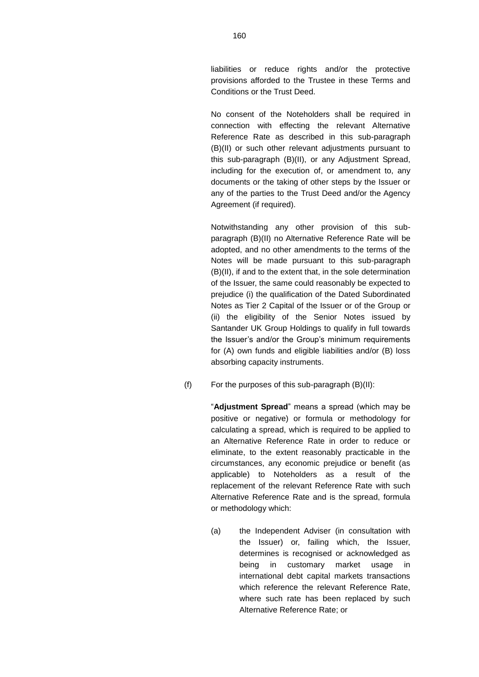liabilities or reduce rights and/or the protective provisions afforded to the Trustee in these Terms and Conditions or the Trust Deed.

No consent of the Noteholders shall be required in connection with effecting the relevant Alternative Reference Rate as described in this sub-paragraph (B)(II) or such other relevant adjustments pursuant to this sub-paragraph (B)(II), or any Adjustment Spread, including for the execution of, or amendment to, any documents or the taking of other steps by the Issuer or any of the parties to the Trust Deed and/or the Agency Agreement (if required).

Notwithstanding any other provision of this subparagraph (B)(II) no Alternative Reference Rate will be adopted, and no other amendments to the terms of the Notes will be made pursuant to this sub-paragraph (B)(II), if and to the extent that, in the sole determination of the Issuer, the same could reasonably be expected to prejudice (i) the qualification of the Dated Subordinated Notes as Tier 2 Capital of the Issuer or of the Group or (ii) the eligibility of the Senior Notes issued by Santander UK Group Holdings to qualify in full towards the Issuer's and/or the Group's minimum requirements for (A) own funds and eligible liabilities and/or (B) loss absorbing capacity instruments.

(f) For the purposes of this sub-paragraph (B)(II):

"**Adjustment Spread**" means a spread (which may be positive or negative) or formula or methodology for calculating a spread, which is required to be applied to an Alternative Reference Rate in order to reduce or eliminate, to the extent reasonably practicable in the circumstances, any economic prejudice or benefit (as applicable) to Noteholders as a result of the replacement of the relevant Reference Rate with such Alternative Reference Rate and is the spread, formula or methodology which:

(a) the Independent Adviser (in consultation with the Issuer) or, failing which, the Issuer, determines is recognised or acknowledged as being in customary market usage in international debt capital markets transactions which reference the relevant Reference Rate, where such rate has been replaced by such Alternative Reference Rate; or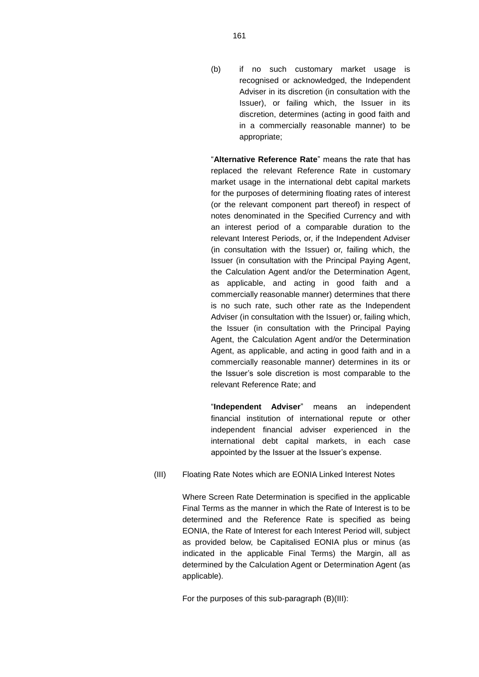(b) if no such customary market usage is recognised or acknowledged, the Independent Adviser in its discretion (in consultation with the Issuer), or failing which, the Issuer in its discretion, determines (acting in good faith and in a commercially reasonable manner) to be appropriate;

"**Alternative Reference Rate**" means the rate that has replaced the relevant Reference Rate in customary market usage in the international debt capital markets for the purposes of determining floating rates of interest (or the relevant component part thereof) in respect of notes denominated in the Specified Currency and with an interest period of a comparable duration to the relevant Interest Periods, or, if the Independent Adviser (in consultation with the Issuer) or, failing which, the Issuer (in consultation with the Principal Paying Agent, the Calculation Agent and/or the Determination Agent, as applicable, and acting in good faith and a commercially reasonable manner) determines that there is no such rate, such other rate as the Independent Adviser (in consultation with the Issuer) or, failing which, the Issuer (in consultation with the Principal Paying Agent, the Calculation Agent and/or the Determination Agent, as applicable, and acting in good faith and in a commercially reasonable manner) determines in its or the Issuer's sole discretion is most comparable to the relevant Reference Rate; and

"**Independent Adviser**" means an independent financial institution of international repute or other independent financial adviser experienced in the international debt capital markets, in each case appointed by the Issuer at the Issuer's expense.

### (III) Floating Rate Notes which are EONIA Linked Interest Notes

Where Screen Rate Determination is specified in the applicable Final Terms as the manner in which the Rate of Interest is to be determined and the Reference Rate is specified as being EONIA, the Rate of Interest for each Interest Period will, subject as provided below, be Capitalised EONIA plus or minus (as indicated in the applicable Final Terms) the Margin, all as determined by the Calculation Agent or Determination Agent (as applicable).

For the purposes of this sub-paragraph (B)(III):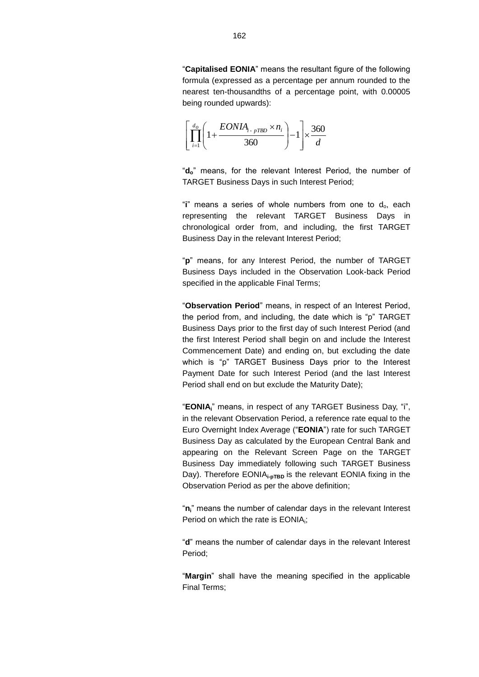"**Capitalised EONIA**" means the resultant figure of the following formula (expressed as a percentage per annum rounded to the nearest ten-thousandths of a percentage point, with 0.00005 being rounded upwards):

$$
\left[\prod_{i=1}^{d_o} \left(1 + \frac{EONIA_{i-pTBD} \times n_i}{360}\right) - 1\right] \times \frac{360}{d}
$$

"**do**" means, for the relevant Interest Period, the number of TARGET Business Days in such Interest Period;

"i" means a series of whole numbers from one to d<sub>o</sub>, each representing the relevant TARGET Business Days in chronological order from, and including, the first TARGET Business Day in the relevant Interest Period;

"**p**" means, for any Interest Period, the number of TARGET Business Days included in the Observation Look-back Period specified in the applicable Final Terms;

"**Observation Period**" means, in respect of an Interest Period, the period from, and including, the date which is "p" TARGET Business Days prior to the first day of such Interest Period (and the first Interest Period shall begin on and include the Interest Commencement Date) and ending on, but excluding the date which is "p" TARGET Business Days prior to the Interest Payment Date for such Interest Period (and the last Interest Period shall end on but exclude the Maturity Date);

"**EONIAi**" means, in respect of any TARGET Business Day, "i", in the relevant Observation Period, a reference rate equal to the Euro Overnight Index Average ("**EONIA**") rate for such TARGET Business Day as calculated by the European Central Bank and appearing on the Relevant Screen Page on the TARGET Business Day immediately following such TARGET Business Day). Therefore EONIA<sub>i-pTBD</sub> is the relevant EONIA fixing in the Observation Period as per the above definition;

"**ni**" means the number of calendar days in the relevant Interest Period on which the rate is  $EONIA_i;$ 

"**d**" means the number of calendar days in the relevant Interest Period;

"**Margin**" shall have the meaning specified in the applicable Final Terms;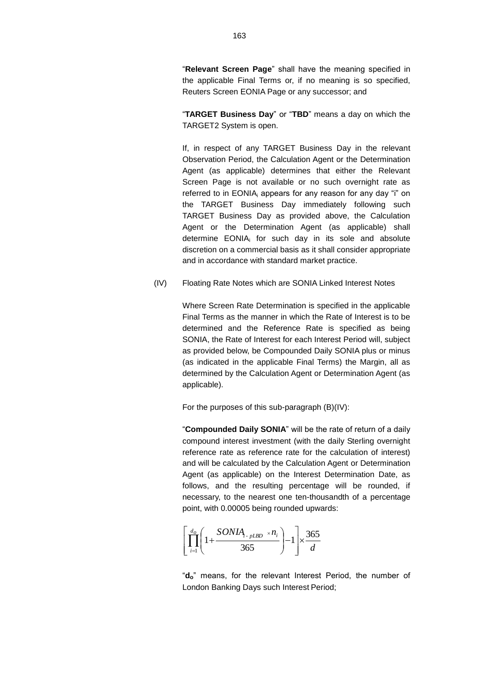"**Relevant Screen Page**" shall have the meaning specified in the applicable Final Terms or, if no meaning is so specified, Reuters Screen EONIA Page or any successor; and

"**TARGET Business Day**" or "**TBD**" means a day on which the TARGET2 System is open.

If, in respect of any TARGET Business Day in the relevant Observation Period, the Calculation Agent or the Determination Agent (as applicable) determines that either the Relevant Screen Page is not available or no such overnight rate as referred to in EONIA<sub>i</sub> appears for any reason for any day "i" on the TARGET Business Day immediately following such TARGET Business Day as provided above, the Calculation Agent or the Determination Agent (as applicable) shall determine EONIA<sub>i</sub> for such day in its sole and absolute discretion on a commercial basis as it shall consider appropriate and in accordance with standard market practice.

(IV) Floating Rate Notes which are SONIA Linked Interest Notes

Where Screen Rate Determination is specified in the applicable Final Terms as the manner in which the Rate of Interest is to be determined and the Reference Rate is specified as being SONIA, the Rate of Interest for each Interest Period will, subject as provided below, be Compounded Daily SONIA plus or minus (as indicated in the applicable Final Terms) the Margin, all as determined by the Calculation Agent or Determination Agent (as applicable).

For the purposes of this sub-paragraph (B)(IV):

"**Compounded Daily SONIA**" will be the rate of return of a daily compound interest investment (with the daily Sterling overnight reference rate as reference rate for the calculation of interest) and will be calculated by the Calculation Agent or Determination Agent (as applicable) on the Interest Determination Date, as follows, and the resulting percentage will be rounded, if necessary, to the nearest one ten-thousandth of a percentage point, with 0.00005 being rounded upwards:

$$
\left[\prod_{i=1}^{d_o} \left(1 + \frac{SONIA_{i\text{-}pLBD} \times n_i}{365}\right) - 1\right] \times \frac{365}{d}
$$

"**do**" means, for the relevant Interest Period, the number of London Banking Days such Interest Period;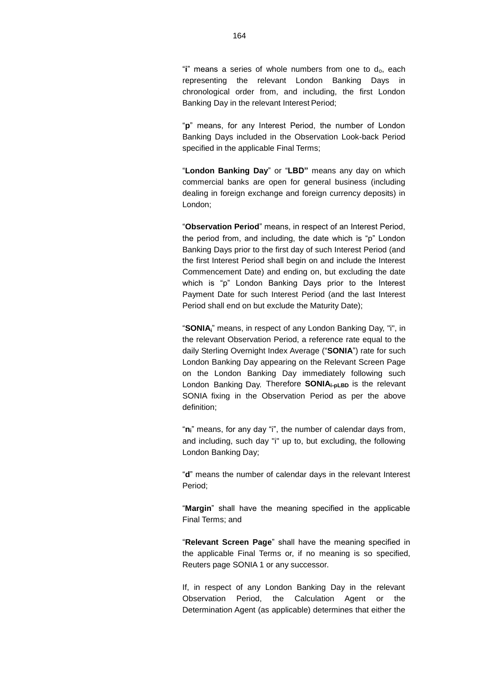"**i**" means a series of whole numbers from one to do, each representing the relevant London Banking Days in chronological order from, and including, the first London Banking Day in the relevant Interest Period;

"**p**" means, for any Interest Period, the number of London Banking Days included in the Observation Look-back Period specified in the applicable Final Terms;

"**London Banking Day**" or "**LBD"** means any day on which commercial banks are open for general business (including dealing in foreign exchange and foreign currency deposits) in London;

"**Observation Period**" means, in respect of an Interest Period, the period from, and including, the date which is "p" London Banking Days prior to the first day of such Interest Period (and the first Interest Period shall begin on and include the Interest Commencement Date) and ending on, but excluding the date which is "p" London Banking Days prior to the Interest Payment Date for such Interest Period (and the last Interest Period shall end on but exclude the Maturity Date);

"**SONIAi**" means, in respect of any London Banking Day, "i", in the relevant Observation Period, a reference rate equal to the daily Sterling Overnight Index Average ("**SONIA**") rate for such London Banking Day appearing on the Relevant Screen Page on the London Banking Day immediately following such London Banking Day. Therefore **SONIAi-pLBD** is the relevant SONIA fixing in the Observation Period as per the above definition;

"**ni**" means, for any day "i", the number of calendar days from, and including, such day "i" up to, but excluding, the following London Banking Day;

"**d**" means the number of calendar days in the relevant Interest Period;

"**Margin**" shall have the meaning specified in the applicable Final Terms; and

"**Relevant Screen Page**" shall have the meaning specified in the applicable Final Terms or, if no meaning is so specified, Reuters page SONIA 1 or any successor.

If, in respect of any London Banking Day in the relevant Observation Period, the Calculation Agent or the Determination Agent (as applicable) determines that either the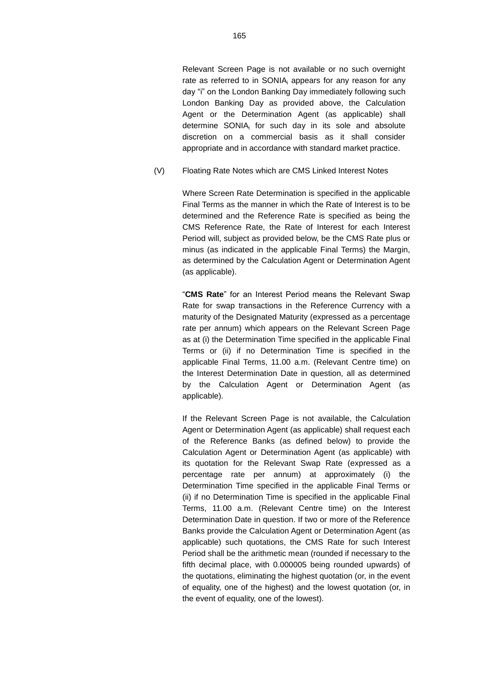Relevant Screen Page is not available or no such overnight rate as referred to in SONIA; appears for any reason for any day "i" on the London Banking Day immediately following such London Banking Day as provided above, the Calculation Agent or the Determination Agent (as applicable) shall determine SONIA<sub>i</sub> for such day in its sole and absolute discretion on a commercial basis as it shall consider appropriate and in accordance with standard market practice.

(V) Floating Rate Notes which are CMS Linked Interest Notes

Where Screen Rate Determination is specified in the applicable Final Terms as the manner in which the Rate of Interest is to be determined and the Reference Rate is specified as being the CMS Reference Rate, the Rate of Interest for each Interest Period will, subject as provided below, be the CMS Rate plus or minus (as indicated in the applicable Final Terms) the Margin, as determined by the Calculation Agent or Determination Agent (as applicable).

"**CMS Rate**" for an Interest Period means the Relevant Swap Rate for swap transactions in the Reference Currency with a maturity of the Designated Maturity (expressed as a percentage rate per annum) which appears on the Relevant Screen Page as at (i) the Determination Time specified in the applicable Final Terms or (ii) if no Determination Time is specified in the applicable Final Terms, 11.00 a.m. (Relevant Centre time) on the Interest Determination Date in question, all as determined by the Calculation Agent or Determination Agent (as applicable).

If the Relevant Screen Page is not available, the Calculation Agent or Determination Agent (as applicable) shall request each of the Reference Banks (as defined below) to provide the Calculation Agent or Determination Agent (as applicable) with its quotation for the Relevant Swap Rate (expressed as a percentage rate per annum) at approximately (i) the Determination Time specified in the applicable Final Terms or (ii) if no Determination Time is specified in the applicable Final Terms, 11.00 a.m. (Relevant Centre time) on the Interest Determination Date in question. If two or more of the Reference Banks provide the Calculation Agent or Determination Agent (as applicable) such quotations, the CMS Rate for such Interest Period shall be the arithmetic mean (rounded if necessary to the fifth decimal place, with 0.000005 being rounded upwards) of the quotations, eliminating the highest quotation (or, in the event of equality, one of the highest) and the lowest quotation (or, in the event of equality, one of the lowest).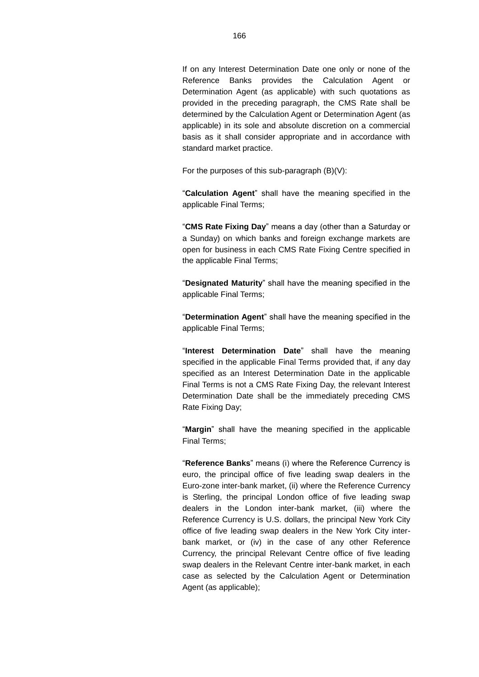If on any Interest Determination Date one only or none of the Reference Banks provides the Calculation Agent or Determination Agent (as applicable) with such quotations as provided in the preceding paragraph, the CMS Rate shall be determined by the Calculation Agent or Determination Agent (as applicable) in its sole and absolute discretion on a commercial basis as it shall consider appropriate and in accordance with standard market practice.

For the purposes of this sub-paragraph (B)(V):

"**Calculation Agent**" shall have the meaning specified in the applicable Final Terms;

"**CMS Rate Fixing Day**" means a day (other than a Saturday or a Sunday) on which banks and foreign exchange markets are open for business in each CMS Rate Fixing Centre specified in the applicable Final Terms;

"**Designated Maturity**" shall have the meaning specified in the applicable Final Terms;

"**Determination Agent**" shall have the meaning specified in the applicable Final Terms;

"**Interest Determination Date**" shall have the meaning specified in the applicable Final Terms provided that, if any day specified as an Interest Determination Date in the applicable Final Terms is not a CMS Rate Fixing Day, the relevant Interest Determination Date shall be the immediately preceding CMS Rate Fixing Day;

"**Margin**" shall have the meaning specified in the applicable Final Terms;

"**Reference Banks**" means (i) where the Reference Currency is euro, the principal office of five leading swap dealers in the Euro-zone inter-bank market, (ii) where the Reference Currency is Sterling, the principal London office of five leading swap dealers in the London inter-bank market, (iii) where the Reference Currency is U.S. dollars, the principal New York City office of five leading swap dealers in the New York City interbank market, or (iv) in the case of any other Reference Currency, the principal Relevant Centre office of five leading swap dealers in the Relevant Centre inter-bank market, in each case as selected by the Calculation Agent or Determination Agent (as applicable);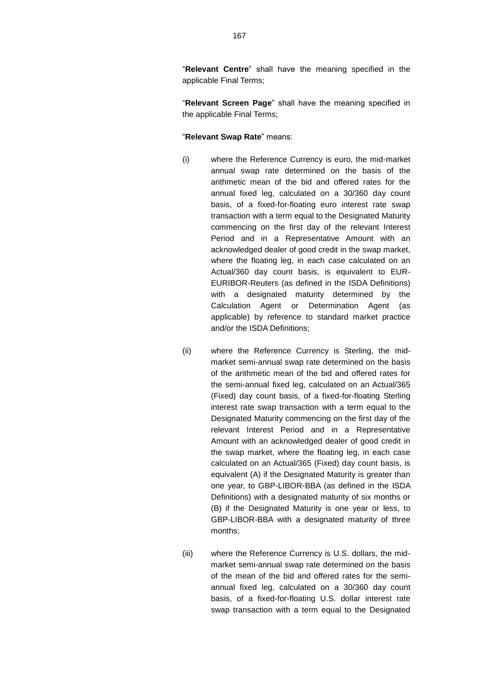"**Relevant Centre**" shall have the meaning specified in the applicable Final Terms;

"**Relevant Screen Page**" shall have the meaning specified in the applicable Final Terms;

### "**Relevant Swap Rate**" means:

- (i) where the Reference Currency is euro, the mid-market annual swap rate determined on the basis of the arithmetic mean of the bid and offered rates for the annual fixed leg, calculated on a 30/360 day count basis, of a fixed-for-floating euro interest rate swap transaction with a term equal to the Designated Maturity commencing on the first day of the relevant Interest Period and in a Representative Amount with an acknowledged dealer of good credit in the swap market, where the floating leg, in each case calculated on an Actual/360 day count basis, is equivalent to EUR-EURIBOR-Reuters (as defined in the ISDA Definitions) with a designated maturity determined by the Calculation Agent or Determination Agent (as applicable) by reference to standard market practice and/or the ISDA Definitions;
- (ii) where the Reference Currency is Sterling, the midmarket semi-annual swap rate determined on the basis of the arithmetic mean of the bid and offered rates for the semi-annual fixed leg, calculated on an Actual/365 (Fixed) day count basis, of a fixed-for-floating Sterling interest rate swap transaction with a term equal to the Designated Maturity commencing on the first day of the relevant Interest Period and in a Representative Amount with an acknowledged dealer of good credit in the swap market, where the floating leg, in each case calculated on an Actual/365 (Fixed) day count basis, is equivalent (A) if the Designated Maturity is greater than one year, to GBP-LIBOR-BBA (as defined in the ISDA Definitions) with a designated maturity of six months or (B) if the Designated Maturity is one year or less, to GBP-LIBOR-BBA with a designated maturity of three months;
- (iii) where the Reference Currency is U.S. dollars, the midmarket semi-annual swap rate determined on the basis of the mean of the bid and offered rates for the semiannual fixed leg, calculated on a 30/360 day count basis, of a fixed-for-floating U.S. dollar interest rate swap transaction with a term equal to the Designated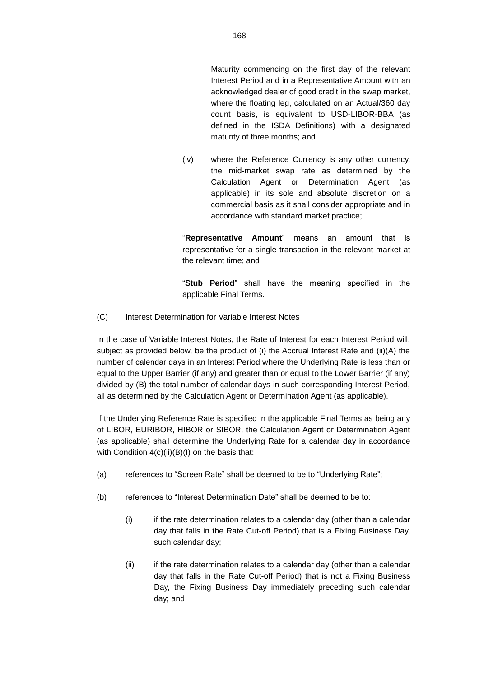Maturity commencing on the first day of the relevant Interest Period and in a Representative Amount with an acknowledged dealer of good credit in the swap market, where the floating leg, calculated on an Actual/360 day count basis, is equivalent to USD-LIBOR-BBA (as defined in the ISDA Definitions) with a designated maturity of three months; and

(iv) where the Reference Currency is any other currency, the mid-market swap rate as determined by the Calculation Agent or Determination Agent (as applicable) in its sole and absolute discretion on a commercial basis as it shall consider appropriate and in accordance with standard market practice;

"**Representative Amount**" means an amount that is representative for a single transaction in the relevant market at the relevant time; and

"**Stub Period**" shall have the meaning specified in the applicable Final Terms.

(C) Interest Determination for Variable Interest Notes

In the case of Variable Interest Notes, the Rate of Interest for each Interest Period will, subject as provided below, be the product of (i) the Accrual Interest Rate and (ii)(A) the number of calendar days in an Interest Period where the Underlying Rate is less than or equal to the Upper Barrier (if any) and greater than or equal to the Lower Barrier (if any) divided by (B) the total number of calendar days in such corresponding Interest Period, all as determined by the Calculation Agent or Determination Agent (as applicable).

If the Underlying Reference Rate is specified in the applicable Final Terms as being any of LIBOR, EURIBOR, HIBOR or SIBOR, the Calculation Agent or Determination Agent (as applicable) shall determine the Underlying Rate for a calendar day in accordance with Condition  $4(c)(ii)(B)(I)$  on the basis that:

- (a) references to "Screen Rate" shall be deemed to be to "Underlying Rate";
- (b) references to "Interest Determination Date" shall be deemed to be to:
	- (i) if the rate determination relates to a calendar day (other than a calendar day that falls in the Rate Cut-off Period) that is a Fixing Business Day, such calendar day;
	- (ii) if the rate determination relates to a calendar day (other than a calendar day that falls in the Rate Cut-off Period) that is not a Fixing Business Day, the Fixing Business Day immediately preceding such calendar day; and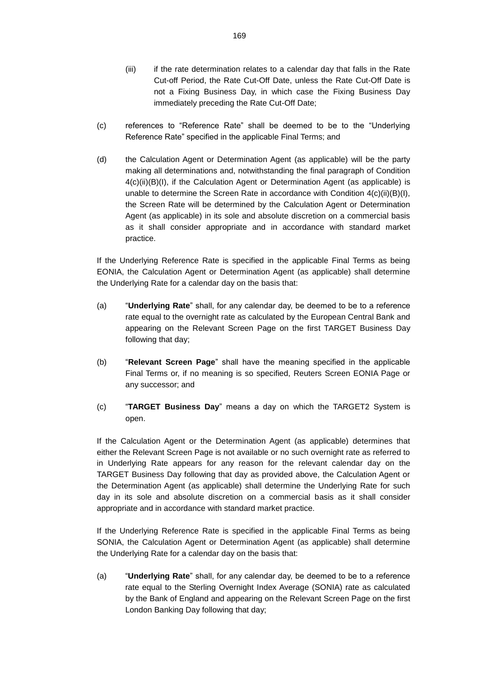- (iii) if the rate determination relates to a calendar day that falls in the Rate Cut-off Period, the Rate Cut-Off Date, unless the Rate Cut-Off Date is not a Fixing Business Day, in which case the Fixing Business Day immediately preceding the Rate Cut-Off Date;
- (c) references to "Reference Rate" shall be deemed to be to the "Underlying Reference Rate" specified in the applicable Final Terms; and
- (d) the Calculation Agent or Determination Agent (as applicable) will be the party making all determinations and, notwithstanding the final paragraph of Condition 4(c)(ii)(B)(I), if the Calculation Agent or Determination Agent (as applicable) is unable to determine the Screen Rate in accordance with Condition  $4(c)(ii)(B)(I)$ , the Screen Rate will be determined by the Calculation Agent or Determination Agent (as applicable) in its sole and absolute discretion on a commercial basis as it shall consider appropriate and in accordance with standard market practice.

If the Underlying Reference Rate is specified in the applicable Final Terms as being EONIA, the Calculation Agent or Determination Agent (as applicable) shall determine the Underlying Rate for a calendar day on the basis that:

- (a) "**Underlying Rate**" shall, for any calendar day, be deemed to be to a reference rate equal to the overnight rate as calculated by the European Central Bank and appearing on the Relevant Screen Page on the first TARGET Business Day following that day;
- (b) "**Relevant Screen Page**" shall have the meaning specified in the applicable Final Terms or, if no meaning is so specified, Reuters Screen EONIA Page or any successor; and
- (c) "**TARGET Business Day**" means a day on which the TARGET2 System is open.

If the Calculation Agent or the Determination Agent (as applicable) determines that either the Relevant Screen Page is not available or no such overnight rate as referred to in Underlying Rate appears for any reason for the relevant calendar day on the TARGET Business Day following that day as provided above, the Calculation Agent or the Determination Agent (as applicable) shall determine the Underlying Rate for such day in its sole and absolute discretion on a commercial basis as it shall consider appropriate and in accordance with standard market practice.

If the Underlying Reference Rate is specified in the applicable Final Terms as being SONIA, the Calculation Agent or Determination Agent (as applicable) shall determine the Underlying Rate for a calendar day on the basis that:

(a) "**Underlying Rate**" shall, for any calendar day, be deemed to be to a reference rate equal to the Sterling Overnight Index Average (SONIA) rate as calculated by the Bank of England and appearing on the Relevant Screen Page on the first London Banking Day following that day;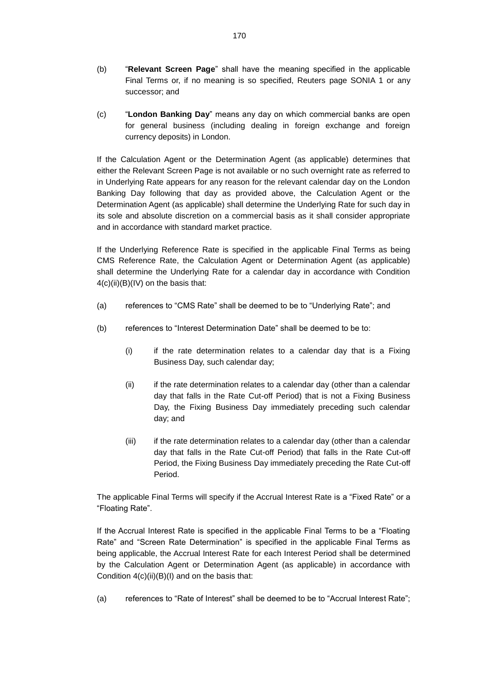- (b) "**Relevant Screen Page**" shall have the meaning specified in the applicable Final Terms or, if no meaning is so specified, Reuters page SONIA 1 or any successor; and
- (c) "**London Banking Day**" means any day on which commercial banks are open for general business (including dealing in foreign exchange and foreign currency deposits) in London.

If the Calculation Agent or the Determination Agent (as applicable) determines that either the Relevant Screen Page is not available or no such overnight rate as referred to in Underlying Rate appears for any reason for the relevant calendar day on the London Banking Day following that day as provided above, the Calculation Agent or the Determination Agent (as applicable) shall determine the Underlying Rate for such day in its sole and absolute discretion on a commercial basis as it shall consider appropriate and in accordance with standard market practice.

If the Underlying Reference Rate is specified in the applicable Final Terms as being CMS Reference Rate, the Calculation Agent or Determination Agent (as applicable) shall determine the Underlying Rate for a calendar day in accordance with Condition  $4(c)(ii)(B)(IV)$  on the basis that:

- (a) references to "CMS Rate" shall be deemed to be to "Underlying Rate"; and
- (b) references to "Interest Determination Date" shall be deemed to be to:
	- (i) if the rate determination relates to a calendar day that is a Fixing Business Day, such calendar day;
	- (ii) if the rate determination relates to a calendar day (other than a calendar day that falls in the Rate Cut-off Period) that is not a Fixing Business Day, the Fixing Business Day immediately preceding such calendar day; and
	- (iii) if the rate determination relates to a calendar day (other than a calendar day that falls in the Rate Cut-off Period) that falls in the Rate Cut-off Period, the Fixing Business Day immediately preceding the Rate Cut-off Period.

The applicable Final Terms will specify if the Accrual Interest Rate is a "Fixed Rate" or a "Floating Rate".

If the Accrual Interest Rate is specified in the applicable Final Terms to be a "Floating Rate" and "Screen Rate Determination" is specified in the applicable Final Terms as being applicable, the Accrual Interest Rate for each Interest Period shall be determined by the Calculation Agent or Determination Agent (as applicable) in accordance with Condition  $4(c)(ii)(B)(I)$  and on the basis that:

(a) references to "Rate of Interest" shall be deemed to be to "Accrual Interest Rate";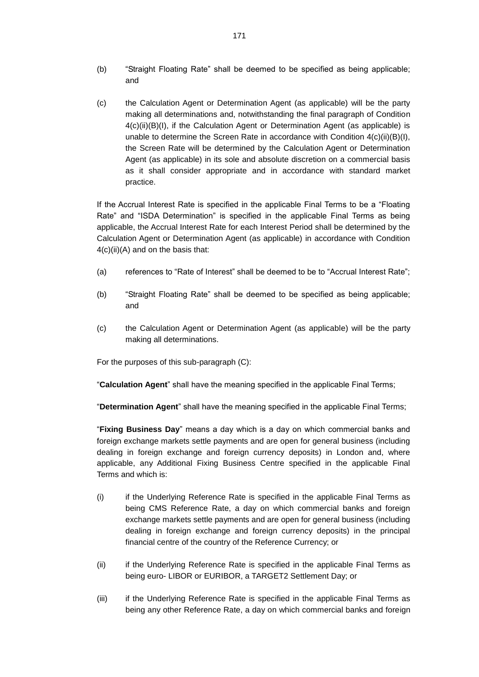- (b) "Straight Floating Rate" shall be deemed to be specified as being applicable; and
- (c) the Calculation Agent or Determination Agent (as applicable) will be the party making all determinations and, notwithstanding the final paragraph of Condition 4(c)(ii)(B)(I), if the Calculation Agent or Determination Agent (as applicable) is unable to determine the Screen Rate in accordance with Condition 4(c)(ii)(B)(I), the Screen Rate will be determined by the Calculation Agent or Determination Agent (as applicable) in its sole and absolute discretion on a commercial basis as it shall consider appropriate and in accordance with standard market practice.

If the Accrual Interest Rate is specified in the applicable Final Terms to be a "Floating Rate" and "ISDA Determination" is specified in the applicable Final Terms as being applicable, the Accrual Interest Rate for each Interest Period shall be determined by the Calculation Agent or Determination Agent (as applicable) in accordance with Condition  $4(c)(ii)(A)$  and on the basis that:

- (a) references to "Rate of Interest" shall be deemed to be to "Accrual Interest Rate";
- (b) "Straight Floating Rate" shall be deemed to be specified as being applicable; and
- (c) the Calculation Agent or Determination Agent (as applicable) will be the party making all determinations.

For the purposes of this sub-paragraph (C):

"**Calculation Agent**" shall have the meaning specified in the applicable Final Terms;

"**Determination Agent**" shall have the meaning specified in the applicable Final Terms;

"**Fixing Business Day**" means a day which is a day on which commercial banks and foreign exchange markets settle payments and are open for general business (including dealing in foreign exchange and foreign currency deposits) in London and, where applicable, any Additional Fixing Business Centre specified in the applicable Final Terms and which is:

- (i) if the Underlying Reference Rate is specified in the applicable Final Terms as being CMS Reference Rate, a day on which commercial banks and foreign exchange markets settle payments and are open for general business (including dealing in foreign exchange and foreign currency deposits) in the principal financial centre of the country of the Reference Currency; or
- (ii) if the Underlying Reference Rate is specified in the applicable Final Terms as being euro- LIBOR or EURIBOR, a TARGET2 Settlement Day; or
- (iii) if the Underlying Reference Rate is specified in the applicable Final Terms as being any other Reference Rate, a day on which commercial banks and foreign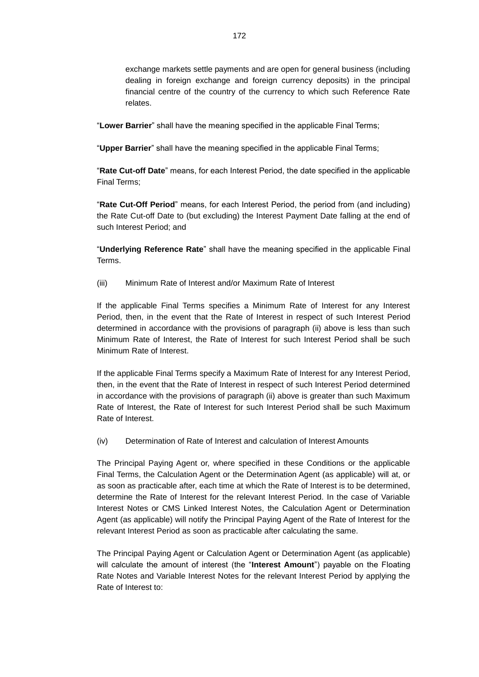exchange markets settle payments and are open for general business (including dealing in foreign exchange and foreign currency deposits) in the principal financial centre of the country of the currency to which such Reference Rate relates.

"**Lower Barrier**" shall have the meaning specified in the applicable Final Terms;

"**Upper Barrier**" shall have the meaning specified in the applicable Final Terms;

"**Rate Cut-off Date**" means, for each Interest Period, the date specified in the applicable Final Terms;

"**Rate Cut-Off Period**" means, for each Interest Period, the period from (and including) the Rate Cut-off Date to (but excluding) the Interest Payment Date falling at the end of such Interest Period; and

"**Underlying Reference Rate**" shall have the meaning specified in the applicable Final Terms.

(iii) Minimum Rate of Interest and/or Maximum Rate of Interest

If the applicable Final Terms specifies a Minimum Rate of Interest for any Interest Period, then, in the event that the Rate of Interest in respect of such Interest Period determined in accordance with the provisions of paragraph (ii) above is less than such Minimum Rate of Interest, the Rate of Interest for such Interest Period shall be such Minimum Rate of Interest.

If the applicable Final Terms specify a Maximum Rate of Interest for any Interest Period, then, in the event that the Rate of Interest in respect of such Interest Period determined in accordance with the provisions of paragraph (ii) above is greater than such Maximum Rate of Interest, the Rate of Interest for such Interest Period shall be such Maximum Rate of Interest.

(iv) Determination of Rate of Interest and calculation of Interest Amounts

The Principal Paying Agent or, where specified in these Conditions or the applicable Final Terms, the Calculation Agent or the Determination Agent (as applicable) will at, or as soon as practicable after, each time at which the Rate of Interest is to be determined, determine the Rate of Interest for the relevant Interest Period. In the case of Variable Interest Notes or CMS Linked Interest Notes, the Calculation Agent or Determination Agent (as applicable) will notify the Principal Paying Agent of the Rate of Interest for the relevant Interest Period as soon as practicable after calculating the same.

The Principal Paying Agent or Calculation Agent or Determination Agent (as applicable) will calculate the amount of interest (the "**Interest Amount**") payable on the Floating Rate Notes and Variable Interest Notes for the relevant Interest Period by applying the Rate of Interest to: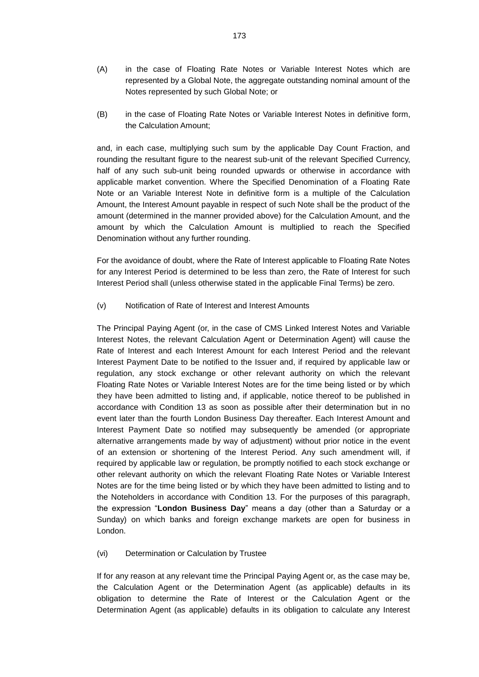- (A) in the case of Floating Rate Notes or Variable Interest Notes which are represented by a Global Note, the aggregate outstanding nominal amount of the Notes represented by such Global Note; or
- (B) in the case of Floating Rate Notes or Variable Interest Notes in definitive form, the Calculation Amount;

and, in each case, multiplying such sum by the applicable Day Count Fraction, and rounding the resultant figure to the nearest sub-unit of the relevant Specified Currency, half of any such sub-unit being rounded upwards or otherwise in accordance with applicable market convention. Where the Specified Denomination of a Floating Rate Note or an Variable Interest Note in definitive form is a multiple of the Calculation Amount, the Interest Amount payable in respect of such Note shall be the product of the amount (determined in the manner provided above) for the Calculation Amount, and the amount by which the Calculation Amount is multiplied to reach the Specified Denomination without any further rounding.

For the avoidance of doubt, where the Rate of Interest applicable to Floating Rate Notes for any Interest Period is determined to be less than zero, the Rate of Interest for such Interest Period shall (unless otherwise stated in the applicable Final Terms) be zero.

(v) Notification of Rate of Interest and Interest Amounts

The Principal Paying Agent (or, in the case of CMS Linked Interest Notes and Variable Interest Notes, the relevant Calculation Agent or Determination Agent) will cause the Rate of Interest and each Interest Amount for each Interest Period and the relevant Interest Payment Date to be notified to the Issuer and, if required by applicable law or regulation, any stock exchange or other relevant authority on which the relevant Floating Rate Notes or Variable Interest Notes are for the time being listed or by which they have been admitted to listing and, if applicable, notice thereof to be published in accordance with Condition 13 as soon as possible after their determination but in no event later than the fourth London Business Day thereafter. Each Interest Amount and Interest Payment Date so notified may subsequently be amended (or appropriate alternative arrangements made by way of adjustment) without prior notice in the event of an extension or shortening of the Interest Period. Any such amendment will, if required by applicable law or regulation, be promptly notified to each stock exchange or other relevant authority on which the relevant Floating Rate Notes or Variable Interest Notes are for the time being listed or by which they have been admitted to listing and to the Noteholders in accordance with Condition 13. For the purposes of this paragraph, the expression "**London Business Day**" means a day (other than a Saturday or a Sunday) on which banks and foreign exchange markets are open for business in London.

## (vi) Determination or Calculation by Trustee

If for any reason at any relevant time the Principal Paying Agent or, as the case may be, the Calculation Agent or the Determination Agent (as applicable) defaults in its obligation to determine the Rate of Interest or the Calculation Agent or the Determination Agent (as applicable) defaults in its obligation to calculate any Interest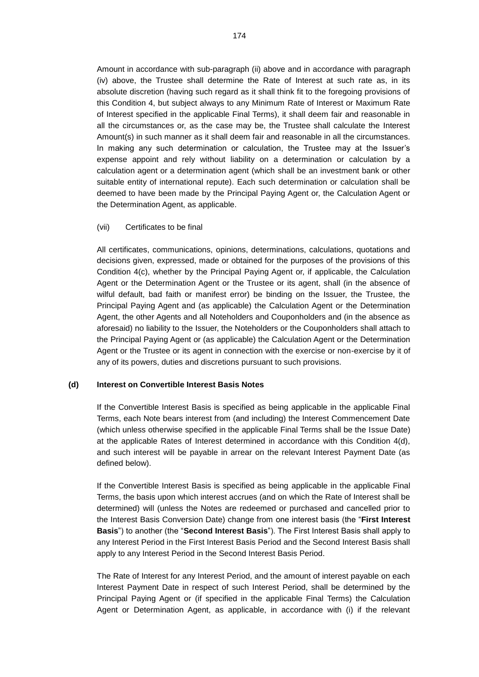Amount in accordance with sub-paragraph (ii) above and in accordance with paragraph (iv) above, the Trustee shall determine the Rate of Interest at such rate as, in its absolute discretion (having such regard as it shall think fit to the foregoing provisions of this Condition 4, but subject always to any Minimum Rate of Interest or Maximum Rate of Interest specified in the applicable Final Terms), it shall deem fair and reasonable in all the circumstances or, as the case may be, the Trustee shall calculate the Interest Amount(s) in such manner as it shall deem fair and reasonable in all the circumstances. In making any such determination or calculation, the Trustee may at the Issuer's expense appoint and rely without liability on a determination or calculation by a calculation agent or a determination agent (which shall be an investment bank or other suitable entity of international repute). Each such determination or calculation shall be deemed to have been made by the Principal Paying Agent or, the Calculation Agent or the Determination Agent, as applicable.

## (vii) Certificates to be final

All certificates, communications, opinions, determinations, calculations, quotations and decisions given, expressed, made or obtained for the purposes of the provisions of this Condition 4(c), whether by the Principal Paying Agent or, if applicable, the Calculation Agent or the Determination Agent or the Trustee or its agent, shall (in the absence of wilful default, bad faith or manifest error) be binding on the Issuer, the Trustee, the Principal Paying Agent and (as applicable) the Calculation Agent or the Determination Agent, the other Agents and all Noteholders and Couponholders and (in the absence as aforesaid) no liability to the Issuer, the Noteholders or the Couponholders shall attach to the Principal Paying Agent or (as applicable) the Calculation Agent or the Determination Agent or the Trustee or its agent in connection with the exercise or non-exercise by it of any of its powers, duties and discretions pursuant to such provisions.

## **(d) Interest on Convertible Interest Basis Notes**

If the Convertible Interest Basis is specified as being applicable in the applicable Final Terms, each Note bears interest from (and including) the Interest Commencement Date (which unless otherwise specified in the applicable Final Terms shall be the Issue Date) at the applicable Rates of Interest determined in accordance with this Condition 4(d), and such interest will be payable in arrear on the relevant Interest Payment Date (as defined below).

If the Convertible Interest Basis is specified as being applicable in the applicable Final Terms, the basis upon which interest accrues (and on which the Rate of Interest shall be determined) will (unless the Notes are redeemed or purchased and cancelled prior to the Interest Basis Conversion Date) change from one interest basis (the "**First Interest Basis**") to another (the "**Second Interest Basis**"). The First Interest Basis shall apply to any Interest Period in the First Interest Basis Period and the Second Interest Basis shall apply to any Interest Period in the Second Interest Basis Period.

The Rate of Interest for any Interest Period, and the amount of interest payable on each Interest Payment Date in respect of such Interest Period, shall be determined by the Principal Paying Agent or (if specified in the applicable Final Terms) the Calculation Agent or Determination Agent, as applicable, in accordance with (i) if the relevant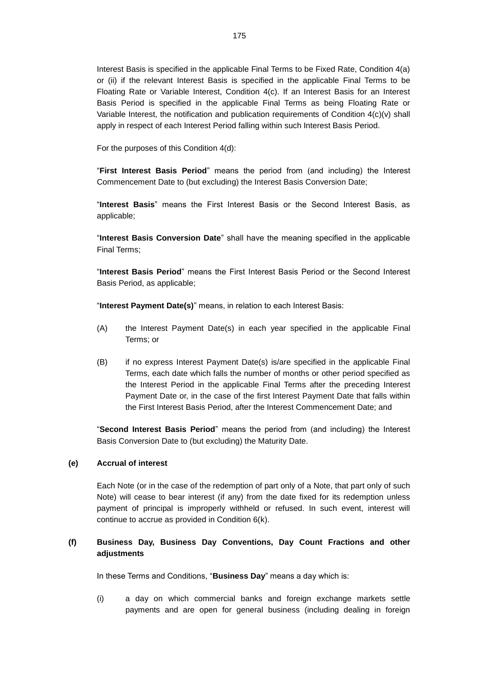Interest Basis is specified in the applicable Final Terms to be Fixed Rate, Condition 4(a) or (ii) if the relevant Interest Basis is specified in the applicable Final Terms to be Floating Rate or Variable Interest, Condition 4(c). If an Interest Basis for an Interest Basis Period is specified in the applicable Final Terms as being Floating Rate or Variable Interest, the notification and publication requirements of Condition 4(c)(v) shall apply in respect of each Interest Period falling within such Interest Basis Period.

For the purposes of this Condition 4(d):

"**First Interest Basis Period**" means the period from (and including) the Interest Commencement Date to (but excluding) the Interest Basis Conversion Date;

"**Interest Basis**" means the First Interest Basis or the Second Interest Basis, as applicable;

"**Interest Basis Conversion Date**" shall have the meaning specified in the applicable Final Terms;

"**Interest Basis Period**" means the First Interest Basis Period or the Second Interest Basis Period, as applicable;

"**Interest Payment Date(s)**" means, in relation to each Interest Basis:

- (A) the Interest Payment Date(s) in each year specified in the applicable Final Terms; or
- (B) if no express Interest Payment Date(s) is/are specified in the applicable Final Terms, each date which falls the number of months or other period specified as the Interest Period in the applicable Final Terms after the preceding Interest Payment Date or, in the case of the first Interest Payment Date that falls within the First Interest Basis Period, after the Interest Commencement Date; and

"**Second Interest Basis Period**" means the period from (and including) the Interest Basis Conversion Date to (but excluding) the Maturity Date.

## **(e) Accrual of interest**

Each Note (or in the case of the redemption of part only of a Note, that part only of such Note) will cease to bear interest (if any) from the date fixed for its redemption unless payment of principal is improperly withheld or refused. In such event, interest will continue to accrue as provided in Condition 6(k).

# **(f) Business Day, Business Day Conventions, Day Count Fractions and other adjustments**

In these Terms and Conditions, "**Business Day**" means a day which is:

(i) a day on which commercial banks and foreign exchange markets settle payments and are open for general business (including dealing in foreign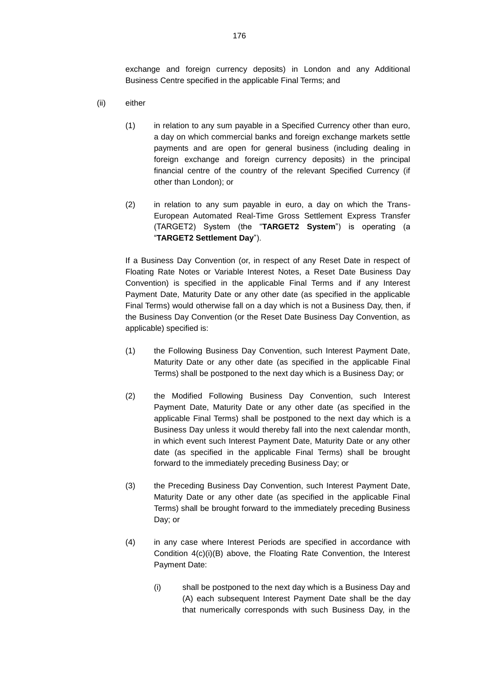exchange and foreign currency deposits) in London and any Additional Business Centre specified in the applicable Final Terms; and

- (ii) either
	- (1) in relation to any sum payable in a Specified Currency other than euro, a day on which commercial banks and foreign exchange markets settle payments and are open for general business (including dealing in foreign exchange and foreign currency deposits) in the principal financial centre of the country of the relevant Specified Currency (if other than London); or
	- (2) in relation to any sum payable in euro, a day on which the Trans-European Automated Real-Time Gross Settlement Express Transfer (TARGET2) System (the "**TARGET2 System**") is operating (a "**TARGET2 Settlement Day**").

If a Business Day Convention (or, in respect of any Reset Date in respect of Floating Rate Notes or Variable Interest Notes, a Reset Date Business Day Convention) is specified in the applicable Final Terms and if any Interest Payment Date, Maturity Date or any other date (as specified in the applicable Final Terms) would otherwise fall on a day which is not a Business Day, then, if the Business Day Convention (or the Reset Date Business Day Convention, as applicable) specified is:

- (1) the Following Business Day Convention, such Interest Payment Date, Maturity Date or any other date (as specified in the applicable Final Terms) shall be postponed to the next day which is a Business Day; or
- (2) the Modified Following Business Day Convention, such Interest Payment Date, Maturity Date or any other date (as specified in the applicable Final Terms) shall be postponed to the next day which is a Business Day unless it would thereby fall into the next calendar month, in which event such Interest Payment Date, Maturity Date or any other date (as specified in the applicable Final Terms) shall be brought forward to the immediately preceding Business Day; or
- (3) the Preceding Business Day Convention, such Interest Payment Date, Maturity Date or any other date (as specified in the applicable Final Terms) shall be brought forward to the immediately preceding Business Day; or
- (4) in any case where Interest Periods are specified in accordance with Condition 4(c)(i)(B) above, the Floating Rate Convention, the Interest Payment Date:
	- (i) shall be postponed to the next day which is a Business Day and (A) each subsequent Interest Payment Date shall be the day that numerically corresponds with such Business Day, in the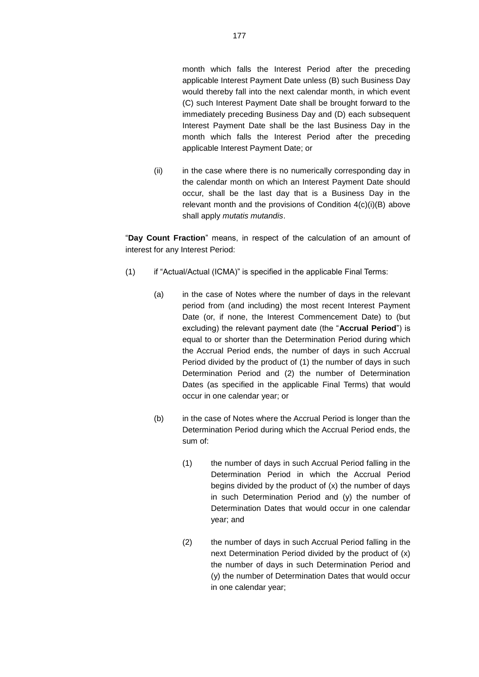month which falls the Interest Period after the preceding applicable Interest Payment Date unless (B) such Business Day would thereby fall into the next calendar month, in which event (C) such Interest Payment Date shall be brought forward to the immediately preceding Business Day and (D) each subsequent Interest Payment Date shall be the last Business Day in the month which falls the Interest Period after the preceding applicable Interest Payment Date; or

(ii) in the case where there is no numerically corresponding day in the calendar month on which an Interest Payment Date should occur, shall be the last day that is a Business Day in the relevant month and the provisions of Condition 4(c)(i)(B) above shall apply *mutatis mutandis*.

"**Day Count Fraction**" means, in respect of the calculation of an amount of interest for any Interest Period:

- (1) if "Actual/Actual (ICMA)" is specified in the applicable Final Terms:
	- (a) in the case of Notes where the number of days in the relevant period from (and including) the most recent Interest Payment Date (or, if none, the Interest Commencement Date) to (but excluding) the relevant payment date (the "**Accrual Period**") is equal to or shorter than the Determination Period during which the Accrual Period ends, the number of days in such Accrual Period divided by the product of (1) the number of days in such Determination Period and (2) the number of Determination Dates (as specified in the applicable Final Terms) that would occur in one calendar year; or
	- (b) in the case of Notes where the Accrual Period is longer than the Determination Period during which the Accrual Period ends, the sum of:
		- (1) the number of days in such Accrual Period falling in the Determination Period in which the Accrual Period begins divided by the product of (x) the number of days in such Determination Period and (y) the number of Determination Dates that would occur in one calendar year; and
		- (2) the number of days in such Accrual Period falling in the next Determination Period divided by the product of (x) the number of days in such Determination Period and (y) the number of Determination Dates that would occur in one calendar year;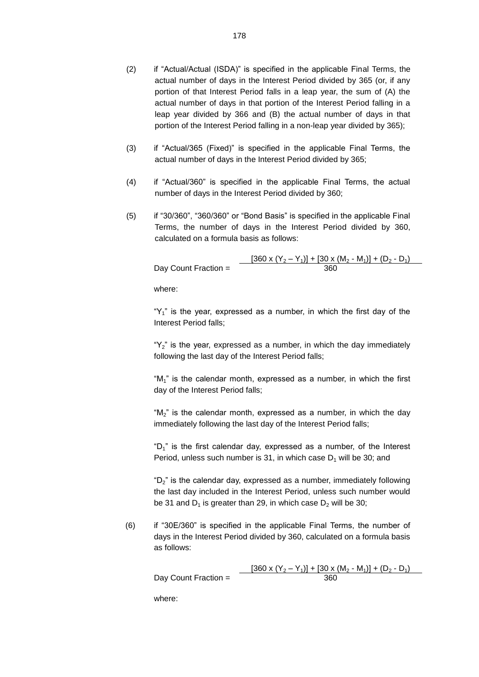- (2) if "Actual/Actual (ISDA)" is specified in the applicable Final Terms, the actual number of days in the Interest Period divided by 365 (or, if any portion of that Interest Period falls in a leap year, the sum of (A) the actual number of days in that portion of the Interest Period falling in a leap year divided by 366 and (B) the actual number of days in that portion of the Interest Period falling in a non-leap year divided by 365);
- (3) if "Actual/365 (Fixed)" is specified in the applicable Final Terms, the actual number of days in the Interest Period divided by 365;
- (4) if "Actual/360" is specified in the applicable Final Terms, the actual number of days in the Interest Period divided by 360;
- (5) if "30/360", "360/360" or "Bond Basis" is specified in the applicable Final Terms, the number of days in the Interest Period divided by 360, calculated on a formula basis as follows:

|                      | $[360 \times (Y_2 - Y_1)] + [30 \times (M_2 - M_1)] + (D_2 - D_1)$ |
|----------------------|--------------------------------------------------------------------|
| Day Count Fraction = | 360                                                                |

where:

" $Y_1$ " is the year, expressed as a number, in which the first day of the Interest Period falls;

" $Y_2$ " is the year, expressed as a number, in which the day immediately following the last day of the Interest Period falls;

" $M_1$ " is the calendar month, expressed as a number, in which the first day of the Interest Period falls;

" $M_2$ " is the calendar month, expressed as a number, in which the day immediately following the last day of the Interest Period falls;

" $D_1$ " is the first calendar day, expressed as a number, of the Interest Period, unless such number is 31, in which case  $D_1$  will be 30; and

"D2" is the calendar day, expressed as a number, immediately following the last day included in the Interest Period, unless such number would be 31 and  $D_1$  is greater than 29, in which case  $D_2$  will be 30;

(6) if "30E/360" is specified in the applicable Final Terms, the number of days in the Interest Period divided by 360, calculated on a formula basis as follows:

 $\frac{[360 \times (Y_2 - Y_1)] + [30 \times (M_2 - M_1)] + (D_2 - D_1)}{360}$ Day Count Fraction  $=$ 

where: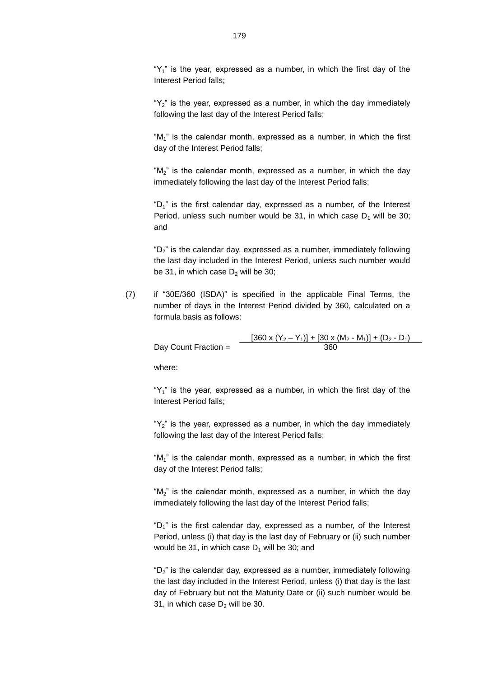" $Y_1$ " is the year, expressed as a number, in which the first day of the Interest Period falls;

" $Y_2$ " is the year, expressed as a number, in which the day immediately following the last day of the Interest Period falls;

" $M_1$ " is the calendar month, expressed as a number, in which the first day of the Interest Period falls;

" $M_2$ " is the calendar month, expressed as a number, in which the day immediately following the last day of the Interest Period falls;

" $D_1$ " is the first calendar day, expressed as a number, of the Interest Period, unless such number would be 31, in which case  $D_1$  will be 30; and

" $D_2$ " is the calendar day, expressed as a number, immediately following the last day included in the Interest Period, unless such number would be 31, in which case  $D_2$  will be 30;

(7) if "30E/360 (ISDA)" is specified in the applicable Final Terms, the number of days in the Interest Period divided by 360, calculated on a formula basis as follows:

$$
\text{Day Count Fraction} = \frac{[360 \times (Y_2 - Y_1)] + [30 \times (M_2 - M_1)] + (D_2 - D_1)}{360}
$$

where:

" $Y_1$ " is the year, expressed as a number, in which the first day of the Interest Period falls;

" $Y_2$ " is the year, expressed as a number, in which the day immediately following the last day of the Interest Period falls;

" $M_1$ " is the calendar month, expressed as a number, in which the first day of the Interest Period falls;

"M<sub>2</sub>" is the calendar month, expressed as a number, in which the day immediately following the last day of the Interest Period falls;

" $D_1$ " is the first calendar day, expressed as a number, of the Interest Period, unless (i) that day is the last day of February or (ii) such number would be 31, in which case  $D_1$  will be 30; and

" $D_2$ " is the calendar day, expressed as a number, immediately following the last day included in the Interest Period, unless (i) that day is the last day of February but not the Maturity Date or (ii) such number would be 31, in which case  $D_2$  will be 30.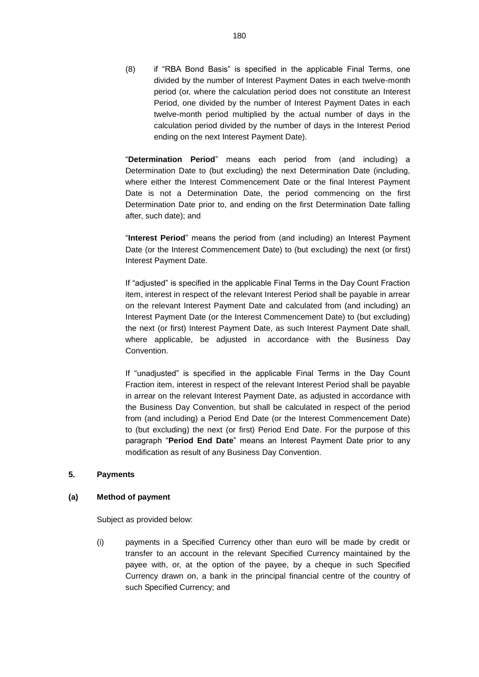(8) if "RBA Bond Basis" is specified in the applicable Final Terms, one divided by the number of Interest Payment Dates in each twelve-month period (or, where the calculation period does not constitute an Interest Period, one divided by the number of Interest Payment Dates in each twelve-month period multiplied by the actual number of days in the calculation period divided by the number of days in the Interest Period ending on the next Interest Payment Date).

"**Determination Period**" means each period from (and including) a Determination Date to (but excluding) the next Determination Date (including, where either the Interest Commencement Date or the final Interest Payment Date is not a Determination Date, the period commencing on the first Determination Date prior to, and ending on the first Determination Date falling after, such date); and

"**Interest Period**" means the period from (and including) an Interest Payment Date (or the Interest Commencement Date) to (but excluding) the next (or first) Interest Payment Date.

If "adjusted" is specified in the applicable Final Terms in the Day Count Fraction item, interest in respect of the relevant Interest Period shall be payable in arrear on the relevant Interest Payment Date and calculated from (and including) an Interest Payment Date (or the Interest Commencement Date) to (but excluding) the next (or first) Interest Payment Date, as such Interest Payment Date shall, where applicable, be adjusted in accordance with the Business Day Convention.

If "unadjusted" is specified in the applicable Final Terms in the Day Count Fraction item, interest in respect of the relevant Interest Period shall be payable in arrear on the relevant Interest Payment Date, as adjusted in accordance with the Business Day Convention, but shall be calculated in respect of the period from (and including) a Period End Date (or the Interest Commencement Date) to (but excluding) the next (or first) Period End Date. For the purpose of this paragraph "**Period End Date**" means an Interest Payment Date prior to any modification as result of any Business Day Convention.

### **5. Payments**

## **(a) Method of payment**

Subject as provided below:

(i) payments in a Specified Currency other than euro will be made by credit or transfer to an account in the relevant Specified Currency maintained by the payee with, or, at the option of the payee, by a cheque in such Specified Currency drawn on, a bank in the principal financial centre of the country of such Specified Currency; and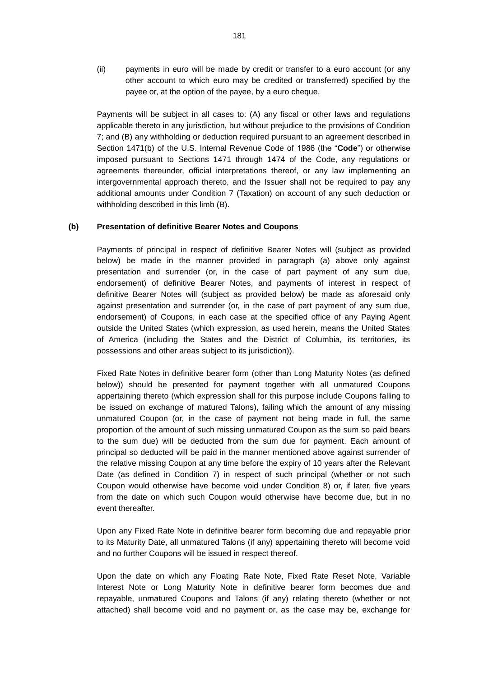(ii) payments in euro will be made by credit or transfer to a euro account (or any other account to which euro may be credited or transferred) specified by the payee or, at the option of the payee, by a euro cheque.

Payments will be subject in all cases to: (A) any fiscal or other laws and regulations applicable thereto in any jurisdiction, but without prejudice to the provisions of Condition 7; and (B) any withholding or deduction required pursuant to an agreement described in Section 1471(b) of the U.S. Internal Revenue Code of 1986 (the "**Code**") or otherwise imposed pursuant to Sections 1471 through 1474 of the Code, any regulations or agreements thereunder, official interpretations thereof, or any law implementing an intergovernmental approach thereto, and the Issuer shall not be required to pay any additional amounts under Condition 7 (Taxation) on account of any such deduction or withholding described in this limb (B).

## **(b) Presentation of definitive Bearer Notes and Coupons**

Payments of principal in respect of definitive Bearer Notes will (subject as provided below) be made in the manner provided in paragraph (a) above only against presentation and surrender (or, in the case of part payment of any sum due, endorsement) of definitive Bearer Notes, and payments of interest in respect of definitive Bearer Notes will (subject as provided below) be made as aforesaid only against presentation and surrender (or, in the case of part payment of any sum due, endorsement) of Coupons, in each case at the specified office of any Paying Agent outside the United States (which expression, as used herein, means the United States of America (including the States and the District of Columbia, its territories, its possessions and other areas subject to its jurisdiction)).

Fixed Rate Notes in definitive bearer form (other than Long Maturity Notes (as defined below)) should be presented for payment together with all unmatured Coupons appertaining thereto (which expression shall for this purpose include Coupons falling to be issued on exchange of matured Talons), failing which the amount of any missing unmatured Coupon (or, in the case of payment not being made in full, the same proportion of the amount of such missing unmatured Coupon as the sum so paid bears to the sum due) will be deducted from the sum due for payment. Each amount of principal so deducted will be paid in the manner mentioned above against surrender of the relative missing Coupon at any time before the expiry of 10 years after the Relevant Date (as defined in Condition 7) in respect of such principal (whether or not such Coupon would otherwise have become void under Condition 8) or, if later, five years from the date on which such Coupon would otherwise have become due, but in no event thereafter.

Upon any Fixed Rate Note in definitive bearer form becoming due and repayable prior to its Maturity Date, all unmatured Talons (if any) appertaining thereto will become void and no further Coupons will be issued in respect thereof.

Upon the date on which any Floating Rate Note, Fixed Rate Reset Note, Variable Interest Note or Long Maturity Note in definitive bearer form becomes due and repayable, unmatured Coupons and Talons (if any) relating thereto (whether or not attached) shall become void and no payment or, as the case may be, exchange for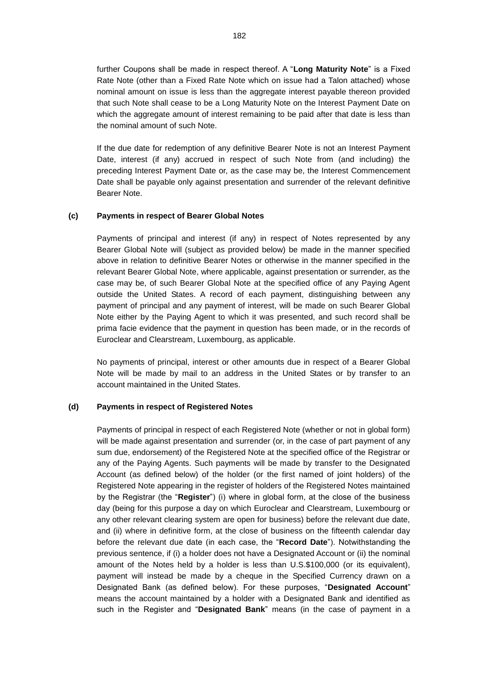further Coupons shall be made in respect thereof. A "**Long Maturity Note**" is a Fixed Rate Note (other than a Fixed Rate Note which on issue had a Talon attached) whose nominal amount on issue is less than the aggregate interest payable thereon provided that such Note shall cease to be a Long Maturity Note on the Interest Payment Date on which the aggregate amount of interest remaining to be paid after that date is less than the nominal amount of such Note.

If the due date for redemption of any definitive Bearer Note is not an Interest Payment Date, interest (if any) accrued in respect of such Note from (and including) the preceding Interest Payment Date or, as the case may be, the Interest Commencement Date shall be payable only against presentation and surrender of the relevant definitive Bearer Note.

## **(c) Payments in respect of Bearer Global Notes**

Payments of principal and interest (if any) in respect of Notes represented by any Bearer Global Note will (subject as provided below) be made in the manner specified above in relation to definitive Bearer Notes or otherwise in the manner specified in the relevant Bearer Global Note, where applicable, against presentation or surrender, as the case may be, of such Bearer Global Note at the specified office of any Paying Agent outside the United States. A record of each payment, distinguishing between any payment of principal and any payment of interest, will be made on such Bearer Global Note either by the Paying Agent to which it was presented, and such record shall be prima facie evidence that the payment in question has been made, or in the records of Euroclear and Clearstream, Luxembourg, as applicable.

No payments of principal, interest or other amounts due in respect of a Bearer Global Note will be made by mail to an address in the United States or by transfer to an account maintained in the United States.

## **(d) Payments in respect of Registered Notes**

Payments of principal in respect of each Registered Note (whether or not in global form) will be made against presentation and surrender (or, in the case of part payment of any sum due, endorsement) of the Registered Note at the specified office of the Registrar or any of the Paying Agents. Such payments will be made by transfer to the Designated Account (as defined below) of the holder (or the first named of joint holders) of the Registered Note appearing in the register of holders of the Registered Notes maintained by the Registrar (the "**Register**") (i) where in global form, at the close of the business day (being for this purpose a day on which Euroclear and Clearstream, Luxembourg or any other relevant clearing system are open for business) before the relevant due date, and (ii) where in definitive form, at the close of business on the fifteenth calendar day before the relevant due date (in each case, the "**Record Date**"). Notwithstanding the previous sentence, if (i) a holder does not have a Designated Account or (ii) the nominal amount of the Notes held by a holder is less than U.S.\$100,000 (or its equivalent), payment will instead be made by a cheque in the Specified Currency drawn on a Designated Bank (as defined below). For these purposes, "**Designated Account**" means the account maintained by a holder with a Designated Bank and identified as such in the Register and "**Designated Bank**" means (in the case of payment in a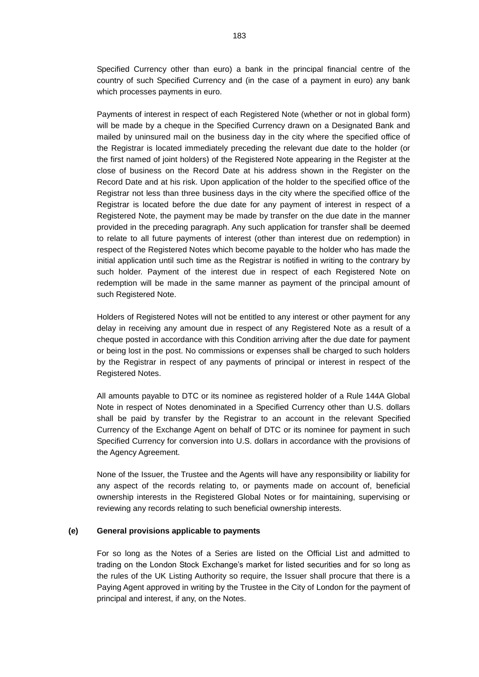Specified Currency other than euro) a bank in the principal financial centre of the country of such Specified Currency and (in the case of a payment in euro) any bank which processes payments in euro.

Payments of interest in respect of each Registered Note (whether or not in global form) will be made by a cheque in the Specified Currency drawn on a Designated Bank and mailed by uninsured mail on the business day in the city where the specified office of the Registrar is located immediately preceding the relevant due date to the holder (or the first named of joint holders) of the Registered Note appearing in the Register at the close of business on the Record Date at his address shown in the Register on the Record Date and at his risk. Upon application of the holder to the specified office of the Registrar not less than three business days in the city where the specified office of the Registrar is located before the due date for any payment of interest in respect of a Registered Note, the payment may be made by transfer on the due date in the manner provided in the preceding paragraph. Any such application for transfer shall be deemed to relate to all future payments of interest (other than interest due on redemption) in respect of the Registered Notes which become payable to the holder who has made the initial application until such time as the Registrar is notified in writing to the contrary by such holder. Payment of the interest due in respect of each Registered Note on redemption will be made in the same manner as payment of the principal amount of such Registered Note.

Holders of Registered Notes will not be entitled to any interest or other payment for any delay in receiving any amount due in respect of any Registered Note as a result of a cheque posted in accordance with this Condition arriving after the due date for payment or being lost in the post. No commissions or expenses shall be charged to such holders by the Registrar in respect of any payments of principal or interest in respect of the Registered Notes.

All amounts payable to DTC or its nominee as registered holder of a Rule 144A Global Note in respect of Notes denominated in a Specified Currency other than U.S. dollars shall be paid by transfer by the Registrar to an account in the relevant Specified Currency of the Exchange Agent on behalf of DTC or its nominee for payment in such Specified Currency for conversion into U.S. dollars in accordance with the provisions of the Agency Agreement.

None of the Issuer, the Trustee and the Agents will have any responsibility or liability for any aspect of the records relating to, or payments made on account of, beneficial ownership interests in the Registered Global Notes or for maintaining, supervising or reviewing any records relating to such beneficial ownership interests.

### **(e) General provisions applicable to payments**

For so long as the Notes of a Series are listed on the Official List and admitted to trading on the London Stock Exchange's market for listed securities and for so long as the rules of the UK Listing Authority so require, the Issuer shall procure that there is a Paying Agent approved in writing by the Trustee in the City of London for the payment of principal and interest, if any, on the Notes.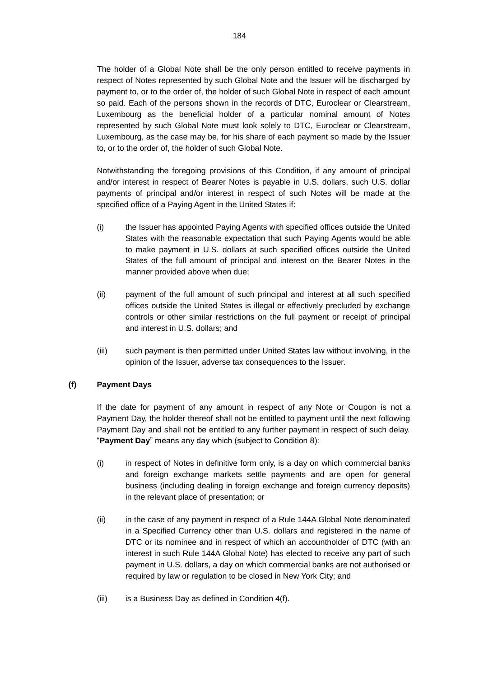The holder of a Global Note shall be the only person entitled to receive payments in respect of Notes represented by such Global Note and the Issuer will be discharged by payment to, or to the order of, the holder of such Global Note in respect of each amount so paid. Each of the persons shown in the records of DTC, Euroclear or Clearstream, Luxembourg as the beneficial holder of a particular nominal amount of Notes represented by such Global Note must look solely to DTC, Euroclear or Clearstream, Luxembourg, as the case may be, for his share of each payment so made by the Issuer to, or to the order of, the holder of such Global Note.

Notwithstanding the foregoing provisions of this Condition, if any amount of principal and/or interest in respect of Bearer Notes is payable in U.S. dollars, such U.S. dollar payments of principal and/or interest in respect of such Notes will be made at the specified office of a Paying Agent in the United States if:

- (i) the Issuer has appointed Paying Agents with specified offices outside the United States with the reasonable expectation that such Paying Agents would be able to make payment in U.S. dollars at such specified offices outside the United States of the full amount of principal and interest on the Bearer Notes in the manner provided above when due;
- (ii) payment of the full amount of such principal and interest at all such specified offices outside the United States is illegal or effectively precluded by exchange controls or other similar restrictions on the full payment or receipt of principal and interest in U.S. dollars; and
- (iii) such payment is then permitted under United States law without involving, in the opinion of the Issuer, adverse tax consequences to the Issuer.

## **(f) Payment Days**

If the date for payment of any amount in respect of any Note or Coupon is not a Payment Day, the holder thereof shall not be entitled to payment until the next following Payment Day and shall not be entitled to any further payment in respect of such delay. "**Payment Day**" means any day which (subject to Condition 8):

- (i) in respect of Notes in definitive form only, is a day on which commercial banks and foreign exchange markets settle payments and are open for general business (including dealing in foreign exchange and foreign currency deposits) in the relevant place of presentation; or
- (ii) in the case of any payment in respect of a Rule 144A Global Note denominated in a Specified Currency other than U.S. dollars and registered in the name of DTC or its nominee and in respect of which an accountholder of DTC (with an interest in such Rule 144A Global Note) has elected to receive any part of such payment in U.S. dollars, a day on which commercial banks are not authorised or required by law or regulation to be closed in New York City; and
- (iii) is a Business Day as defined in Condition 4(f).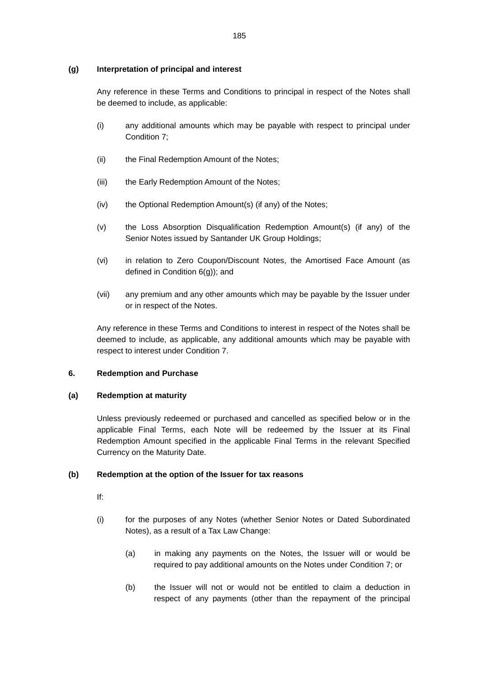# **(g) Interpretation of principal and interest**

Any reference in these Terms and Conditions to principal in respect of the Notes shall be deemed to include, as applicable:

- (i) any additional amounts which may be payable with respect to principal under Condition 7;
- (ii) the Final Redemption Amount of the Notes;
- (iii) the Early Redemption Amount of the Notes;
- (iv) the Optional Redemption Amount(s) (if any) of the Notes;
- (v) the Loss Absorption Disqualification Redemption Amount(s) (if any) of the Senior Notes issued by Santander UK Group Holdings;
- (vi) in relation to Zero Coupon/Discount Notes, the Amortised Face Amount (as defined in Condition 6(g)); and
- (vii) any premium and any other amounts which may be payable by the Issuer under or in respect of the Notes.

Any reference in these Terms and Conditions to interest in respect of the Notes shall be deemed to include, as applicable, any additional amounts which may be payable with respect to interest under Condition 7.

# **6. Redemption and Purchase**

## **(a) Redemption at maturity**

Unless previously redeemed or purchased and cancelled as specified below or in the applicable Final Terms, each Note will be redeemed by the Issuer at its Final Redemption Amount specified in the applicable Final Terms in the relevant Specified Currency on the Maturity Date.

## **(b) Redemption at the option of the Issuer for tax reasons**

- If:
- (i) for the purposes of any Notes (whether Senior Notes or Dated Subordinated Notes), as a result of a Tax Law Change:
	- (a) in making any payments on the Notes, the Issuer will or would be required to pay additional amounts on the Notes under Condition 7; or
	- (b) the Issuer will not or would not be entitled to claim a deduction in respect of any payments (other than the repayment of the principal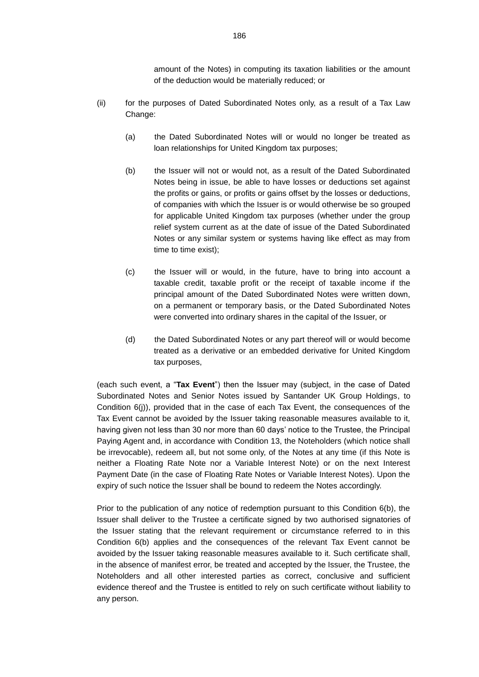amount of the Notes) in computing its taxation liabilities or the amount of the deduction would be materially reduced; or

- (ii) for the purposes of Dated Subordinated Notes only, as a result of a Tax Law Change:
	- (a) the Dated Subordinated Notes will or would no longer be treated as loan relationships for United Kingdom tax purposes;
	- (b) the Issuer will not or would not, as a result of the Dated Subordinated Notes being in issue, be able to have losses or deductions set against the profits or gains, or profits or gains offset by the losses or deductions, of companies with which the Issuer is or would otherwise be so grouped for applicable United Kingdom tax purposes (whether under the group relief system current as at the date of issue of the Dated Subordinated Notes or any similar system or systems having like effect as may from time to time exist);
	- (c) the Issuer will or would, in the future, have to bring into account a taxable credit, taxable profit or the receipt of taxable income if the principal amount of the Dated Subordinated Notes were written down, on a permanent or temporary basis, or the Dated Subordinated Notes were converted into ordinary shares in the capital of the Issuer, or
	- (d) the Dated Subordinated Notes or any part thereof will or would become treated as a derivative or an embedded derivative for United Kingdom tax purposes,

(each such event, a "**Tax Event**") then the Issuer may (subject, in the case of Dated Subordinated Notes and Senior Notes issued by Santander UK Group Holdings, to Condition 6(j)), provided that in the case of each Tax Event, the consequences of the Tax Event cannot be avoided by the Issuer taking reasonable measures available to it, having given not less than 30 nor more than 60 days' notice to the Trustee, the Principal Paying Agent and, in accordance with Condition 13, the Noteholders (which notice shall be irrevocable), redeem all, but not some only, of the Notes at any time (if this Note is neither a Floating Rate Note nor a Variable Interest Note) or on the next Interest Payment Date (in the case of Floating Rate Notes or Variable Interest Notes). Upon the expiry of such notice the Issuer shall be bound to redeem the Notes accordingly.

Prior to the publication of any notice of redemption pursuant to this Condition 6(b), the Issuer shall deliver to the Trustee a certificate signed by two authorised signatories of the Issuer stating that the relevant requirement or circumstance referred to in this Condition 6(b) applies and the consequences of the relevant Tax Event cannot be avoided by the Issuer taking reasonable measures available to it. Such certificate shall, in the absence of manifest error, be treated and accepted by the Issuer, the Trustee, the Noteholders and all other interested parties as correct, conclusive and sufficient evidence thereof and the Trustee is entitled to rely on such certificate without liability to any person.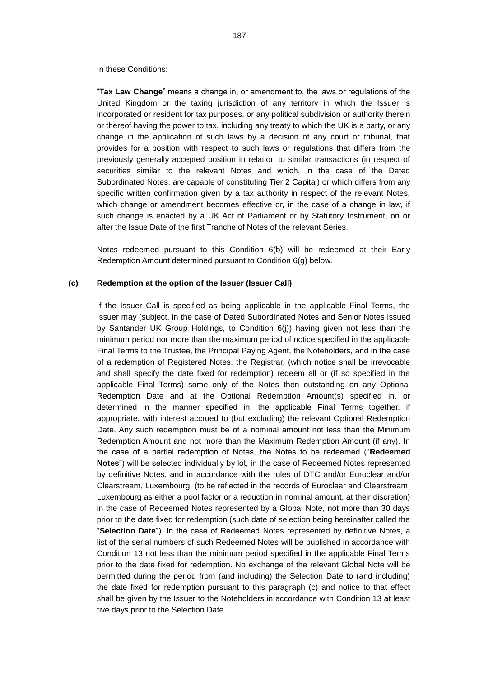In these Conditions:

"**Tax Law Change**" means a change in, or amendment to, the laws or regulations of the United Kingdom or the taxing jurisdiction of any territory in which the Issuer is incorporated or resident for tax purposes, or any political subdivision or authority therein or thereof having the power to tax, including any treaty to which the UK is a party, or any change in the application of such laws by a decision of any court or tribunal, that provides for a position with respect to such laws or regulations that differs from the previously generally accepted position in relation to similar transactions (in respect of securities similar to the relevant Notes and which, in the case of the Dated Subordinated Notes, are capable of constituting Tier 2 Capital) or which differs from any specific written confirmation given by a tax authority in respect of the relevant Notes, which change or amendment becomes effective or, in the case of a change in law, if such change is enacted by a UK Act of Parliament or by Statutory Instrument, on or after the Issue Date of the first Tranche of Notes of the relevant Series.

Notes redeemed pursuant to this Condition 6(b) will be redeemed at their Early Redemption Amount determined pursuant to Condition 6(g) below.

#### **(c) Redemption at the option of the Issuer (Issuer Call)**

If the Issuer Call is specified as being applicable in the applicable Final Terms, the Issuer may (subject, in the case of Dated Subordinated Notes and Senior Notes issued by Santander UK Group Holdings, to Condition 6(j)) having given not less than the minimum period nor more than the maximum period of notice specified in the applicable Final Terms to the Trustee, the Principal Paying Agent, the Noteholders, and in the case of a redemption of Registered Notes, the Registrar, (which notice shall be irrevocable and shall specify the date fixed for redemption) redeem all or (if so specified in the applicable Final Terms) some only of the Notes then outstanding on any Optional Redemption Date and at the Optional Redemption Amount(s) specified in, or determined in the manner specified in, the applicable Final Terms together, if appropriate, with interest accrued to (but excluding) the relevant Optional Redemption Date. Any such redemption must be of a nominal amount not less than the Minimum Redemption Amount and not more than the Maximum Redemption Amount (if any). In the case of a partial redemption of Notes, the Notes to be redeemed ("**Redeemed Notes**") will be selected individually by lot, in the case of Redeemed Notes represented by definitive Notes, and in accordance with the rules of DTC and/or Euroclear and/or Clearstream, Luxembourg, (to be reflected in the records of Euroclear and Clearstream, Luxembourg as either a pool factor or a reduction in nominal amount, at their discretion) in the case of Redeemed Notes represented by a Global Note, not more than 30 days prior to the date fixed for redemption (such date of selection being hereinafter called the "**Selection Date**"). In the case of Redeemed Notes represented by definitive Notes, a list of the serial numbers of such Redeemed Notes will be published in accordance with Condition 13 not less than the minimum period specified in the applicable Final Terms prior to the date fixed for redemption. No exchange of the relevant Global Note will be permitted during the period from (and including) the Selection Date to (and including) the date fixed for redemption pursuant to this paragraph (c) and notice to that effect shall be given by the Issuer to the Noteholders in accordance with Condition 13 at least five days prior to the Selection Date.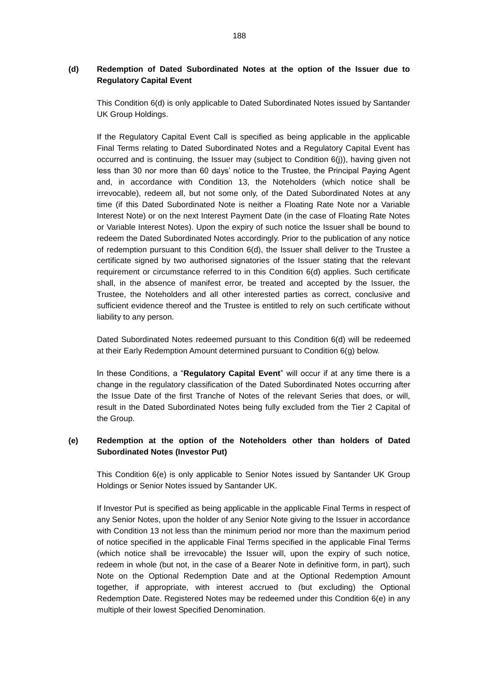# <span id="page-62-0"></span>**(d) Redemption of Dated Subordinated Notes at the option of the Issuer due to Regulatory Capital Event**

This Condition [6\(d\)](#page-62-0) is only applicable to Dated Subordinated Notes issued by Santander UK Group Holdings.

If the Regulatory Capital Event Call is specified as being applicable in the applicable Final Terms relating to Dated Subordinated Notes and a Regulatory Capital Event has occurred and is continuing, the Issuer may (subject to Condition 6(j)), having given not less than 30 nor more than 60 days' notice to the Trustee, the Principal Paying Agent and, in accordance with Condition 13, the Noteholders (which notice shall be irrevocable), redeem all, but not some only, of the Dated Subordinated Notes at any time (if this Dated Subordinated Note is neither a Floating Rate Note nor a Variable Interest Note) or on the next Interest Payment Date (in the case of Floating Rate Notes or Variable Interest Notes). Upon the expiry of such notice the Issuer shall be bound to redeem the Dated Subordinated Notes accordingly. Prior to the publication of any notice of redemption pursuant to this Condition 6(d), the Issuer shall deliver to the Trustee a certificate signed by two authorised signatories of the Issuer stating that the relevant requirement or circumstance referred to in this Condition 6(d) applies. Such certificate shall, in the absence of manifest error, be treated and accepted by the Issuer, the Trustee, the Noteholders and all other interested parties as correct, conclusive and sufficient evidence thereof and the Trustee is entitled to rely on such certificate without liability to any person.

Dated Subordinated Notes redeemed pursuant to this Condition 6(d) will be redeemed at their Early Redemption Amount determined pursuant to Condition 6(g) below.

In these Conditions, a "**Regulatory Capital Event**" will occur if at any time there is a change in the regulatory classification of the Dated Subordinated Notes occurring after the Issue Date of the first Tranche of Notes of the relevant Series that does, or will, result in the Dated Subordinated Notes being fully excluded from the Tier 2 Capital of the Group.

# <span id="page-62-1"></span>**(e) Redemption at the option of the Noteholders other than holders of Dated Subordinated Notes (Investor Put)**

This Condition [6\(e\)](#page-62-1) is only applicable to Senior Notes issued by Santander UK Group Holdings or Senior Notes issued by Santander UK.

If Investor Put is specified as being applicable in the applicable Final Terms in respect of any Senior Notes, upon the holder of any Senior Note giving to the Issuer in accordance with Condition 13 not less than the minimum period nor more than the maximum period of notice specified in the applicable Final Terms specified in the applicable Final Terms (which notice shall be irrevocable) the Issuer will, upon the expiry of such notice, redeem in whole (but not, in the case of a Bearer Note in definitive form, in part), such Note on the Optional Redemption Date and at the Optional Redemption Amount together, if appropriate, with interest accrued to (but excluding) the Optional Redemption Date. Registered Notes may be redeemed under this Condition 6(e) in any multiple of their lowest Specified Denomination.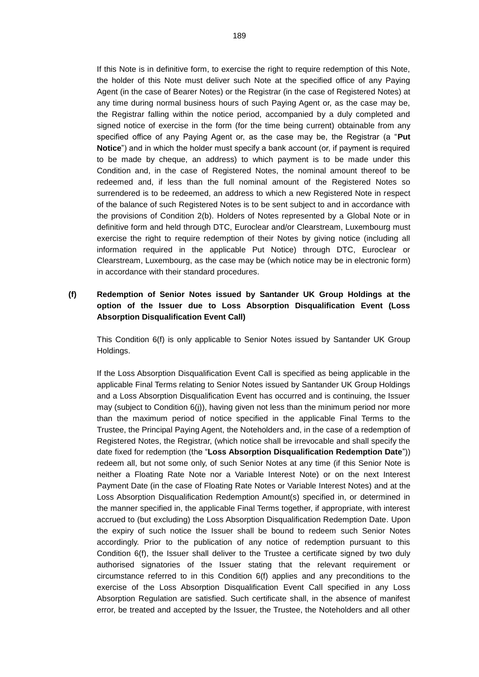If this Note is in definitive form, to exercise the right to require redemption of this Note, the holder of this Note must deliver such Note at the specified office of any Paying Agent (in the case of Bearer Notes) or the Registrar (in the case of Registered Notes) at any time during normal business hours of such Paying Agent or, as the case may be, the Registrar falling within the notice period, accompanied by a duly completed and signed notice of exercise in the form (for the time being current) obtainable from any specified office of any Paying Agent or, as the case may be, the Registrar (a "**Put Notice**") and in which the holder must specify a bank account (or, if payment is required to be made by cheque, an address) to which payment is to be made under this Condition and, in the case of Registered Notes, the nominal amount thereof to be redeemed and, if less than the full nominal amount of the Registered Notes so surrendered is to be redeemed, an address to which a new Registered Note in respect of the balance of such Registered Notes is to be sent subject to and in accordance with the provisions of Condition 2(b). Holders of Notes represented by a Global Note or in definitive form and held through DTC, Euroclear and/or Clearstream, Luxembourg must exercise the right to require redemption of their Notes by giving notice (including all information required in the applicable Put Notice) through DTC, Euroclear or Clearstream, Luxembourg, as the case may be (which notice may be in electronic form) in accordance with their standard procedures.

# <span id="page-63-0"></span>**(f) Redemption of Senior Notes issued by Santander UK Group Holdings at the option of the Issuer due to Loss Absorption Disqualification Event (Loss Absorption Disqualification Event Call)**

This Condition [6\(f\)](#page-63-0) is only applicable to Senior Notes issued by Santander UK Group Holdings.

If the Loss Absorption Disqualification Event Call is specified as being applicable in the applicable Final Terms relating to Senior Notes issued by Santander UK Group Holdings and a Loss Absorption Disqualification Event has occurred and is continuing, the Issuer may (subject to Condition [6\(j\)\)](#page-66-0), having given not less than the minimum period nor more than the maximum period of notice specified in the applicable Final Terms to the Trustee, the Principal Paying Agent, the Noteholders and, in the case of a redemption of Registered Notes, the Registrar, (which notice shall be irrevocable and shall specify the date fixed for redemption (the "**Loss Absorption Disqualification Redemption Date**")) redeem all, but not some only, of such Senior Notes at any time (if this Senior Note is neither a Floating Rate Note nor a Variable Interest Note) or on the next Interest Payment Date (in the case of Floating Rate Notes or Variable Interest Notes) and at the Loss Absorption Disqualification Redemption Amount(s) specified in, or determined in the manner specified in, the applicable Final Terms together, if appropriate, with interest accrued to (but excluding) the Loss Absorption Disqualification Redemption Date. Upon the expiry of such notice the Issuer shall be bound to redeem such Senior Notes accordingly. Prior to the publication of any notice of redemption pursuant to this Condition 6(f), the Issuer shall deliver to the Trustee a certificate signed by two duly authorised signatories of the Issuer stating that the relevant requirement or circumstance referred to in this Condition 6(f) applies and any preconditions to the exercise of the Loss Absorption Disqualification Event Call specified in any Loss Absorption Regulation are satisfied. Such certificate shall, in the absence of manifest error, be treated and accepted by the Issuer, the Trustee, the Noteholders and all other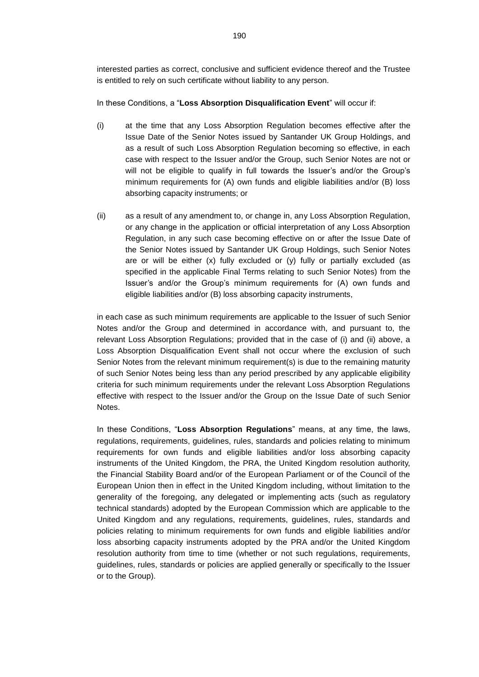interested parties as correct, conclusive and sufficient evidence thereof and the Trustee is entitled to rely on such certificate without liability to any person.

In these Conditions, a "**Loss Absorption Disqualification Event**" will occur if:

- (i) at the time that any Loss Absorption Regulation becomes effective after the Issue Date of the Senior Notes issued by Santander UK Group Holdings, and as a result of such Loss Absorption Regulation becoming so effective, in each case with respect to the Issuer and/or the Group, such Senior Notes are not or will not be eligible to qualify in full towards the Issuer's and/or the Group's minimum requirements for (A) own funds and eligible liabilities and/or (B) loss absorbing capacity instruments; or
- (ii) as a result of any amendment to, or change in, any Loss Absorption Regulation, or any change in the application or official interpretation of any Loss Absorption Regulation, in any such case becoming effective on or after the Issue Date of the Senior Notes issued by Santander UK Group Holdings, such Senior Notes are or will be either (x) fully excluded or (y) fully or partially excluded (as specified in the applicable Final Terms relating to such Senior Notes) from the Issuer's and/or the Group's minimum requirements for (A) own funds and eligible liabilities and/or (B) loss absorbing capacity instruments,

in each case as such minimum requirements are applicable to the Issuer of such Senior Notes and/or the Group and determined in accordance with, and pursuant to, the relevant Loss Absorption Regulations; provided that in the case of (i) and (ii) above, a Loss Absorption Disqualification Event shall not occur where the exclusion of such Senior Notes from the relevant minimum requirement(s) is due to the remaining maturity of such Senior Notes being less than any period prescribed by any applicable eligibility criteria for such minimum requirements under the relevant Loss Absorption Regulations effective with respect to the Issuer and/or the Group on the Issue Date of such Senior Notes.

In these Conditions, "**Loss Absorption Regulations**" means, at any time, the laws, regulations, requirements, guidelines, rules, standards and policies relating to minimum requirements for own funds and eligible liabilities and/or loss absorbing capacity instruments of the United Kingdom, the PRA, the United Kingdom resolution authority, the Financial Stability Board and/or of the European Parliament or of the Council of the European Union then in effect in the United Kingdom including, without limitation to the generality of the foregoing, any delegated or implementing acts (such as regulatory technical standards) adopted by the European Commission which are applicable to the United Kingdom and any regulations, requirements, guidelines, rules, standards and policies relating to minimum requirements for own funds and eligible liabilities and/or loss absorbing capacity instruments adopted by the PRA and/or the United Kingdom resolution authority from time to time (whether or not such regulations, requirements, guidelines, rules, standards or policies are applied generally or specifically to the Issuer or to the Group).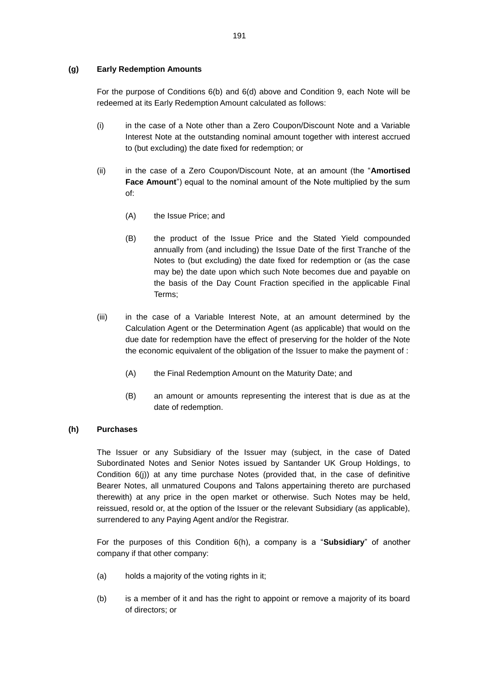## **(g) Early Redemption Amounts**

For the purpose of Conditions 6(b) and 6(d) above and Condition 9, each Note will be redeemed at its Early Redemption Amount calculated as follows:

- (i) in the case of a Note other than a Zero Coupon/Discount Note and a Variable Interest Note at the outstanding nominal amount together with interest accrued to (but excluding) the date fixed for redemption; or
- (ii) in the case of a Zero Coupon/Discount Note, at an amount (the "**Amortised Face Amount**") equal to the nominal amount of the Note multiplied by the sum of:
	- (A) the Issue Price; and
	- (B) the product of the Issue Price and the Stated Yield compounded annually from (and including) the Issue Date of the first Tranche of the Notes to (but excluding) the date fixed for redemption or (as the case may be) the date upon which such Note becomes due and payable on the basis of the Day Count Fraction specified in the applicable Final Terms;
- (iii) in the case of a Variable Interest Note, at an amount determined by the Calculation Agent or the Determination Agent (as applicable) that would on the due date for redemption have the effect of preserving for the holder of the Note the economic equivalent of the obligation of the Issuer to make the payment of :
	- (A) the Final Redemption Amount on the Maturity Date; and
	- (B) an amount or amounts representing the interest that is due as at the date of redemption.

### **(h) Purchases**

The Issuer or any Subsidiary of the Issuer may (subject, in the case of Dated Subordinated Notes and Senior Notes issued by Santander UK Group Holdings, to Condition 6(j)) at any time purchase Notes (provided that, in the case of definitive Bearer Notes, all unmatured Coupons and Talons appertaining thereto are purchased therewith) at any price in the open market or otherwise. Such Notes may be held, reissued, resold or, at the option of the Issuer or the relevant Subsidiary (as applicable), surrendered to any Paying Agent and/or the Registrar.

For the purposes of this Condition 6(h), a company is a "**Subsidiary**" of another company if that other company:

- (a) holds a majority of the voting rights in it;
- (b) is a member of it and has the right to appoint or remove a majority of its board of directors; or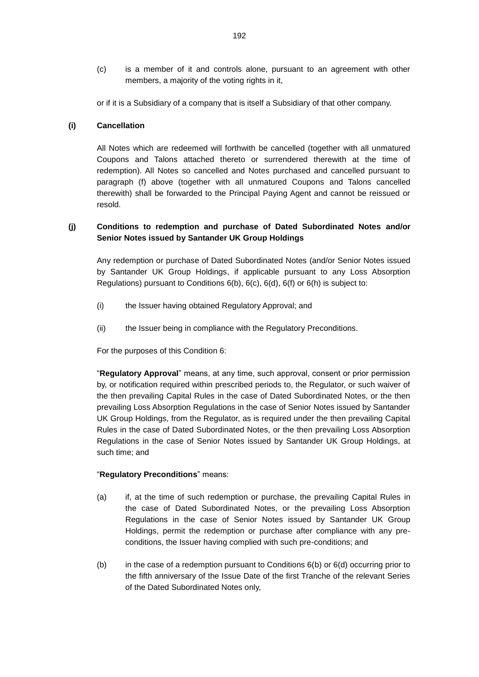(c) is a member of it and controls alone, pursuant to an agreement with other members, a majority of the voting rights in it,

or if it is a Subsidiary of a company that is itself a Subsidiary of that other company.

## **(i) Cancellation**

All Notes which are redeemed will forthwith be cancelled (together with all unmatured Coupons and Talons attached thereto or surrendered therewith at the time of redemption). All Notes so cancelled and Notes purchased and cancelled pursuant to paragraph (f) above (together with all unmatured Coupons and Talons cancelled therewith) shall be forwarded to the Principal Paying Agent and cannot be reissued or resold.

# <span id="page-66-0"></span>**(j) Conditions to redemption and purchase of Dated Subordinated Notes and/or Senior Notes issued by Santander UK Group Holdings**

Any redemption or purchase of Dated Subordinated Notes (and/or Senior Notes issued by Santander UK Group Holdings, if applicable pursuant to any Loss Absorption Regulations) pursuant to Conditions  $6(b)$ ,  $6(c)$ ,  $6(d)$ ,  $6(f)$  or  $6(h)$  is subject to:

- (i) the Issuer having obtained Regulatory Approval; and
- (ii) the Issuer being in compliance with the Regulatory Preconditions.

For the purposes of this Condition 6:

"**Regulatory Approval**" means, at any time, such approval, consent or prior permission by, or notification required within prescribed periods to, the Regulator, or such waiver of the then prevailing Capital Rules in the case of Dated Subordinated Notes, or the then prevailing Loss Absorption Regulations in the case of Senior Notes issued by Santander UK Group Holdings, from the Regulator, as is required under the then prevailing Capital Rules in the case of Dated Subordinated Notes, or the then prevailing Loss Absorption Regulations in the case of Senior Notes issued by Santander UK Group Holdings, at such time; and

## "**Regulatory Preconditions**" means:

- (a) if, at the time of such redemption or purchase, the prevailing Capital Rules in the case of Dated Subordinated Notes, or the prevailing Loss Absorption Regulations in the case of Senior Notes issued by Santander UK Group Holdings, permit the redemption or purchase after compliance with any preconditions, the Issuer having complied with such pre-conditions; and
- (b) in the case of a redemption pursuant to Conditions 6(b) or 6(d) occurring prior to the fifth anniversary of the Issue Date of the first Tranche of the relevant Series of the Dated Subordinated Notes only,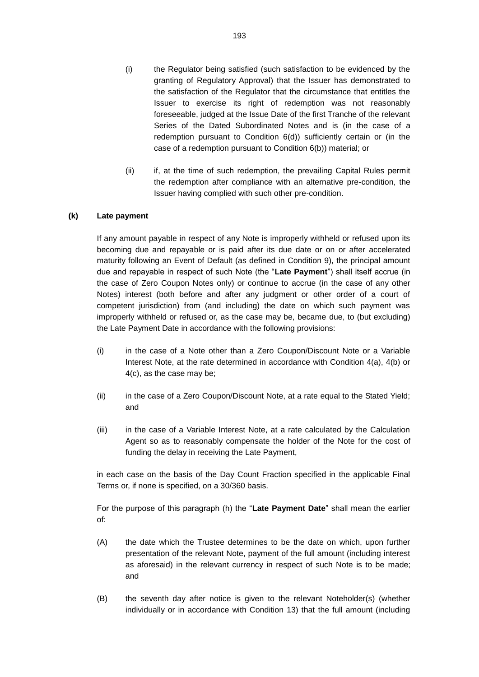- (i) the Regulator being satisfied (such satisfaction to be evidenced by the granting of Regulatory Approval) that the Issuer has demonstrated to the satisfaction of the Regulator that the circumstance that entitles the Issuer to exercise its right of redemption was not reasonably foreseeable, judged at the Issue Date of the first Tranche of the relevant Series of the Dated Subordinated Notes and is (in the case of a redemption pursuant to Condition 6(d)) sufficiently certain or (in the case of a redemption pursuant to Condition 6(b)) material; or
- (ii) if, at the time of such redemption, the prevailing Capital Rules permit the redemption after compliance with an alternative pre-condition, the Issuer having complied with such other pre-condition.

# **(k) Late payment**

If any amount payable in respect of any Note is improperly withheld or refused upon its becoming due and repayable or is paid after its due date or on or after accelerated maturity following an Event of Default (as defined in Condition 9), the principal amount due and repayable in respect of such Note (the "**Late Payment**") shall itself accrue (in the case of Zero Coupon Notes only) or continue to accrue (in the case of any other Notes) interest (both before and after any judgment or other order of a court of competent jurisdiction) from (and including) the date on which such payment was improperly withheld or refused or, as the case may be, became due, to (but excluding) the Late Payment Date in accordance with the following provisions:

- (i) in the case of a Note other than a Zero Coupon/Discount Note or a Variable Interest Note, at the rate determined in accordance with Condition 4(a), 4(b) or 4(c), as the case may be;
- (ii) in the case of a Zero Coupon/Discount Note, at a rate equal to the Stated Yield; and
- (iii) in the case of a Variable Interest Note, at a rate calculated by the Calculation Agent so as to reasonably compensate the holder of the Note for the cost of funding the delay in receiving the Late Payment,

in each case on the basis of the Day Count Fraction specified in the applicable Final Terms or, if none is specified, on a 30/360 basis.

For the purpose of this paragraph (h) the "**Late Payment Date**" shall mean the earlier of:

- (A) the date which the Trustee determines to be the date on which, upon further presentation of the relevant Note, payment of the full amount (including interest as aforesaid) in the relevant currency in respect of such Note is to be made; and
- (B) the seventh day after notice is given to the relevant Noteholder(s) (whether individually or in accordance with Condition 13) that the full amount (including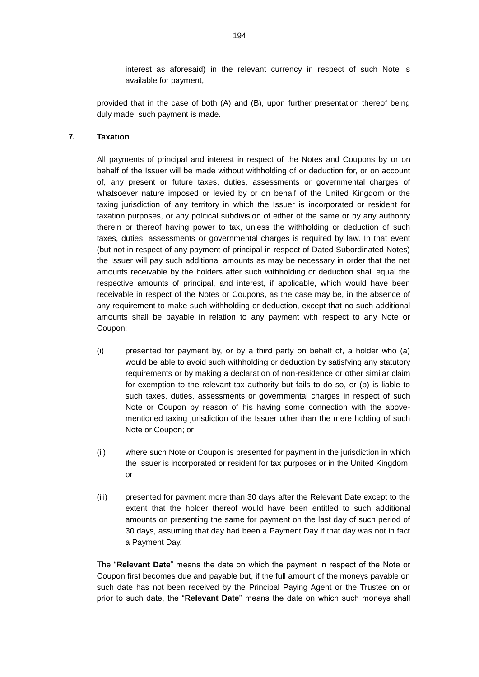interest as aforesaid) in the relevant currency in respect of such Note is available for payment,

provided that in the case of both (A) and (B), upon further presentation thereof being duly made, such payment is made.

# **7. Taxation**

All payments of principal and interest in respect of the Notes and Coupons by or on behalf of the Issuer will be made without withholding of or deduction for, or on account of, any present or future taxes, duties, assessments or governmental charges of whatsoever nature imposed or levied by or on behalf of the United Kingdom or the taxing jurisdiction of any territory in which the Issuer is incorporated or resident for taxation purposes, or any political subdivision of either of the same or by any authority therein or thereof having power to tax, unless the withholding or deduction of such taxes, duties, assessments or governmental charges is required by law. In that event (but not in respect of any payment of principal in respect of Dated Subordinated Notes) the Issuer will pay such additional amounts as may be necessary in order that the net amounts receivable by the holders after such withholding or deduction shall equal the respective amounts of principal, and interest, if applicable, which would have been receivable in respect of the Notes or Coupons, as the case may be, in the absence of any requirement to make such withholding or deduction, except that no such additional amounts shall be payable in relation to any payment with respect to any Note or Coupon:

- (i) presented for payment by, or by a third party on behalf of, a holder who (a) would be able to avoid such withholding or deduction by satisfying any statutory requirements or by making a declaration of non-residence or other similar claim for exemption to the relevant tax authority but fails to do so, or (b) is liable to such taxes, duties, assessments or governmental charges in respect of such Note or Coupon by reason of his having some connection with the abovementioned taxing jurisdiction of the Issuer other than the mere holding of such Note or Coupon; or
- (ii) where such Note or Coupon is presented for payment in the jurisdiction in which the Issuer is incorporated or resident for tax purposes or in the United Kingdom; or
- (iii) presented for payment more than 30 days after the Relevant Date except to the extent that the holder thereof would have been entitled to such additional amounts on presenting the same for payment on the last day of such period of 30 days, assuming that day had been a Payment Day if that day was not in fact a Payment Day.

The "**Relevant Date**" means the date on which the payment in respect of the Note or Coupon first becomes due and payable but, if the full amount of the moneys payable on such date has not been received by the Principal Paying Agent or the Trustee on or prior to such date, the "**Relevant Date**" means the date on which such moneys shall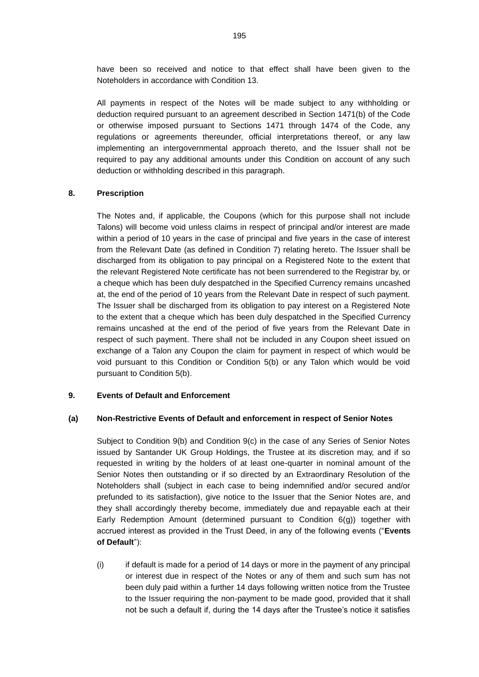have been so received and notice to that effect shall have been given to the Noteholders in accordance with Condition 13.

All payments in respect of the Notes will be made subject to any withholding or deduction required pursuant to an agreement described in Section 1471(b) of the Code or otherwise imposed pursuant to Sections 1471 through 1474 of the Code, any regulations or agreements thereunder, official interpretations thereof, or any law implementing an intergovernmental approach thereto, and the Issuer shall not be required to pay any additional amounts under this Condition on account of any such deduction or withholding described in this paragraph.

#### **8. Prescription**

The Notes and, if applicable, the Coupons (which for this purpose shall not include Talons) will become void unless claims in respect of principal and/or interest are made within a period of 10 years in the case of principal and five years in the case of interest from the Relevant Date (as defined in Condition 7) relating hereto. The Issuer shall be discharged from its obligation to pay principal on a Registered Note to the extent that the relevant Registered Note certificate has not been surrendered to the Registrar by, or a cheque which has been duly despatched in the Specified Currency remains uncashed at, the end of the period of 10 years from the Relevant Date in respect of such payment. The Issuer shall be discharged from its obligation to pay interest on a Registered Note to the extent that a cheque which has been duly despatched in the Specified Currency remains uncashed at the end of the period of five years from the Relevant Date in respect of such payment. There shall not be included in any Coupon sheet issued on exchange of a Talon any Coupon the claim for payment in respect of which would be void pursuant to this Condition or Condition 5(b) or any Talon which would be void pursuant to Condition 5(b).

#### **9. Events of Default and Enforcement**

#### **(a) Non-Restrictive Events of Default and enforcement in respect of Senior Notes**

Subject to Condition [9\(b\)](#page-70-0) and Condition 9(c) in the case of any Series of Senior Notes issued by Santander UK Group Holdings, the Trustee at its discretion may, and if so requested in writing by the holders of at least one-quarter in nominal amount of the Senior Notes then outstanding or if so directed by an Extraordinary Resolution of the Noteholders shall (subject in each case to being indemnified and/or secured and/or prefunded to its satisfaction), give notice to the Issuer that the Senior Notes are, and they shall accordingly thereby become, immediately due and repayable each at their Early Redemption Amount (determined pursuant to Condition 6(g)) together with accrued interest as provided in the Trust Deed, in any of the following events ("**Events of Default**"):

(i) if default is made for a period of 14 days or more in the payment of any principal or interest due in respect of the Notes or any of them and such sum has not been duly paid within a further 14 days following written notice from the Trustee to the Issuer requiring the non-payment to be made good, provided that it shall not be such a default if, during the 14 days after the Trustee's notice it satisfies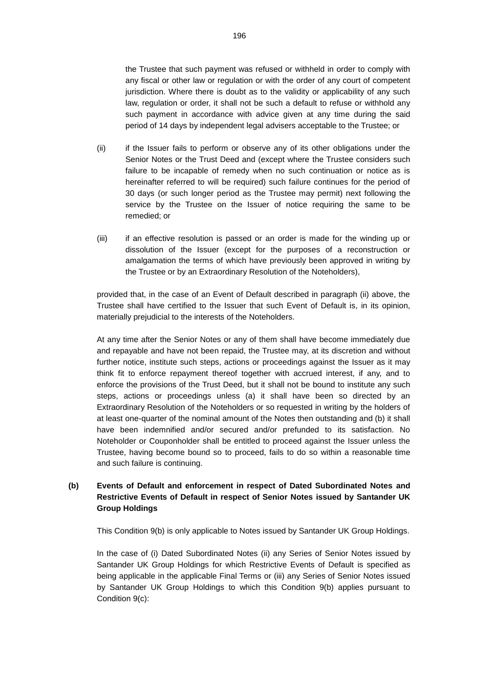the Trustee that such payment was refused or withheld in order to comply with any fiscal or other law or regulation or with the order of any court of competent jurisdiction. Where there is doubt as to the validity or applicability of any such law, regulation or order, it shall not be such a default to refuse or withhold any such payment in accordance with advice given at any time during the said period of 14 days by independent legal advisers acceptable to the Trustee; or

- (ii) if the Issuer fails to perform or observe any of its other obligations under the Senior Notes or the Trust Deed and (except where the Trustee considers such failure to be incapable of remedy when no such continuation or notice as is hereinafter referred to will be required) such failure continues for the period of 30 days (or such longer period as the Trustee may permit) next following the service by the Trustee on the Issuer of notice requiring the same to be remedied; or
- (iii) if an effective resolution is passed or an order is made for the winding up or dissolution of the Issuer (except for the purposes of a reconstruction or amalgamation the terms of which have previously been approved in writing by the Trustee or by an Extraordinary Resolution of the Noteholders),

provided that, in the case of an Event of Default described in paragraph (ii) above, the Trustee shall have certified to the Issuer that such Event of Default is, in its opinion, materially prejudicial to the interests of the Noteholders.

At any time after the Senior Notes or any of them shall have become immediately due and repayable and have not been repaid, the Trustee may, at its discretion and without further notice, institute such steps, actions or proceedings against the Issuer as it may think fit to enforce repayment thereof together with accrued interest, if any, and to enforce the provisions of the Trust Deed, but it shall not be bound to institute any such steps, actions or proceedings unless (a) it shall have been so directed by an Extraordinary Resolution of the Noteholders or so requested in writing by the holders of at least one-quarter of the nominal amount of the Notes then outstanding and (b) it shall have been indemnified and/or secured and/or prefunded to its satisfaction. No Noteholder or Couponholder shall be entitled to proceed against the Issuer unless the Trustee, having become bound so to proceed, fails to do so within a reasonable time and such failure is continuing.

# <span id="page-70-0"></span>**(b) Events of Default and enforcement in respect of Dated Subordinated Notes and Restrictive Events of Default in respect of Senior Notes issued by Santander UK Group Holdings**

This Condition [9\(b\)](#page-70-0) is only applicable to Notes issued by Santander UK Group Holdings.

In the case of (i) Dated Subordinated Notes (ii) any Series of Senior Notes issued by Santander UK Group Holdings for which Restrictive Events of Default is specified as being applicable in the applicable Final Terms or (iii) any Series of Senior Notes issued by Santander UK Group Holdings to which this Condition 9(b) applies pursuant to Condition 9(c):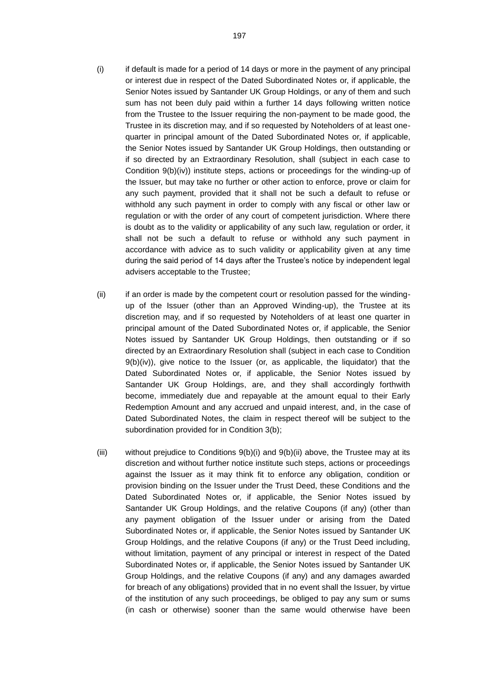- (i) if default is made for a period of 14 days or more in the payment of any principal or interest due in respect of the Dated Subordinated Notes or, if applicable, the Senior Notes issued by Santander UK Group Holdings, or any of them and such sum has not been duly paid within a further 14 days following written notice from the Trustee to the Issuer requiring the non-payment to be made good, the Trustee in its discretion may, and if so requested by Noteholders of at least onequarter in principal amount of the Dated Subordinated Notes or, if applicable, the Senior Notes issued by Santander UK Group Holdings, then outstanding or if so directed by an Extraordinary Resolution, shall (subject in each case to Condition 9(b)(iv)) institute steps, actions or proceedings for the winding-up of the Issuer, but may take no further or other action to enforce, prove or claim for any such payment, provided that it shall not be such a default to refuse or withhold any such payment in order to comply with any fiscal or other law or regulation or with the order of any court of competent jurisdiction. Where there is doubt as to the validity or applicability of any such law, regulation or order, it shall not be such a default to refuse or withhold any such payment in accordance with advice as to such validity or applicability given at any time during the said period of 14 days after the Trustee's notice by independent legal advisers acceptable to the Trustee;
- (ii) if an order is made by the competent court or resolution passed for the windingup of the Issuer (other than an Approved Winding-up), the Trustee at its discretion may, and if so requested by Noteholders of at least one quarter in principal amount of the Dated Subordinated Notes or, if applicable, the Senior Notes issued by Santander UK Group Holdings, then outstanding or if so directed by an Extraordinary Resolution shall (subject in each case to Condition  $9(b)(iv)$ , give notice to the Issuer (or, as applicable, the liquidator) that the Dated Subordinated Notes or, if applicable, the Senior Notes issued by Santander UK Group Holdings, are, and they shall accordingly forthwith become, immediately due and repayable at the amount equal to their Early Redemption Amount and any accrued and unpaid interest, and, in the case of Dated Subordinated Notes, the claim in respect thereof will be subject to the subordination provided for in Condition 3(b);
- (iii) without prejudice to Conditions  $9(b)(i)$  and  $9(b)(ii)$  above, the Trustee may at its discretion and without further notice institute such steps, actions or proceedings against the Issuer as it may think fit to enforce any obligation, condition or provision binding on the Issuer under the Trust Deed, these Conditions and the Dated Subordinated Notes or, if applicable, the Senior Notes issued by Santander UK Group Holdings, and the relative Coupons (if any) (other than any payment obligation of the Issuer under or arising from the Dated Subordinated Notes or, if applicable, the Senior Notes issued by Santander UK Group Holdings, and the relative Coupons (if any) or the Trust Deed including, without limitation, payment of any principal or interest in respect of the Dated Subordinated Notes or, if applicable, the Senior Notes issued by Santander UK Group Holdings, and the relative Coupons (if any) and any damages awarded for breach of any obligations) provided that in no event shall the Issuer, by virtue of the institution of any such proceedings, be obliged to pay any sum or sums (in cash or otherwise) sooner than the same would otherwise have been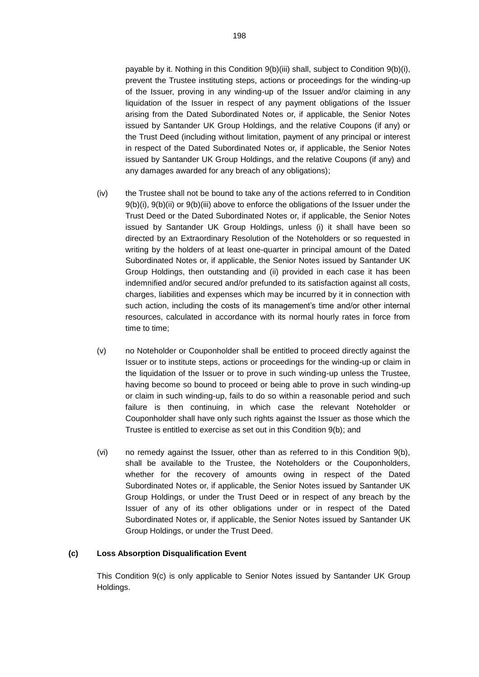payable by it. Nothing in this Condition 9(b)(iii) shall, subject to Condition 9(b)(i), prevent the Trustee instituting steps, actions or proceedings for the winding-up of the Issuer, proving in any winding-up of the Issuer and/or claiming in any liquidation of the Issuer in respect of any payment obligations of the Issuer arising from the Dated Subordinated Notes or, if applicable, the Senior Notes issued by Santander UK Group Holdings, and the relative Coupons (if any) or the Trust Deed (including without limitation, payment of any principal or interest in respect of the Dated Subordinated Notes or, if applicable, the Senior Notes issued by Santander UK Group Holdings, and the relative Coupons (if any) and any damages awarded for any breach of any obligations);

- (iv) the Trustee shall not be bound to take any of the actions referred to in Condition 9(b)(i), 9(b)(ii) or 9(b)(iii) above to enforce the obligations of the Issuer under the Trust Deed or the Dated Subordinated Notes or, if applicable, the Senior Notes issued by Santander UK Group Holdings, unless (i) it shall have been so directed by an Extraordinary Resolution of the Noteholders or so requested in writing by the holders of at least one-quarter in principal amount of the Dated Subordinated Notes or, if applicable, the Senior Notes issued by Santander UK Group Holdings, then outstanding and (ii) provided in each case it has been indemnified and/or secured and/or prefunded to its satisfaction against all costs, charges, liabilities and expenses which may be incurred by it in connection with such action, including the costs of its management's time and/or other internal resources, calculated in accordance with its normal hourly rates in force from time to time;
- (v) no Noteholder or Couponholder shall be entitled to proceed directly against the Issuer or to institute steps, actions or proceedings for the winding-up or claim in the liquidation of the Issuer or to prove in such winding-up unless the Trustee, having become so bound to proceed or being able to prove in such winding-up or claim in such winding-up, fails to do so within a reasonable period and such failure is then continuing, in which case the relevant Noteholder or Couponholder shall have only such rights against the Issuer as those which the Trustee is entitled to exercise as set out in this Condition 9(b); and
- (vi) no remedy against the Issuer, other than as referred to in this Condition 9(b), shall be available to the Trustee, the Noteholders or the Couponholders, whether for the recovery of amounts owing in respect of the Dated Subordinated Notes or, if applicable, the Senior Notes issued by Santander UK Group Holdings, or under the Trust Deed or in respect of any breach by the Issuer of any of its other obligations under or in respect of the Dated Subordinated Notes or, if applicable, the Senior Notes issued by Santander UK Group Holdings, or under the Trust Deed.

#### <span id="page-72-0"></span>**(c) Loss Absorption Disqualification Event**

This Condition [9\(c\)](#page-72-0) is only applicable to Senior Notes issued by Santander UK Group Holdings.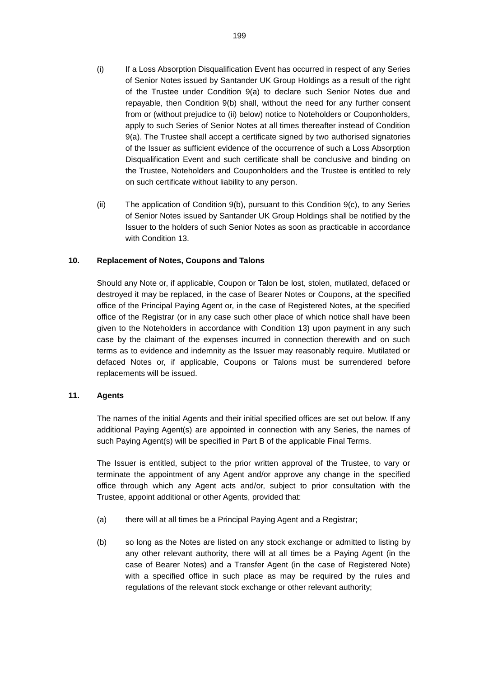- (i) If a Loss Absorption Disqualification Event has occurred in respect of any Series of Senior Notes issued by Santander UK Group Holdings as a result of the right of the Trustee under Condition 9(a) to declare such Senior Notes due and repayable, then Condition 9(b) shall, without the need for any further consent from or (without prejudice to (ii) below) notice to Noteholders or Couponholders, apply to such Series of Senior Notes at all times thereafter instead of Condition 9(a). The Trustee shall accept a certificate signed by two authorised signatories of the Issuer as sufficient evidence of the occurrence of such a Loss Absorption Disqualification Event and such certificate shall be conclusive and binding on the Trustee, Noteholders and Couponholders and the Trustee is entitled to rely on such certificate without liability to any person.
- (ii) The application of Condition 9(b), pursuant to this Condition 9(c), to any Series of Senior Notes issued by Santander UK Group Holdings shall be notified by the Issuer to the holders of such Senior Notes as soon as practicable in accordance with Condition 13.

## **10. Replacement of Notes, Coupons and Talons**

Should any Note or, if applicable, Coupon or Talon be lost, stolen, mutilated, defaced or destroyed it may be replaced, in the case of Bearer Notes or Coupons, at the specified office of the Principal Paying Agent or, in the case of Registered Notes, at the specified office of the Registrar (or in any case such other place of which notice shall have been given to the Noteholders in accordance with Condition 13) upon payment in any such case by the claimant of the expenses incurred in connection therewith and on such terms as to evidence and indemnity as the Issuer may reasonably require. Mutilated or defaced Notes or, if applicable, Coupons or Talons must be surrendered before replacements will be issued.

#### **11. Agents**

The names of the initial Agents and their initial specified offices are set out below. If any additional Paying Agent(s) are appointed in connection with any Series, the names of such Paying Agent(s) will be specified in Part B of the applicable Final Terms.

The Issuer is entitled, subject to the prior written approval of the Trustee, to vary or terminate the appointment of any Agent and/or approve any change in the specified office through which any Agent acts and/or, subject to prior consultation with the Trustee, appoint additional or other Agents, provided that:

- (a) there will at all times be a Principal Paying Agent and a Registrar;
- (b) so long as the Notes are listed on any stock exchange or admitted to listing by any other relevant authority, there will at all times be a Paying Agent (in the case of Bearer Notes) and a Transfer Agent (in the case of Registered Note) with a specified office in such place as may be required by the rules and regulations of the relevant stock exchange or other relevant authority;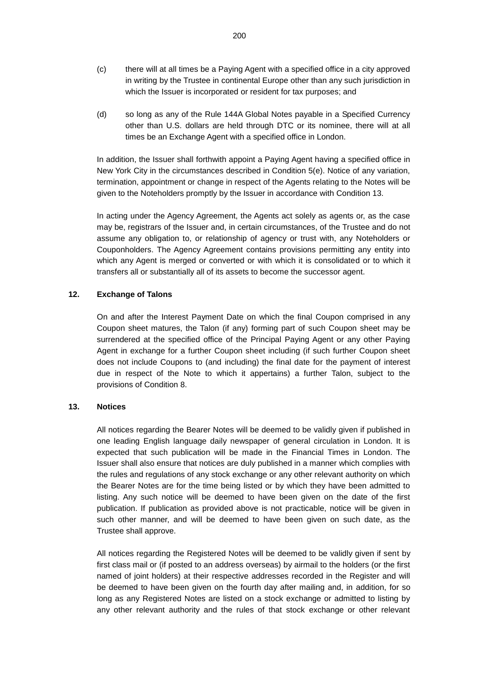- (c) there will at all times be a Paying Agent with a specified office in a city approved in writing by the Trustee in continental Europe other than any such jurisdiction in which the Issuer is incorporated or resident for tax purposes; and
- (d) so long as any of the Rule 144A Global Notes payable in a Specified Currency other than U.S. dollars are held through DTC or its nominee, there will at all times be an Exchange Agent with a specified office in London.

In addition, the Issuer shall forthwith appoint a Paying Agent having a specified office in New York City in the circumstances described in Condition 5(e). Notice of any variation, termination, appointment or change in respect of the Agents relating to the Notes will be given to the Noteholders promptly by the Issuer in accordance with Condition 13.

In acting under the Agency Agreement, the Agents act solely as agents or, as the case may be, registrars of the Issuer and, in certain circumstances, of the Trustee and do not assume any obligation to, or relationship of agency or trust with, any Noteholders or Couponholders. The Agency Agreement contains provisions permitting any entity into which any Agent is merged or converted or with which it is consolidated or to which it transfers all or substantially all of its assets to become the successor agent.

### **12. Exchange of Talons**

On and after the Interest Payment Date on which the final Coupon comprised in any Coupon sheet matures, the Talon (if any) forming part of such Coupon sheet may be surrendered at the specified office of the Principal Paying Agent or any other Paying Agent in exchange for a further Coupon sheet including (if such further Coupon sheet does not include Coupons to (and including) the final date for the payment of interest due in respect of the Note to which it appertains) a further Talon, subject to the provisions of Condition 8.

#### **13. Notices**

All notices regarding the Bearer Notes will be deemed to be validly given if published in one leading English language daily newspaper of general circulation in London. It is expected that such publication will be made in the Financial Times in London. The Issuer shall also ensure that notices are duly published in a manner which complies with the rules and regulations of any stock exchange or any other relevant authority on which the Bearer Notes are for the time being listed or by which they have been admitted to listing. Any such notice will be deemed to have been given on the date of the first publication. If publication as provided above is not practicable, notice will be given in such other manner, and will be deemed to have been given on such date, as the Trustee shall approve.

All notices regarding the Registered Notes will be deemed to be validly given if sent by first class mail or (if posted to an address overseas) by airmail to the holders (or the first named of joint holders) at their respective addresses recorded in the Register and will be deemed to have been given on the fourth day after mailing and, in addition, for so long as any Registered Notes are listed on a stock exchange or admitted to listing by any other relevant authority and the rules of that stock exchange or other relevant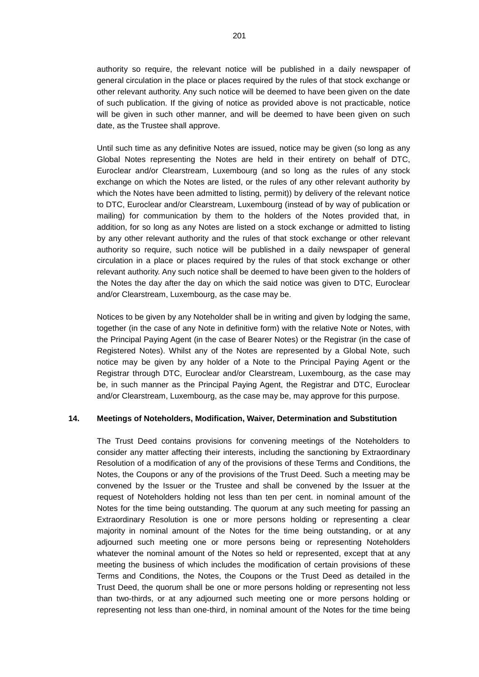authority so require, the relevant notice will be published in a daily newspaper of general circulation in the place or places required by the rules of that stock exchange or other relevant authority. Any such notice will be deemed to have been given on the date of such publication. If the giving of notice as provided above is not practicable, notice will be given in such other manner, and will be deemed to have been given on such date, as the Trustee shall approve.

Until such time as any definitive Notes are issued, notice may be given (so long as any Global Notes representing the Notes are held in their entirety on behalf of DTC, Euroclear and/or Clearstream, Luxembourg (and so long as the rules of any stock exchange on which the Notes are listed, or the rules of any other relevant authority by which the Notes have been admitted to listing, permit)) by delivery of the relevant notice to DTC, Euroclear and/or Clearstream, Luxembourg (instead of by way of publication or mailing) for communication by them to the holders of the Notes provided that, in addition, for so long as any Notes are listed on a stock exchange or admitted to listing by any other relevant authority and the rules of that stock exchange or other relevant authority so require, such notice will be published in a daily newspaper of general circulation in a place or places required by the rules of that stock exchange or other relevant authority. Any such notice shall be deemed to have been given to the holders of the Notes the day after the day on which the said notice was given to DTC, Euroclear and/or Clearstream, Luxembourg, as the case may be.

Notices to be given by any Noteholder shall be in writing and given by lodging the same, together (in the case of any Note in definitive form) with the relative Note or Notes, with the Principal Paying Agent (in the case of Bearer Notes) or the Registrar (in the case of Registered Notes). Whilst any of the Notes are represented by a Global Note, such notice may be given by any holder of a Note to the Principal Paying Agent or the Registrar through DTC, Euroclear and/or Clearstream, Luxembourg, as the case may be, in such manner as the Principal Paying Agent, the Registrar and DTC, Euroclear and/or Clearstream, Luxembourg, as the case may be, may approve for this purpose.

# **14. Meetings of Noteholders, Modification, Waiver, Determination and Substitution**

The Trust Deed contains provisions for convening meetings of the Noteholders to consider any matter affecting their interests, including the sanctioning by Extraordinary Resolution of a modification of any of the provisions of these Terms and Conditions, the Notes, the Coupons or any of the provisions of the Trust Deed. Such a meeting may be convened by the Issuer or the Trustee and shall be convened by the Issuer at the request of Noteholders holding not less than ten per cent. in nominal amount of the Notes for the time being outstanding. The quorum at any such meeting for passing an Extraordinary Resolution is one or more persons holding or representing a clear majority in nominal amount of the Notes for the time being outstanding, or at any adjourned such meeting one or more persons being or representing Noteholders whatever the nominal amount of the Notes so held or represented, except that at any meeting the business of which includes the modification of certain provisions of these Terms and Conditions, the Notes, the Coupons or the Trust Deed as detailed in the Trust Deed, the quorum shall be one or more persons holding or representing not less than two-thirds, or at any adjourned such meeting one or more persons holding or representing not less than one-third, in nominal amount of the Notes for the time being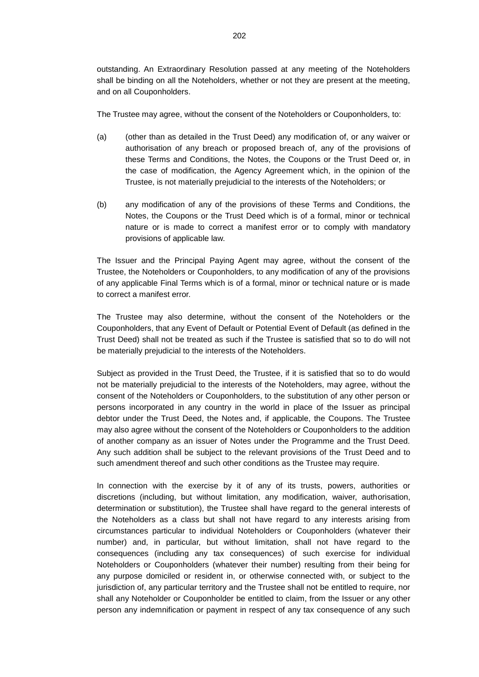outstanding. An Extraordinary Resolution passed at any meeting of the Noteholders shall be binding on all the Noteholders, whether or not they are present at the meeting, and on all Couponholders.

The Trustee may agree, without the consent of the Noteholders or Couponholders, to:

- (a) (other than as detailed in the Trust Deed) any modification of, or any waiver or authorisation of any breach or proposed breach of, any of the provisions of these Terms and Conditions, the Notes, the Coupons or the Trust Deed or, in the case of modification, the Agency Agreement which, in the opinion of the Trustee, is not materially prejudicial to the interests of the Noteholders; or
- (b) any modification of any of the provisions of these Terms and Conditions, the Notes, the Coupons or the Trust Deed which is of a formal, minor or technical nature or is made to correct a manifest error or to comply with mandatory provisions of applicable law.

The Issuer and the Principal Paying Agent may agree, without the consent of the Trustee, the Noteholders or Couponholders, to any modification of any of the provisions of any applicable Final Terms which is of a formal, minor or technical nature or is made to correct a manifest error.

The Trustee may also determine, without the consent of the Noteholders or the Couponholders, that any Event of Default or Potential Event of Default (as defined in the Trust Deed) shall not be treated as such if the Trustee is satisfied that so to do will not be materially prejudicial to the interests of the Noteholders.

Subject as provided in the Trust Deed, the Trustee, if it is satisfied that so to do would not be materially prejudicial to the interests of the Noteholders, may agree, without the consent of the Noteholders or Couponholders, to the substitution of any other person or persons incorporated in any country in the world in place of the Issuer as principal debtor under the Trust Deed, the Notes and, if applicable, the Coupons. The Trustee may also agree without the consent of the Noteholders or Couponholders to the addition of another company as an issuer of Notes under the Programme and the Trust Deed. Any such addition shall be subject to the relevant provisions of the Trust Deed and to such amendment thereof and such other conditions as the Trustee may require.

In connection with the exercise by it of any of its trusts, powers, authorities or discretions (including, but without limitation, any modification, waiver, authorisation, determination or substitution), the Trustee shall have regard to the general interests of the Noteholders as a class but shall not have regard to any interests arising from circumstances particular to individual Noteholders or Couponholders (whatever their number) and, in particular, but without limitation, shall not have regard to the consequences (including any tax consequences) of such exercise for individual Noteholders or Couponholders (whatever their number) resulting from their being for any purpose domiciled or resident in, or otherwise connected with, or subject to the jurisdiction of, any particular territory and the Trustee shall not be entitled to require, nor shall any Noteholder or Couponholder be entitled to claim, from the Issuer or any other person any indemnification or payment in respect of any tax consequence of any such